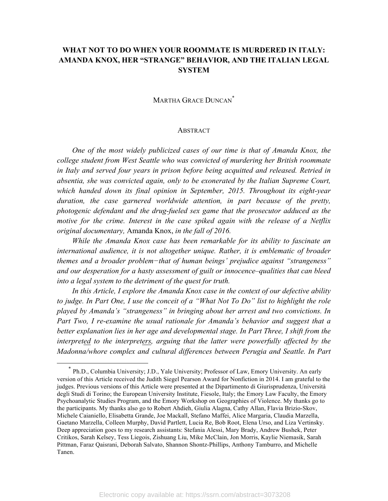# **WHAT NOT TO DO WHEN YOUR ROOMMATE IS MURDERED IN ITALY: AMANDA KNOX, HER "STRANGE" BEHAVIOR, AND THE ITALIAN LEGAL SYSTEM**

# MARTHA GRACE DUNCAN<sup>\*</sup>

#### **ABSTRACT**

*One of the most widely publicized cases of our time is that of Amanda Knox, the college student from West Seattle who was convicted of murdering her British roommate in Italy and served four years in prison before being acquitted and released. Retried in absentia, she was convicted again, only to be exonerated by the Italian Supreme Court, which handed down its final opinion in September, 2015. Throughout its eight-year*  duration, the case garnered worldwide attention, in part because of the pretty, *photogenic defendant and the drug-fueled sex game that the prosecutor adduced as the motive for the crime. Interest in the case spiked again with the release of a Netflix original documentary,* Amanda Knox, *in the fall of 2016.* 

*While the Amanda Knox case has been remarkable for its ability to fascinate an international audience, it is not altogether unique. Rather, it is emblematic of broader themes and a broader problem−that of human beings' prejudice against "strangeness" and our desperation for a hasty assessment of guilt or innocence‒qualities that can bleed into a legal system to the detriment of the quest for truth.*

*In this Article, I explore the Amanda Knox case in the context of our defective ability to judge. In Part One, I use the conceit of a "What Not To Do" list to highlight the role played by Amanda's "strangeness" in bringing about her arrest and two convictions. In*  Part Two, I re-examine the usual rationale for Amanda's behavior and suggest that a *better explanation lies in her age and developmental stage. In Part Three, I shift from the interpreted to the interpreters, arguing that the latter were powerfully affected by the Madonna/whore complex and cultural differences between Perugia and Seattle. In Part* 

Ph.D., Columbia University; J.D., Yale University; Professor of Law, Emory University. An early version of this Article received the Judith Siegel Pearson Award for Nonfiction in 2014. I am grateful to the judges. Previous versions of this Article were presented at the Dipartimento di Giurisprudenza, Università degli Studi di Torino; the European University Institute, Fiesole, Italy; the Emory Law Faculty, the Emory Psychoanalytic Studies Program, and the Emory Workshop on Geographies of Violence. My thanks go to the participants. My thanks also go to Robert Ahdieh, Giulia Alagna, Cathy Allan, Flavia Brizio-Skov, Michele Caianiello, Elisabetta Grande, Joe Mackall, Stefano Maffei, Alice Margaria, Claudia Marzella, Gaetano Marzella, Colleen Murphy, David Partlett, Lucia Re, Bob Root, Elena Urso, and Liza Vertinsky. Deep appreciation goes to my research assistants: Stefania Alessi, Mary Brady, Andrew Bushek, Peter Critikos, Sarah Kelsey, Tess Liegois, Zishuang Liu, Mike McClain, Jon Morris, Kaylie Niemasik, Sarah Pittman, Faraz Qaisrani, Deborah Salvato, Shannon Shontz-Phillips, Anthony Tamburro, and Michelle Tanen.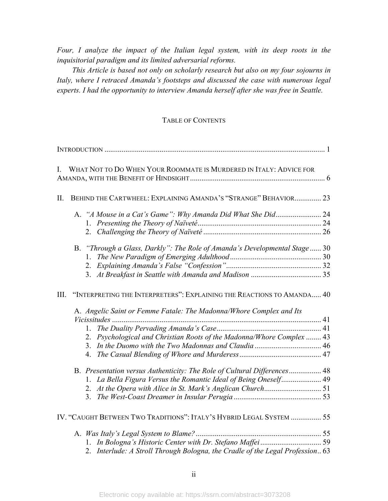*Four, I analyze the impact of the Italian legal system, with its deep roots in the inquisitorial paradigm and its limited adversarial reforms.*

*This Article is based not only on scholarly research but also on my four sojourns in Italy, where I retraced Amanda's footsteps and discussed the case with numerous legal experts. I had the opportunity to interview Amanda herself after she was free in Seattle.* 

#### TABLE OF CONTENTS

| L    | WHAT NOT TO DO WHEN YOUR ROOMMATE IS MURDERED IN ITALY: ADVICE FOR            |  |
|------|-------------------------------------------------------------------------------|--|
| II.  | BEHIND THE CARTWHEEL: EXPLAINING AMANDA'S "STRANGE" BEHAVIOR 23               |  |
|      |                                                                               |  |
|      |                                                                               |  |
|      |                                                                               |  |
|      | B. "Through a Glass, Darkly": The Role of Amanda's Developmental Stage 30     |  |
|      | $1_{-}$                                                                       |  |
|      |                                                                               |  |
|      |                                                                               |  |
| III. | "INTERPRETING THE INTERPRETERS": EXPLAINING THE REACTIONS TO AMANDA 40        |  |
|      | A. Angelic Saint or Femme Fatale: The Madonna/Whore Complex and Its           |  |
|      |                                                                               |  |
|      | 1.                                                                            |  |
|      | 2. Psychological and Christian Roots of the Madonna/Whore Complex  43         |  |
|      |                                                                               |  |
|      |                                                                               |  |
|      | B. Presentation versus Authenticity: The Role of Cultural Differences 48      |  |
|      |                                                                               |  |
|      |                                                                               |  |
|      |                                                                               |  |
|      | IV. "CAUGHT BETWEEN TWO TRADITIONS": ITALY'S HYBRID LEGAL SYSTEM  55          |  |
|      |                                                                               |  |
|      |                                                                               |  |
|      | 2. Interlude: A Stroll Through Bologna, the Cradle of the Legal Profession 63 |  |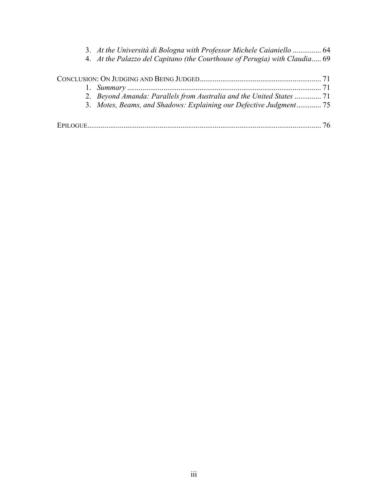| 3. At the Università di Bologna with Professor Michele Caianiello  64      |  |
|----------------------------------------------------------------------------|--|
| 4. At the Palazzo del Capitano (the Courthouse of Perugia) with Claudia 69 |  |
|                                                                            |  |
|                                                                            |  |
|                                                                            |  |
| 2. Beyond Amanda: Parallels from Australia and the United States  71       |  |
| 3. Motes, Beams, and Shadows: Explaining our Defective Judgment 75         |  |
|                                                                            |  |
|                                                                            |  |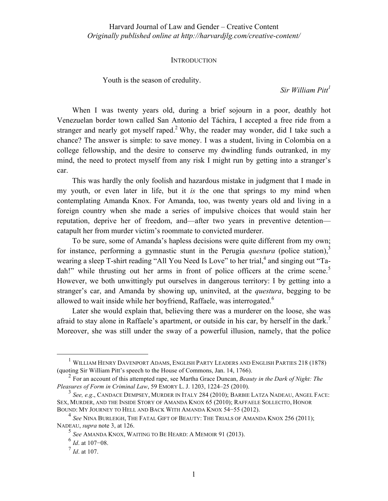#### **INTRODUCTION**

Youth is the season of credulity.

*Sir William Pitt1*

When I was twenty years old, during a brief sojourn in a poor, deathly hot Venezuelan border town called San Antonio del Táchira, I accepted a free ride from a stranger and nearly got myself raped.<sup>2</sup> Why, the reader may wonder, did I take such a chance? The answer is simple: to save money. I was a student, living in Colombia on a college fellowship, and the desire to conserve my dwindling funds outranked, in my mind, the need to protect myself from any risk I might run by getting into a stranger's car.

This was hardly the only foolish and hazardous mistake in judgment that I made in my youth, or even later in life, but it *is* the one that springs to my mind when contemplating Amanda Knox. For Amanda, too, was twenty years old and living in a foreign country when she made a series of impulsive choices that would stain her reputation, deprive her of freedom, and—after two years in preventive detention catapult her from murder victim's roommate to convicted murderer.

To be sure, some of Amanda's hapless decisions were quite different from my own; for instance, performing a gymnastic stunt in the Perugia *questura* (police station),<sup>3</sup> wearing a sleep T-shirt reading "All You Need Is Love" to her trial,<sup>4</sup> and singing out "Tadah!" while thrusting out her arms in front of police officers at the crime scene.<sup>5</sup> However, we both unwittingly put ourselves in dangerous territory: I by getting into a stranger's car, and Amanda by showing up, uninvited, at the *questura*, begging to be allowed to wait inside while her boyfriend, Raffaele, was interrogated.<sup>6</sup>

Later she would explain that, believing there was a murderer on the loose, she was afraid to stay alone in Raffaele's apartment, or outside in his car, by herself in the dark.<sup>7</sup> Moreover, she was still under the sway of a powerful illusion, namely, that the police

 <sup>1</sup> WILLIAM HENRY DAVENPORT ADAMS, ENGLISH PARTY LEADERS AND ENGLISH PARTIES 218 (1878) (quoting Sir William Pitt's speech to the House of Commons, Jan. 14, 1766).

<sup>2</sup> For an account of this attempted rape, see Martha Grace Duncan, *Beauty in the Dark of Night: The Pleasures of Form in Criminal Law*, 59 EMORY L. J. 1203, 1224‒25 (2010).

<sup>3</sup> *See, e.g*., CANDACE DEMPSEY, MURDER IN ITALY 284 (2010); BARBIE LATZA NADEAU, ANGEL FACE: SEX, MURDER, AND THE INSIDE STORY OF AMANDA KNOX 65 (2010); RAFFAELE SOLLECITO, HONOR BOUND: MY JOURNEY TO HELL AND BACK WITH AMANDA KNOX 54−55 (2012).

<sup>4</sup> *See* NINA BURLEIGH, THE FATAL GIFT OF BEAUTY: THE TRIALS OF AMANDA KNOX 256 (2011); NADEAU, *supra* note 3, at 126.

<sup>5</sup> *See* AMANDA KNOX, WAITING TO BE HEARD: A MEMOIR 91 (2013).

<sup>6</sup> *Id*. at 107−08.

 $^{7}$  *Id.* at 107.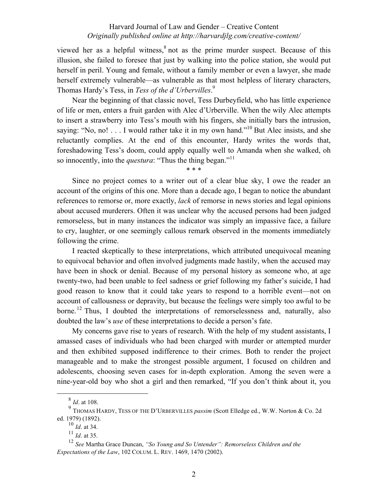viewed her as a helpful witness,<sup>8</sup> not as the prime murder suspect. Because of this illusion, she failed to foresee that just by walking into the police station, she would put herself in peril. Young and female, without a family member or even a lawyer, she made herself extremely vulnerable—as vulnerable as that most helpless of literary characters, Thomas Hardy's Tess, in *Tess of the d'Urbervilles*. 9

Near the beginning of that classic novel, Tess Durbeyfield, who has little experience of life or men, enters a fruit garden with Alec d'Urberville. When the wily Alec attempts to insert a strawberry into Tess's mouth with his fingers, she initially bars the intrusion, saying: "No, no! . . . I would rather take it in my own hand."<sup>10</sup> But Alec insists, and she reluctantly complies. At the end of this encounter, Hardy writes the words that, foreshadowing Tess's doom, could apply equally well to Amanda when she walked, oh so innocently, into the *questura*: "Thus the thing began."<sup>11</sup>

Since no project comes to a writer out of a clear blue sky, I owe the reader an account of the origins of this one. More than a decade ago, I began to notice the abundant references to remorse or, more exactly, *lack* of remorse in news stories and legal opinions about accused murderers. Often it was unclear why the accused persons had been judged remorseless, but in many instances the indicator was simply an impassive face, a failure to cry, laughter, or one seemingly callous remark observed in the moments immediately following the crime.

\* \* \*

I reacted skeptically to these interpretations, which attributed unequivocal meaning to equivocal behavior and often involved judgments made hastily, when the accused may have been in shock or denial. Because of my personal history as someone who, at age twenty-two, had been unable to feel sadness or grief following my father's suicide, I had good reason to know that it could take years to respond to a horrible event—not on account of callousness or depravity, but because the feelings were simply too awful to be borne.<sup>12</sup> Thus, I doubted the interpretations of remorselessness and, naturally, also doubted the law's *use* of these interpretations to decide a person's fate.

My concerns gave rise to years of research. With the help of my student assistants, I amassed cases of individuals who had been charged with murder or attempted murder and then exhibited supposed indifference to their crimes. Both to render the project manageable and to make the strongest possible argument, I focused on children and adolescents, choosing seven cases for in-depth exploration. Among the seven were a nine-year-old boy who shot a girl and then remarked, "If you don't think about it, you

 <sup>8</sup> *Id*. at 108.

<sup>9</sup> THOMAS HARDY, TESS OF THE D'URBERVILLES *passim* (Scott Elledge ed., W.W. Norton & Co. 2d ed. 1979) (1892).

<sup>10</sup> *Id*. at 34.

 $\frac{11}{10}$  *Id.* at 35.

<sup>12</sup> *See* Martha Grace Duncan, *"So Young and So Untender": Remorseless Children and the Expectations of the Law*, 102 COLUM. L. REV. 1469, 1470 (2002).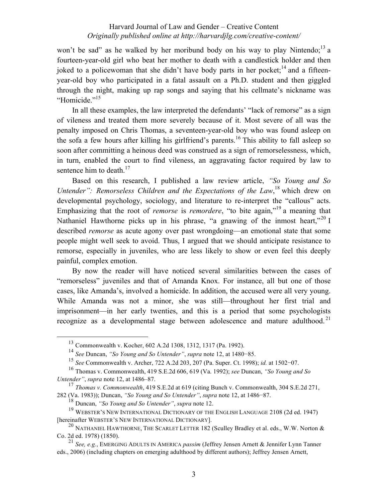won't be sad" as he walked by her moribund body on his way to play Nintendo;<sup>13</sup> a fourteen-year-old girl who beat her mother to death with a candlestick holder and then joked to a policewoman that she didn't have body parts in her pocket;<sup>14</sup> and a fifteenyear-old boy who participated in a fatal assault on a Ph.D. student and then giggled through the night, making up rap songs and saying that his cellmate's nickname was "Homicide."<sup>15</sup>

In all these examples, the law interpreted the defendants' "lack of remorse" as a sign of vileness and treated them more severely because of it. Most severe of all was the penalty imposed on Chris Thomas, a seventeen-year-old boy who was found asleep on the sofa a few hours after killing his girlfriend's parents.<sup>16</sup> This ability to fall asleep so soon after committing a heinous deed was construed as a sign of remorselessness, which, in turn, enabled the court to find vileness, an aggravating factor required by law to sentence him to death.<sup>17</sup>

Based on this research, I published a law review article, *"So Young and So*  Untender": Remorseless Children and the Expectations of the Law,<sup>18</sup> which drew on developmental psychology, sociology, and literature to re-interpret the "callous" acts. Emphasizing that the root of *remorse* is *remordere*, "to bite again,"<sup>19</sup> a meaning that Nathaniel Hawthorne picks up in his phrase, "a gnawing of the inmost heart,"<sup>20</sup> I described *remorse* as acute agony over past wrongdoing—an emotional state that some people might well seek to avoid. Thus, I argued that we should anticipate resistance to remorse, especially in juveniles, who are less likely to show or even feel this deeply painful, complex emotion.

By now the reader will have noticed several similarities between the cases of "remorseless" juveniles and that of Amanda Knox. For instance, all but one of those cases, like Amanda's, involved a homicide. In addition, the accused were all very young. While Amanda was not a minor, she was still—throughout her first trial and imprisonment—in her early twenties, and this is a period that some psychologists recognize as a developmental stage between adolescence and mature adulthood.<sup>21</sup>

<sup>18</sup> Duncan, *"So Young and So Untender"*, *supra* note 12.

 <sup>13</sup> Commonwealth v. Kocher, 602 A.2d 1308, 1312, 1317 (Pa. 1992).

<sup>14</sup> *See* Duncan, *"So Young and So Untender"*, *supra* note 12, at 1480−85.

<sup>15</sup> *See* Commonwealth v. Archer, 722 A.2d 203, 207 (Pa. Super. Ct. 1998); *id.* at 1502−07.

<sup>16</sup> Thomas v. Commonwealth, 419 S.E.2d 606, 619 (Va. 1992); *see* Duncan, *"So Young and So Untender"*, *supra* note 12, at 1486–87.

<sup>17</sup> *Thomas v. Commonwealth*, 419 S.E.2d at 619 (citing Bunch v. Commonwealth, 304 S.E.2d 271, 282 (Va. 1983)); Duncan, *"So Young and So Untender"*, *supra* note 12, at 1486−87.

<sup>19</sup> WEBSTER'S NEW INTERNATIONAL DICTIONARY OF THE ENGLISH LANGUAGE 2108 (2d ed. 1947) [hereinafter WEBSTER'S NEW INTERNATIONAL DICTIONARY].

<sup>&</sup>lt;sup>20</sup> NATHANIEL HAWTHORNE, THE SCARLET LETTER 182 (Sculley Bradley et al. eds., W.W. Norton  $\&$ Co. 2d ed. 1978) (1850).

<sup>21</sup> *See, e.g.*, EMERGING ADULTS IN AMERICA *passim* (Jeffrey Jensen Arnett & Jennifer Lynn Tanner eds., 2006) (including chapters on emerging adulthood by different authors); Jeffrey Jensen Arnett,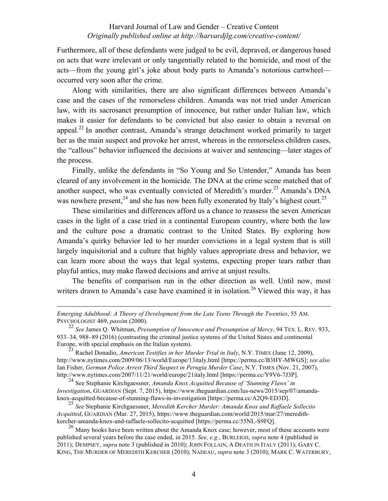Furthermore, all of these defendants were judged to be evil, depraved, or dangerous based on acts that were irrelevant or only tangentially related to the homicide, and most of the acts—from the young girl's joke about body parts to Amanda's notorious cartwheel occurred very soon after the crime.

Along with similarities, there are also significant differences between Amanda's case and the cases of the remorseless children. Amanda was not tried under American law, with its sacrosanct presumption of innocence, but rather under Italian law, which makes it easier for defendants to be convicted but also easier to obtain a reversal on appeal.<sup>22</sup> In another contrast, Amanda's strange detachment worked primarily to target her as the main suspect and provoke her arrest, whereas in the remorseless children cases, the "callous" behavior influenced the decisions at waiver and sentencing—later stages of the process.

Finally, unlike the defendants in "So Young and So Untender," Amanda has been cleared of any involvement in the homicide. The DNA at the crime scene matched that of another suspect, who was eventually convicted of Meredith's murder.<sup>23</sup> Amanda's DNA was nowhere present,  $24$  and she has now been fully exonerated by Italy's highest court.<sup>25</sup>

These similarities and differences afford us a chance to reassess the seven American cases in the light of a case tried in a continental European country, where both the law and the culture pose a dramatic contrast to the United States. By exploring how Amanda's quirky behavior led to her murder convictions in a legal system that is still largely inquisitorial and a culture that highly values appropriate dress and behavior, we can learn more about the ways that legal systems, expecting proper tears rather than playful antics, may make flawed decisions and arrive at unjust results.

The benefits of comparison run in the other direction as well. Until now, most writers drawn to Amanda's case have examined it in isolation.<sup>26</sup> Viewed this way, it has

 $\overline{a}$ 

<sup>24</sup> See Stephanie Kirchgaessner, *Amanda Knox Acquitted Because of 'Stunning Flaws' in Investigation*, GUARDIAN (Sept. 7, 2015), https://www.theguardian.com/lus-news/2015/sep/07/amandaknox-acquitted-because-of-stunning-flaws-in-investigation [https://perma.cc/A2Q9-ED3D].

<sup>25</sup> *See* Stephanie Kirchgaessner, *Meredith Kercher Murder: Amanda Knox and Raffaele Sollecito Acquitted*, GUARDIAN (Mar. 27, 2015), https://www.theguardian.com/world/2015/mar/27/meredithkercher-amanda-knox-and-raffaele-sollecito-acquitted [https://perma.cc/55NL-S9FQ].

 $^{26}$  Many books have been written about the Amanda Knox case; however, most of these accounts were published several years before the case ended, in 2015. *See, e.g.*, BURLEIGH, *supra* note 4 (published in 2011); DEMPSEY, *supra* note 3 (published in 2010); JOHN FOLLAIN, A DEATH IN ITALY (2011); GARY C. KING, THE MURDER OF MEREDITH KERCHER (2010); NADEAU, *supra* note 3 (2010); MARK C. WATERBURY,

*Emerging Adulthood: A Theory of Development from the Late Teens Through the Twenties*, 55 AM. PSYCHOLOGIST 469, *passim* (2000).

<sup>22</sup> *See* James Q. Whitman, *Presumption of Innocence and Presumption of Mercy*, 94 TEX. L. REV. 933, 933‒34, 988‒89 (2016) (contrasting the criminal justice systems of the United States and continental Europe, with special emphasis on the Italian system).

<sup>23</sup> Rachel Donadio, *American Testifies in her Murder Trial in Italy*, N.Y. TIMES (June 12, 2009), http://www.nytimes.com/2009/06/13/world/Europe/13italy.html [https://perma.cc/B3HY-MWGS]; *see also* Ian Fisher, *German Police Arrest Third Suspect in Perugia Murder Case*, N.Y. TIMES (Nov. 21, 2007), http://www.nytimes.com/2007/11/21/world/europe/21italy.html [https://perma.cc/Y9V6-7J3P].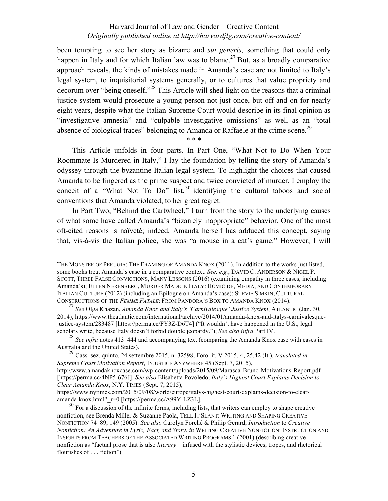been tempting to see her story as bizarre and *sui generis,* something that could only happen in Italy and for which Italian law was to blame.<sup>27</sup> But, as a broadly comparative approach reveals, the kinds of mistakes made in Amanda's case are not limited to Italy's legal system, to inquisitorial systems generally, or to cultures that value propriety and decorum over "being oneself."28 This Article will shed light on the reasons that a criminal justice system would prosecute a young person not just once, but off and on for nearly eight years, despite what the Italian Supreme Court would describe in its final opinion as "investigative amnesia" and "culpable investigative omissions" as well as an "total absence of biological traces" belonging to Amanda or Raffaele at the crime scene.<sup>29</sup>

\* \* \*

This Article unfolds in four parts. In Part One, "What Not to Do When Your Roommate Is Murdered in Italy," I lay the foundation by telling the story of Amanda's odyssey through the byzantine Italian legal system. To highlight the choices that caused Amanda to be fingered as the prime suspect and twice convicted of murder, I employ the conceit of a "What Not To Do" list,  $30$  identifying the cultural taboos and social conventions that Amanda violated, to her great regret.

In Part Two, "Behind the Cartwheel," I turn from the story to the underlying causes of what some have called Amanda's "bizarrely inappropriate" behavior. One of the most oft-cited reasons is naïveté; indeed, Amanda herself has adduced this concept, saying that, vis-à-vis the Italian police, she was "a mouse in a cat's game." However, I will

THE MONSTER OF PERUGIA: THE FRAMING OF AMANDA KNOX (2011). In addition to the works just listed, some books treat Amanda's case in a comparative context. *See, e.g.*, DAVID C. ANDERSON & NIGEL P. SCOTT, THREE FALSE CONVICTIONS, MANY LESSONS (2016) (examining empathy in three cases, including Amanda's); ELLEN NERENBERG, MURDER MADE IN ITALY: HOMICIDE, MEDIA, AND CONTEMPORARY ITALIAN CULTURE (2012) (including an Epilogue on Amanda's case); STEVIE SIMKIN, CULTURAL CONSTRUCTIONS OF THE *FEMME FATALE*: FROM PANDORA'S BOX TO AMANDA KNOX (2014).

<sup>27</sup> *See* Olga Khazan, *Amanda Knox and Italy's 'Carnivalesque' Justice System*, ATLANTIC (Jan. 30, 2014), https://www.theatlantic.com/international/archive/2014/01/amanda-knox-and-italys-carnivalesquejustice-system/283487 [https://perma.cc/FY3Z-D6T4] ("It wouldn't have happened in the U.S., legal scholars write, because Italy doesn't forbid double jeopardy."); *See also infra* Part IV.<br><sup>28</sup> *See infra* notes 413–444 and accompanying text (comparing the Amanda Knox case with cases in

Australia and the United States).

<sup>29</sup> Cass. sez. quinto, 24 settembre 2015, n. 32598, Foro. it. V 2015, 4, 25,42 (It.), *translated in Supreme Court Motivation Report*, INJUSTICE ANYWHERE 45 (Sept. 7, 2015), http://www.amandaknoxcase.com/wp-content/uploads/2015/09/Marasca-Bruno-Motivations-Report.pdf [https://perma.cc/4NP5-676J]. *See also* Elisabetta Povoledo, *Italy's Highest Court Explains Decision to Clear Amanda Knox*, N.Y. TIMES (Sept. 7, 2015),

https://www.nytimes.com/2015/09/08/world/europe/italys-highest-court-explains-decision-to-clearamanda-knox.html?\_r=0 [https://perma.cc/A99Y-LZ3L].

 $30$  For a discussion of the infinite forms, including lists, that writers can employ to shape creative nonfiction, see Brenda Miller & Suzanne Paola, TELL IT SLANT: WRITING AND SHAPING CREATIVE NONFICTION 74‒89, 149 (2005). *See also* Carolyn Forché & Philip Gerard, *Introduction* to *Creative Nonfiction: An Adventure in Lyric, Fact, and Story*, *in* WRITING CREATIVE NONFICTION: INSTRUCTION AND INSIGHTS FROM TEACHERS OF THE ASSOCIATED WRITING PROGRAMS 1 (2001) (describing creative nonfiction as "factual prose that is also *literary*—infused with the stylistic devices, tropes, and rhetorical flourishes of . . . fiction").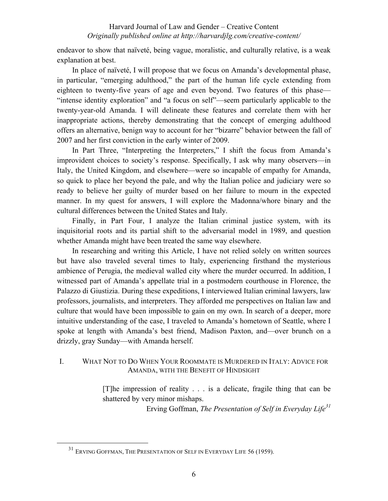endeavor to show that naïveté, being vague, moralistic, and culturally relative, is a weak explanation at best.

In place of naïveté, I will propose that we focus on Amanda's developmental phase, in particular, "emerging adulthood," the part of the human life cycle extending from eighteen to twenty-five years of age and even beyond. Two features of this phase— "intense identity exploration" and "a focus on self"—seem particularly applicable to the twenty-year-old Amanda. I will delineate these features and correlate them with her inappropriate actions, thereby demonstrating that the concept of emerging adulthood offers an alternative, benign way to account for her "bizarre" behavior between the fall of 2007 and her first conviction in the early winter of 2009.

In Part Three, "Interpreting the Interpreters," I shift the focus from Amanda's improvident choices to society's response. Specifically, I ask why many observers—in Italy, the United Kingdom, and elsewhere—were so incapable of empathy for Amanda, so quick to place her beyond the pale, and why the Italian police and judiciary were so ready to believe her guilty of murder based on her failure to mourn in the expected manner. In my quest for answers, I will explore the Madonna/whore binary and the cultural differences between the United States and Italy.

Finally, in Part Four, I analyze the Italian criminal justice system, with its inquisitorial roots and its partial shift to the adversarial model in 1989, and question whether Amanda might have been treated the same way elsewhere.

In researching and writing this Article, I have not relied solely on written sources but have also traveled several times to Italy, experiencing firsthand the mysterious ambience of Perugia, the medieval walled city where the murder occurred. In addition, I witnessed part of Amanda's appellate trial in a postmodern courthouse in Florence, the Palazzo di Giustizia. During these expeditions, I interviewed Italian criminal lawyers, law professors, journalists, and interpreters. They afforded me perspectives on Italian law and culture that would have been impossible to gain on my own. In search of a deeper, more intuitive understanding of the case, I traveled to Amanda's hometown of Seattle, where I spoke at length with Amanda's best friend, Madison Paxton, and—over brunch on a drizzly, gray Sunday—with Amanda herself.

# I. WHAT NOT TO DO WHEN YOUR ROOMMATE IS MURDERED IN ITALY: ADVICE FOR AMANDA, WITH THE BENEFIT OF HINDSIGHT

[T]he impression of reality . . . is a delicate, fragile thing that can be shattered by very minor mishaps.

Erving Goffman, *The Presentation of Self in Everyday Life<sup>31</sup>*

<sup>&</sup>lt;sup>31</sup> ERVING GOFFMAN, THE PRESENTATION OF SELF IN EVERYDAY LIFE 56 (1959).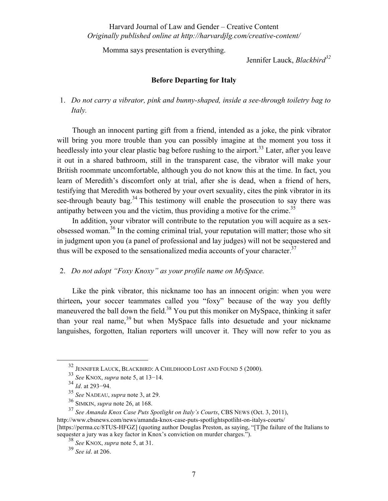Momma says presentation is everything.

Jennifer Lauck, *Blackbird<sup>32</sup>*

### **Before Departing for Italy**

1. *Do not carry a vibrator, pink and bunny-shaped, inside a see-through toiletry bag to Italy.*

Though an innocent parting gift from a friend, intended as a joke, the pink vibrator will bring you more trouble than you can possibly imagine at the moment you toss it heedlessly into your clear plastic bag before rushing to the airport.<sup>33</sup> Later, after you leave it out in a shared bathroom, still in the transparent case, the vibrator will make your British roommate uncomfortable, although you do not know this at the time. In fact, you learn of Meredith's discomfort only at trial, after she is dead, when a friend of hers, testifying that Meredith was bothered by your overt sexuality, cites the pink vibrator in its see-through beauty bag.<sup>34</sup> This testimony will enable the prosecution to say there was antipathy between you and the victim, thus providing a motive for the crime.<sup>35</sup>

In addition, your vibrator will contribute to the reputation you will acquire as a sexobsessed woman.36 In the coming criminal trial, your reputation will matter; those who sit in judgment upon you (a panel of professional and lay judges) will not be sequestered and thus will be exposed to the sensationalized media accounts of your character.<sup>37</sup>

### 2. *Do not adopt "Foxy Knoxy" as your profile name on MySpace.*

Like the pink vibrator, this nickname too has an innocent origin: when you were thirteen**,** your soccer teammates called you "foxy" because of the way you deftly maneuvered the ball down the field.<sup>38</sup> You put this moniker on MySpace, thinking it safer than your real name.<sup>39</sup> but when MySpace falls into desuetude and your nickname languishes, forgotten, Italian reporters will uncover it. They will now refer to you as

 <sup>32</sup> JENNIFER LAUCK, BLACKBIRD: <sup>A</sup> CHILDHOOD LOST AND FOUND 5 (2000).

<sup>33</sup> *See* KNOX, *supra* note 5, at 13−14.

<sup>34</sup> *Id*. at 293−94.

<sup>35</sup> *See* NADEAU, *supra* note 3, at 29.

<sup>36</sup> SIMKIN, *supra* note 26, at 168.

<sup>37</sup> *See Amanda Knox Case Puts Spotlight on Italy's Courts*, CBS NEWS (Oct. 3, 2011), http://www.cbsnews.com/news/amanda-knox-case-puts-spotlightspotliht-on-italys-courts/ [https://perma.cc/8TUS-HFGZ] (quoting author Douglas Preston, as saying, "[T]he failure of the Italians to sequester a jury was a key factor in Knox's conviction on murder charges.").

<sup>38</sup> *See* KNOX, *supra* note 5, at 31.

<sup>39</sup> *See id*. at 206.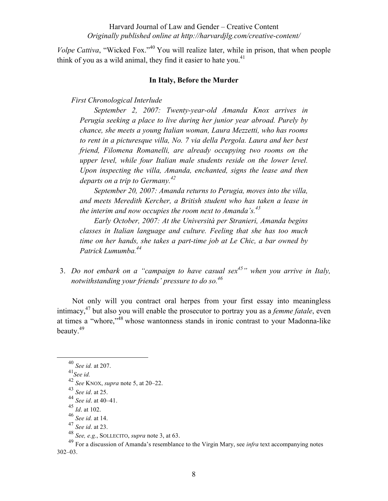*Volpe Cattiva*, "Wicked Fox."<sup>40</sup> You will realize later, while in prison, that when people think of you as a wild animal, they find it easier to hate you.<sup>41</sup>

#### **In Italy, Before the Murder**

#### *First Chronological Interlude*

*September 2, 2007: Twenty-year-old Amanda Knox arrives in Perugia seeking a place to live during her junior year abroad. Purely by chance, she meets a young Italian woman, Laura Mezzetti, who has rooms to rent in a picturesque villa, No. 7 via della Pergola. Laura and her best friend, Filomena Romanelli, are already occupying two rooms on the upper level, while four Italian male students reside on the lower level. Upon inspecting the villa, Amanda, enchanted, signs the lease and then departs on a trip to Germany.42*

*September 20, 2007: Amanda returns to Perugia, moves into the villa, and meets Meredith Kercher, a British student who has taken a lease in the interim and now occupies the room next to Amanda's. 43*

*Early October, 2007: At the Università per Stranieri, Amanda begins classes in Italian language and culture. Feeling that she has too much time on her hands, she takes a part-time job at Le Chic, a bar owned by Patrick Lumumba.44*

3. *Do not embark on a "campaign to have casual sex45" when you arrive in Italy, notwithstanding your friends' pressure to do so. 46*

Not only will you contract oral herpes from your first essay into meaningless intimacy,47 but also you will enable the prosecutor to portray you as a *femme fatale*, even at times a "whore,"<sup>48</sup> whose wantonness stands in ironic contrast to your Madonna-like beauty.<sup>49</sup>

<sup>47</sup> *See id*. at 23.

 <sup>40</sup> *See id.* at 207.

<sup>41</sup>*See id.*

<sup>42</sup> *See* KNOX, *supra* note 5, at 20‒22.

<sup>43</sup> *See id*. at 25.

<sup>44</sup> *See id*. at 40‒41.

 $45 \over 1d$ . at 102.

<sup>46</sup> *See id.* at 14.

<sup>48</sup> *See, e.g.*, SOLLECITO, *supra* note 3, at 63.

<sup>49</sup> For a discussion of Amanda's resemblance to the Virgin Mary, see *infra* text accompanying notes  $302 - 03$ .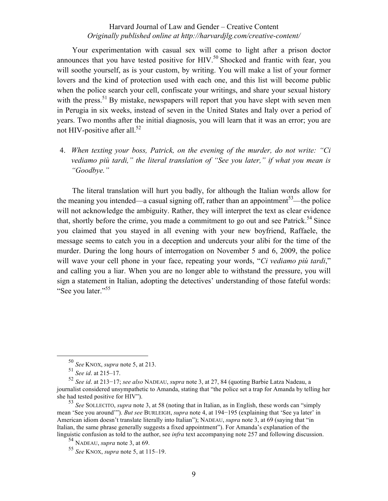Your experimentation with casual sex will come to light after a prison doctor announces that you have tested positive for HIV.<sup>50</sup> Shocked and frantic with fear, you will soothe yourself, as is your custom, by writing. You will make a list of your former lovers and the kind of protection used with each one, and this list will become public when the police search your cell, confiscate your writings, and share your sexual history with the press.<sup>51</sup> By mistake, newspapers will report that you have slept with seven men in Perugia in six weeks, instead of seven in the United States and Italy over a period of years. Two months after the initial diagnosis, you will learn that it was an error; you are not HIV-positive after all.<sup>52</sup>

4. *When texting your boss, Patrick, on the evening of the murder, do not write: "Ci vediamo più tardi," the literal translation of "See you later," if what you mean is "Goodbye."*

The literal translation will hurt you badly, for although the Italian words allow for the meaning you intended—a casual signing off, rather than an appointment<sup>53</sup>—the police will not acknowledge the ambiguity. Rather, they will interpret the text as clear evidence that, shortly before the crime, you made a commitment to go out and see Patrick.<sup>54</sup> Since you claimed that you stayed in all evening with your new boyfriend, Raffaele, the message seems to catch you in a deception and undercuts your alibi for the time of the murder. During the long hours of interrogation on November 5 and 6, 2009, the police will wave your cell phone in your face, repeating your words, "*Ci vediamo più tardi*," and calling you a liar. When you are no longer able to withstand the pressure, you will sign a statement in Italian, adopting the detectives' understanding of those fateful words: "See you later."<sup>55</sup>

 <sup>50</sup> *See* KNOX, *supra* note 5, at 213.

<sup>51</sup> *See id*. at 215‒17.

<sup>52</sup> *See id*. at 213−17; *see also* NADEAU, *supra* note 3, at 27, 84 (quoting Barbie Latza Nadeau, a journalist considered unsympathetic to Amanda, stating that "the police set a trap for Amanda by telling her she had tested positive for HIV").

<sup>53</sup> *See* SOLLECITO, *supra* note 3, at 58 (noting that in Italian, as in English, these words can "simply mean 'See you around'"). *But see* BURLEIGH, *supra* note 4, at 194−195 (explaining that 'See ya later' in American idiom doesn't translate literally into Italian"); NADEAU, *supra* note 3, at 69 (saying that "in Italian, the same phrase generally suggests a fixed appointment"). For Amanda's explanation of the linguistic confusion as told to the author, see *infra* text accompanying note 257 and following discussion. <sup>54</sup> NADEAU, *supra* note 3, at 69.

<sup>55</sup> *See* KNOX, *supra* note 5, at 115‒19.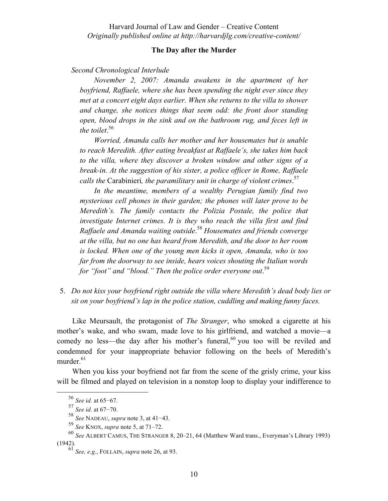## **The Day after the Murder**

#### *Second Chronological Interlude*

*November 2, 2007: Amanda awakens in the apartment of her boyfriend, Raffaele, where she has been spending the night ever since they met at a concert eight days earlier. When she returns to the villa to shower and change, she notices things that seem odd: the front door standing open, blood drops in the sink and on the bathroom rug, and feces left in the toilet*. 56

*Worried, Amanda calls her mother and her housemates but is unable to reach Meredith. After eating breakfast at Raffaele's, she takes him back to the villa, where they discover a broken window and other signs of a break-in. At the suggestion of his sister, a police officer in Rome, Raffaele calls the* Carabinieri*, the paramilitary unit in charge of violent crimes*. 57

*In the meantime, members of a wealthy Perugian family find two mysterious cell phones in their garden; the phones will later prove to be Meredith's. The family contacts the Polizia Postale, the police that investigate Internet crimes. It is they who reach the villa first and find Raffaele and Amanda waiting outside*. <sup>58</sup> *Housemates and friends converge at the villa, but no one has heard from Meredith, and the door to her room is locked. When one of the young men kicks it open, Amanda, who is too far from the doorway to see inside, hears voices shouting the Italian words for "foot" and "blood." Then the police order everyone out*. 59

5. *Do not kiss your boyfriend right outside the villa where Meredith's dead body lies or sit on your boyfriend's lap in the police station, cuddling and making funny faces.*

Like Meursault, the protagonist of *The Stranger*, who smoked a cigarette at his mother's wake, and who swam, made love to his girlfriend, and watched a movie—a comedy no less—the day after his mother's funeral, $60$  you too will be reviled and condemned for your inappropriate behavior following on the heels of Meredith's murder. $61$ 

When you kiss your boyfriend not far from the scene of the grisly crime, your kiss will be filmed and played on television in a nonstop loop to display your indifference to

 <sup>56</sup> *See id.* at 65−67.

<sup>57</sup> *See id.* at 67−70.

<sup>58</sup> *See* NADEAU, *supra* note 3, at 41−43.

<sup>59</sup> *See* KNOX, *supra* note 5, at 71‒72.

<sup>60</sup> *See* ALBERT CAMUS, THE STRANGER 8, 20‒21, 64 (Matthew Ward trans., Everyman's Library 1993) (1942).

<sup>61</sup> *See, e.g.*, FOLLAIN, *supra* note 26, at 93.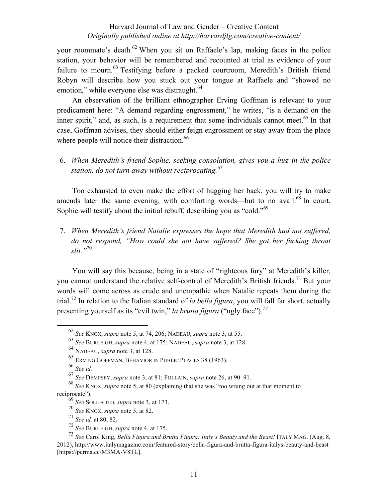your roommate's death.<sup>62</sup> When you sit on Raffaele's lap, making faces in the police station, your behavior will be remembered and recounted at trial as evidence of your failure to mourn.<sup>63</sup> Testifying before a packed courtroom, Meredith's British friend Robyn will describe how you stuck out your tongue at Raffaele and "showed no emotion," while everyone else was distraught.<sup>64</sup>

An observation of the brilliant ethnographer Erving Goffman is relevant to your predicament here: "A demand regarding engrossment," he writes, "is a demand on the inner spirit," and, as such, is a requirement that some individuals cannot meet.<sup>65</sup> In that case, Goffman advises, they should either feign engrossment or stay away from the place where people will notice their distraction. $66$ 

6. *When Meredith's friend Sophie, seeking consolation, gives you a hug in the police station, do not turn away without reciprocating.<sup>67</sup>*

Too exhausted to even make the effort of hugging her back, you will try to make amends later the same evening, with comforting words—but to no avail.<sup>68</sup> In court, Sophie will testify about the initial rebuff, describing you as "cold."<sup>69</sup>

7. *When Meredith's friend Natalie expresses the hope that Meredith had not suffered, do not respond, "How could she not have suffered? She got her fucking throat slit."*<sup>70</sup>

You will say this because, being in a state of "righteous fury" at Meredith's killer, you cannot understand the relative self-control of Meredith's British friends.<sup>71</sup> But your words will come across as crude and unempathic when Natalie repeats them during the trial.<sup>72</sup> In relation to the Italian standard of *la bella figura*, you will fall far short, actually presenting yourself as its "evil twin," *la brutta figura* ("ugly face")*. 73*

 <sup>62</sup> *See* KNOX, *supra* note 5, at 74, 206; NADEAU, *supra* note 3, at 55.

<sup>63</sup> *See* BURLEIGH, *supra* note 4, at 175; NADEAU, *supra* note 3, at 128.

<sup>64</sup> NADEAU, *supra* note 3, at 128.

<sup>65</sup> ERVING GOFFMAN, BEHAVIOR IN PUBLIC PLACES 38 (1963).

<sup>66</sup> *See id.*

<sup>67</sup> *See* DEMPSEY, *supra* note 3, at 81; FOLLAIN, *supra* note 26, at 90‒91.

<sup>68</sup> *See* KNOX, *supra* note 5, at 80 (explaining that she was "too wrung out at that moment to reciprocate").

<sup>69</sup> *See* SOLLECITO, *supra* note 3, at 173.

<sup>70</sup> *See* KNOX, *supra* note 5, at 82.

<sup>71</sup> *See id.* at 80, 82.

<sup>72</sup> *See* BURLEIGH, *supra* note 4, at 175.

<sup>73</sup> *See* Carol King, *Bella Figura and Brutta Figura: Italy's Beauty and the Beast!* ITALY MAG. (Aug. 8, 2012), http://www.italymagazine.com/featured-story/bella-figura-and-brutta-figura-italys-beauty-and-beast [https://perma.cc/M3MA-V8TL].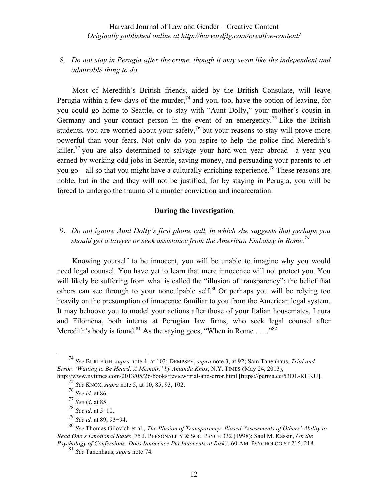# 8. *Do not stay in Perugia after the crime, though it may seem like the independent and admirable thing to do.*

Most of Meredith's British friends, aided by the British Consulate, will leave Perugia within a few days of the murder,  $74$  and you, too, have the option of leaving, for you could go home to Seattle, or to stay with "Aunt Dolly," your mother's cousin in Germany and your contact person in the event of an emergency.<sup>75</sup> Like the British students, you are worried about your safety, $^{76}$  but your reasons to stay will prove more powerful than your fears. Not only do you aspire to help the police find Meredith's killer,<sup>77</sup> you are also determined to salvage your hard-won year abroad—a year you earned by working odd jobs in Seattle, saving money, and persuading your parents to let you go—all so that you might have a culturally enriching experience.<sup>78</sup> These reasons are noble, but in the end they will not be justified, for by staying in Perugia, you will be forced to undergo the trauma of a murder conviction and incarceration.

### **During the Investigation**

# 9. *Do not ignore Aunt Dolly's first phone call, in which she suggests that perhaps you should get a lawyer or seek assistance from the American Embassy in Rome.*<sup>79</sup>

Knowing yourself to be innocent, you will be unable to imagine why you would need legal counsel. You have yet to learn that mere innocence will not protect you. You will likely be suffering from what is called the "illusion of transparency": the belief that others can see through to your nonculpable self.<sup>80</sup> Or perhaps you will be relying too heavily on the presumption of innocence familiar to you from the American legal system. It may behoove you to model your actions after those of your Italian housemates, Laura and Filomena, both interns at Perugian law firms, who seek legal counsel after Meredith's body is found.<sup>81</sup> As the saying goes, "When in Rome . . . .<sup>82</sup>

<sup>79</sup> *See id.* at 89, 93−94.

 <sup>74</sup> *See* BURLEIGH, *supra* note 4, at 103; DEMPSEY, *supra* note 3, at 92; Sam Tanenhaus, *Trial and Error: 'Waiting to Be Heard: A Memoir,' by Amanda Knox*, N.Y. TIMES (May 24, 2013), http://www.nytimes.com/2013/05/26/books/review/trial-and-error.html [https://perma.cc/53DL-RUKU].

<sup>75</sup> *See* KNOX, *supra* note 5, at 10, 85, 93, 102.

<sup>76</sup> *See id.* at 86.

<sup>77</sup> *See id*. at 85.

<sup>78</sup> *See id*. at 5–10.

<sup>80</sup> *See* Thomas Gilovich et al., *The Illusion of Transparency: Biased Assessments of Others' Ability to Read One's Emotional States*, 75 J. PERSONALITY & SOC. PSYCH 332 (1998); Saul M. Kassin, *On the Psychology of Confessions: Does Innocence Put Innocents at Risk?*, 60 AM. PSYCHOLOGIST 215, 218.

<sup>81</sup> *See* Tanenhaus, *supra* note 74*.*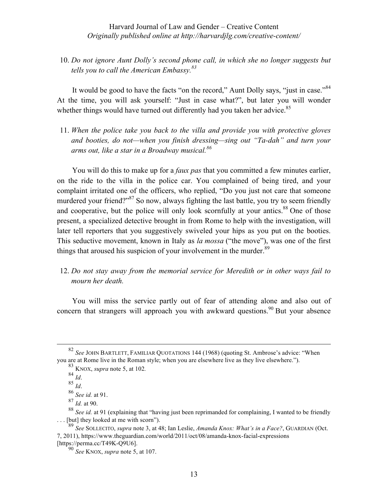10. *Do not ignore Aunt Dolly's second phone call, in which she no longer suggests but tells you to call the American Embassy.<sup>83</sup>*

It would be good to have the facts "on the record," Aunt Dolly says, "just in case."<sup>84</sup> At the time, you will ask yourself: "Just in case what?", but later you will wonder whether things would have turned out differently had you taken her advice.<sup>85</sup>

11. *When the police take you back to the villa and provide you with protective gloves and booties, do not—when you finish dressing—sing out "Ta-dah" and turn your arms out, like a star in a Broadway musical.<sup>86</sup>*

You will do this to make up for a *faux pas* that you committed a few minutes earlier, on the ride to the villa in the police car. You complained of being tired, and your complaint irritated one of the officers, who replied, "Do you just not care that someone murdered your friend?"<sup>87</sup> So now, always fighting the last battle, you try to seem friendly and cooperative, but the police will only look scornfully at your antics.<sup>88</sup> One of those present, a specialized detective brought in from Rome to help with the investigation, will later tell reporters that you suggestively swiveled your hips as you put on the booties. This seductive movement, known in Italy as *la mossa* ("the move"), was one of the first things that aroused his suspicion of your involvement in the murder.<sup>89</sup>

# 12. *Do not stay away from the memorial service for Meredith or in other ways fail to mourn her death.*

You will miss the service partly out of fear of attending alone and also out of concern that strangers will approach you with awkward questions.<sup>90</sup> But your absence

 <sup>82</sup> *See* JOHN BARTLETT, FAMILIAR QUOTATIONS 144 (1968) (quoting St. Ambrose's advice: "When you are at Rome live in the Roman style; when you are elsewhere live as they live elsewhere.").

 $^{83}$  KNOX, *supra* note 5, at 102.<br><sup>84</sup> *Id.* 

 $85$  *Id.* 

<sup>86</sup> *See id.* at 91.

<sup>87</sup> *Id.* at 90.

<sup>88</sup> *See id.* at 91 (explaining that "having just been reprimanded for complaining, I wanted to be friendly [but] they looked at me with scorn").

<sup>89</sup> *See* SOLLECITO, *supra* note 3, at 48; Ian Leslie, *Amanda Knox: What's in a Face?*, GUARDIAN (Oct. 7, 2011), https://www.theguardian.com/world/2011/oct/08/amanda-knox-facial-expressions [https://perma.cc/T49K-Q9U6].

<sup>90</sup> *See* KNOX, *supra* note 5, at 107.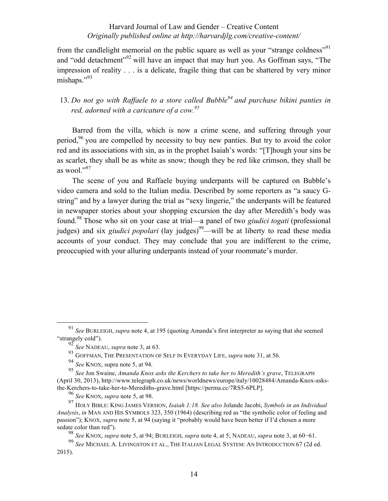from the candlelight memorial on the public square as well as your "strange coldness"<sup>91</sup> and "odd detachment"<sup>92</sup> will have an impact that may hurt you. As Goffman says, "The impression of reality . . . is a delicate, fragile thing that can be shattered by very minor mishaps."<sup>93</sup>

# 13. *Do not go with Raffaele to a store called Bubble<sup>94</sup> and purchase bikini panties in red, adorned with a caricature of a cow.95*

Barred from the villa, which is now a crime scene, and suffering through your period,<sup>96</sup> you are compelled by necessity to buy new panties. But try to avoid the color red and its associations with sin, as in the prophet Isaiah's words: "[T]hough your sins be as scarlet, they shall be as white as snow; though they be red like crimson, they shall be as wool." $^{97}$ 

The scene of you and Raffaele buying underpants will be captured on Bubble's video camera and sold to the Italian media. Described by some reporters as "a saucy Gstring" and by a lawyer during the trial as "sexy lingerie," the underpants will be featured in newspaper stories about your shopping excursion the day after Meredith's body was found.98 Those who sit on your case at trial—a panel of two *giudici togati* (professional judges) and six *giudici popolari* (lay judges)<sup>99</sup>—will be at liberty to read these media accounts of your conduct. They may conclude that you are indifferent to the crime, preoccupied with your alluring underpants instead of your roommate's murder.

<sup>98</sup> *See* KNOX, *supra* note 5, at 94; BURLEIGH, *supra* note 4, at 5; NADEAU, *supra* note 3, at 60−61.

 <sup>91</sup> *See* BURLEIGH, *supra* note 4, at 195 (quoting Amanda's first interpreter as saying that she seemed "strangely cold").

<sup>92</sup> *See* NADEAU, *supra* note 3, at 63.

<sup>93</sup> GOFFMAN, THE PRESENTATION OF SELF IN EVERYDAY LIFE, *supra* note 31, at 56.

<sup>94</sup> *See* KNOX, supra note 5, at 94.

<sup>95</sup> *See* Jon Swaine, *Amanda Knox asks the Kerchers to take her to Meredith's grave*, TELEGRAPH (April 30, 2013), http://www.telegraph.co.uk/news/worldnews/europe/italy/10028484/Amanda-Knox-asksthe-Kerchers-to-take-her-to-Merediths-grave.html [https://perma.cc/7RS5-6PLP].

<sup>96</sup> *See* KNOX, *supra* note 5, at 98.

<sup>97</sup> HOLY BIBLE: KING JAMES VERSION, *Isaiah 1:18. See also* Jolande Jacobi, *Symbols in an Individual Analysis*, *in* MAN AND HIS SYMBOLS 323, 350 (1964) (describing red as "the symbolic color of feeling and passion"); KNOX, *supra* note 5, at 94 (saying it "probably would have been better if I'd chosen a more sedate color than red").

<sup>99</sup> *See* MICHAEL A. LIVINGSTON ET AL., THE ITALIAN LEGAL SYSTEM: AN INTRODUCTION 67 (2d ed. 2015).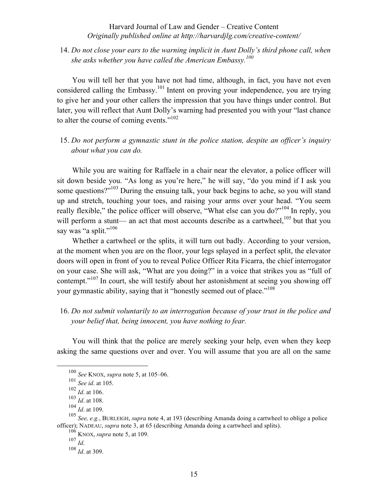# 14. *Do not close your ears to the warning implicit in Aunt Dolly's third phone call, when she asks whether you have called the American Embassy.100*

You will tell her that you have not had time, although, in fact, you have not even considered calling the Embassy.<sup>101</sup> Intent on proving your independence, you are trying to give her and your other callers the impression that you have things under control. But later, you will reflect that Aunt Dolly's warning had presented you with your "last chance to alter the course of coming events."<sup>102</sup>

# 15. *Do not perform a gymnastic stunt in the police station, despite an officer's inquiry about what you can do.*

While you are waiting for Raffaele in a chair near the elevator, a police officer will sit down beside you. "As long as you're here," he will say, "do you mind if I ask you some questions?"<sup>103</sup> During the ensuing talk, your back begins to ache, so you will stand up and stretch, touching your toes, and raising your arms over your head. "You seem really flexible," the police officer will observe, "What else can you do?"<sup>104</sup> In reply, you will perform a stunt— an act that most accounts describe as a cartwheel,  $^{105}$  but that you say was "a split."<sup>106</sup>

Whether a cartwheel or the splits, it will turn out badly. According to your version, at the moment when you are on the floor, your legs splayed in a perfect split, the elevator doors will open in front of you to reveal Police Officer Rita Ficarra, the chief interrogator on your case. She will ask, "What are you doing?" in a voice that strikes you as "full of contempt."<sup>107</sup> In court, she will testify about her astonishment at seeing you showing off your gymnastic ability, saying that it "honestly seemed out of place."<sup>108</sup>

# 16. *Do not submit voluntarily to an interrogation because of your trust in the police and your belief that, being innocent, you have nothing to fear.*

You will think that the police are merely seeking your help, even when they keep asking the same questions over and over. You will assume that you are all on the same

 <sup>100</sup> *See* KNOX, *supra* note 5, at 105‒06.

<sup>101</sup> *See id*. at 105.

<sup>102</sup> *Id*. at 106.

<sup>103</sup> *Id*. at 108.

<sup>104</sup> *Id*. at 109.

<sup>105</sup> *See, e.g.*, BURLEIGH, *supra* note 4, at 193 (describing Amanda doing a cartwheel to oblige a police officer); NADEAU, *supra* note 3, at 65 (describing Amanda doing a cartwheel and splits).

<sup>106</sup> KNOX, *supra* note 5, at 109.

<sup>107</sup> *Id*.

<sup>108</sup> *Id*. at 309.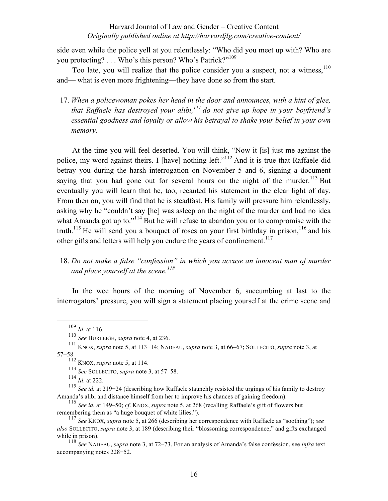side even while the police yell at you relentlessly: "Who did you meet up with? Who are you protecting? . . . Who's this person? Who's Patrick?"<sup>109</sup>

Too late, you will realize that the police consider you a suspect, not a witness,  $110$ and— what is even more frightening—they have done so from the start.

17. *When a policewoman pokes her head in the door and announces, with a hint of glee, that Raffaele has destroyed your alibi,<sup>111</sup> do not give up hope in your boyfriend's essential goodness and loyalty or allow his betrayal to shake your belief in your own memory.*

At the time you will feel deserted. You will think, "Now it [is] just me against the police, my word against theirs. I [have] nothing left."<sup>112</sup> And it is true that Raffaele did betray you during the harsh interrogation on November 5 and 6, signing a document saying that you had gone out for several hours on the night of the murder.<sup>113</sup> But eventually you will learn that he, too, recanted his statement in the clear light of day. From then on, you will find that he is steadfast. His family will pressure him relentlessly, asking why he "couldn't say [he] was asleep on the night of the murder and had no idea what Amanda got up to."<sup>114</sup> But he will refuse to abandon you or to compromise with the truth.<sup>115</sup> He will send you a bouquet of roses on your first birthday in prison,<sup>116</sup> and his other gifts and letters will help you endure the years of confinement.<sup>117</sup>

# 18. *Do not make a false "confession" in which you accuse an innocent man of murder*  and place yourself at the scene.<sup>118</sup>

In the wee hours of the morning of November 6, succumbing at last to the interrogators' pressure, you will sign a statement placing yourself at the crime scene and

 <sup>109</sup> *Id*. at 116.

<sup>110</sup> *See* BURLEIGH, *supra* note 4, at 236.

<sup>111</sup> KNOX, *supra* note 5, at 113−14; NADEAU, *supra* note 3, at 66‒67; SOLLECITO, *supra* note 3, at 57−58.

<sup>112</sup> KNOX, *supra* note 5, at 114.

<sup>&</sup>lt;sup>113</sup> See SOLLECITO, *supra* note 3, at 57–58.

<sup>114</sup> *Id*. at 222.

<sup>115</sup> *See id.* at 219−24 (describing how Raffaele staunchly resisted the urgings of his family to destroy Amanda's alibi and distance himself from her to improve his chances of gaining freedom).

<sup>116</sup> *See id.* at 149‒50; *cf*. KNOX, *supra* note 5, at 268 (recalling Raffaele's gift of flowers but remembering them as "a huge bouquet of white lilies.").

<sup>117</sup> *See* KNOX, *supra* note 5, at 266 (describing her correspondence with Raffaele as "soothing"); *see also* SOLLECITO, *supra* note 3, at 189 (describing their "blossoming correspondence," and gifts exchanged while in prison).

<sup>118</sup> *See* NADEAU, *supra* note 3, at 72‒73. For an analysis of Amanda's false confession, see *infra* text accompanying notes 228−52.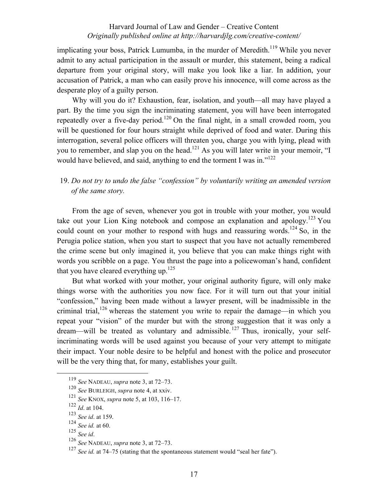implicating your boss, Patrick Lumumba, in the murder of Meredith.<sup>119</sup> While you never admit to any actual participation in the assault or murder, this statement, being a radical departure from your original story, will make you look like a liar. In addition, your accusation of Patrick, a man who can easily prove his innocence, will come across as the desperate ploy of a guilty person.

Why will you do it? Exhaustion, fear, isolation, and youth—all may have played a part. By the time you sign the incriminating statement, you will have been interrogated repeatedly over a five-day period.<sup>120</sup> On the final night, in a small crowded room, you will be questioned for four hours straight while deprived of food and water. During this interrogation, several police officers will threaten you, charge you with lying, plead with you to remember, and slap you on the head.<sup>121</sup> As you will later write in your memoir, "I would have believed, and said, anything to end the torment I was in."<sup>122</sup>

# 19. *Do not try to undo the false "confession" by voluntarily writing an amended version of the same story.*

From the age of seven, whenever you got in trouble with your mother, you would take out your Lion King notebook and compose an explanation and apology.<sup>123</sup> You could count on your mother to respond with hugs and reassuring words.<sup>124</sup> So, in the Perugia police station, when you start to suspect that you have not actually remembered the crime scene but only imagined it, you believe that you can make things right with words you scribble on a page. You thrust the page into a policewoman's hand, confident that you have cleared everything up.<sup>125</sup>

But what worked with your mother, your original authority figure, will only make things worse with the authorities you now face. For it will turn out that your initial "confession," having been made without a lawyer present, will be inadmissible in the criminal trial,<sup>126</sup> whereas the statement you write to repair the damage—in which you repeat your "vision" of the murder but with the strong suggestion that it was only a dream—will be treated as voluntary and admissible.<sup>127</sup> Thus, ironically, your selfincriminating words will be used against you because of your very attempt to mitigate their impact. Your noble desire to be helpful and honest with the police and prosecutor will be the very thing that, for many, establishes your guilt.

 <sup>119</sup> *See* NADEAU, *supra* note 3, at 72‒73.

<sup>120</sup> *See* BURLEIGH, *supra* note 4, at xxiv.

<sup>121</sup> *See* KNOX, *supra* note 5, at 103, 116‒17.

<sup>122</sup> *Id*. at 104.

<sup>123</sup> *See id*. at 159.

<sup>124</sup> *See id.* at 60.

<sup>&</sup>lt;sup>126</sup> *See* NADEAU, *supra* note 3, at 72–73.

<sup>&</sup>lt;sup>127</sup> *See id.* at 74–75 (stating that the spontaneous statement would "seal her fate").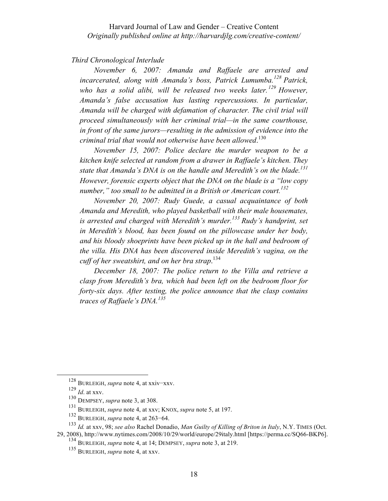### *Third Chronological Interlude*

*November 6, 2007: Amanda and Raffaele are arrested and incarcerated, along with Amanda's boss, Patrick Lumumba.<sup>128</sup> Patrick, who has a solid alibi, will be released two weeks later. <sup>129</sup> However, Amanda's false accusation has lasting repercussions. In particular, Amanda will be charged with defamation of character. The civil trial will proceed simultaneously with her criminal trial—in the same courthouse, in front of the same jurors—resulting in the admission of evidence into the criminal trial that would not otherwise have been allowed*. 130

*November 15, 2007: Police declare the murder weapon to be a kitchen knife selected at random from a drawer in Raffaele's kitchen. They state that Amanda's DNA is on the handle and Meredith's on the blade.131 However, forensic experts object that the DNA on the blade is a "low copy number," too small to be admitted in a British or American court. 132*

*November 20, 2007: Rudy Guede, a casual acquaintance of both Amanda and Meredith, who played basketball with their male housemates, is arrested and charged with Meredith's murder.133 Rudy's handprint, set in Meredith's blood, has been found on the pillowcase under her body, and his bloody shoeprints have been picked up in the hall and bedroom of the villa. His DNA has been discovered inside Meredith's vagina, on the cuff of her sweatshirt, and on her bra strap*. 134

*December 18, 2007: The police return to the Villa and retrieve a clasp from Meredith's bra, which had been left on the bedroom floor for forty-six days. After testing, the police announce that the clasp contains traces of Raffaele's DNA. 135*

 <sup>128</sup> BURLEIGH, *supra* note 4, at xxiv−xxv.

<sup>129</sup> *Id*. at xxv.

<sup>130</sup> DEMPSEY, *supra* note 3, at 308.

<sup>131</sup> BURLEIGH, *supra* note 4, at xxv; KNOX, *supra* note 5, at 197.

<sup>132</sup> BURLEIGH, *supra* note 4, at 263−64.

<sup>133</sup> *Id.* at xxv, 98; *see also* Rachel Donadio, *Man Guilty of Killing of Briton in Italy*, N.Y. TIMES (Oct. 29, 2008), http://www.nytimes.com/2008/10/29/world/europe/29italy.html [https://perma.cc/SQ66-BKP6].

<sup>134</sup> BURLEIGH, *supra* note 4, at 14; DEMPSEY, *supra* note 3, at 219.

<sup>135</sup> BURLEIGH, *supra* note 4, at xxv.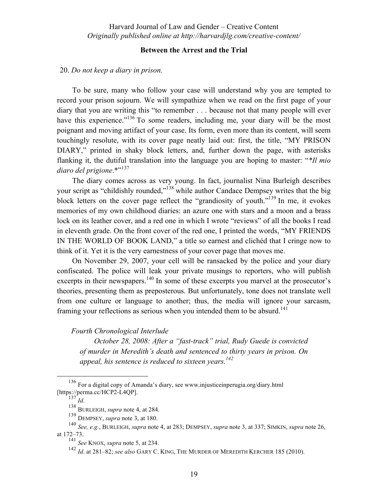# **Between the Arrest and the Trial**

### 20. *Do not keep a diary in prison.*

To be sure, many who follow your case will understand why you are tempted to record your prison sojourn. We will sympathize when we read on the first page of your diary that you are writing this "to remember . . . because not that many people will ever have this experience.<sup>"136</sup> To some readers, including me, your diary will be the most poignant and moving artifact of your case. Its form, even more than its content, will seem touchingly resolute, with its cover page neatly laid out: first, the title, "MY PRISON DIARY," printed in shaky block letters, and, further down the page, with asterisks flanking it, the dutiful translation into the language you are hoping to master: "*\*Il mio diaro del prigione*.\*"<sup>137</sup>

The diary comes across as very young. In fact, journalist Nina Burleigh describes your script as "childishly rounded,"<sup>138</sup> while author Candace Dempsey writes that the big block letters on the cover page reflect the "grandiosity of youth."139 In me, it evokes memories of my own childhood diaries: an azure one with stars and a moon and a brass lock on its leather cover, and a red one in which I wrote "reviews" of all the books I read in eleventh grade. On the front cover of the red one, I printed the words, "MY FRIENDS IN THE WORLD OF BOOK LAND," a title so earnest and clichéd that I cringe now to think of it. Yet it is the very earnestness of your cover page that moves me.

On November 29, 2007, your cell will be ransacked by the police and your diary confiscated. The police will leak your private musings to reporters, who will publish excerpts in their newspapers.<sup>140</sup> In some of these excerpts you marvel at the prosecutor's theories, presenting them as preposterous. But unfortunately, tone does not translate well from one culture or language to another; thus, the media will ignore your sarcasm, framing your reflections as serious when you intended them to be absurd.<sup>141</sup>

### *Fourth Chronological Interlude*

*October 28, 2008: After a "fast-track" trial, Rudy Guede is convicted of murder in Meredith's death and sentenced to thirty years in prison. On appeal, his sentence is reduced to sixteen years.*<sup>142</sup>

 <sup>136</sup> For a digital copy of Amanda's diary, see www.injusticeinperugia.org/diary.html [https://perma.cc/HCP2-L4QP].

 $\int_{137}^{137} Id.$ 

<sup>138</sup> BURLEIGH, *supra* note 4, at 284.

<sup>139</sup> DEMPSEY, *supra* note 3, at 180.

<sup>140</sup> *See, e.g.*, BURLEIGH, *supra* note 4, at 283; DEMPSEY, *supra* note 3, at 337; SIMKIN, *supra* note 26, at 172‒73.

<sup>141</sup> *See* KNOX, *supra* note 5, at 234.

<sup>142</sup> *Id.* at 281–82; *see also* GARY C. KING, THE MURDER OF MEREDITH KERCHER 185 (2010).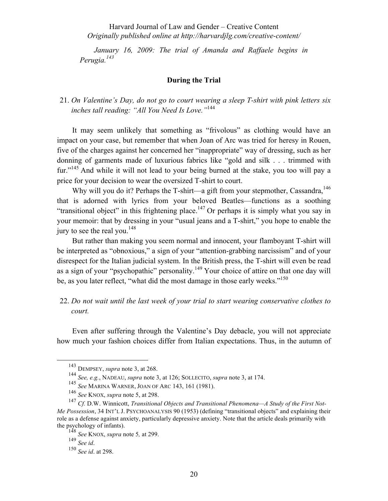*January 16, 2009: The trial of Amanda and Raffaele begins in Perugia.<sup>143</sup>*

### **During the Trial**

# 21. *On Valentine's Day, do not go to court wearing a sleep T-shirt with pink letters six inches tall reading: "All You Need Is Love."*<sup>144</sup>

It may seem unlikely that something as "frivolous" as clothing would have an impact on your case, but remember that when Joan of Arc was tried for heresy in Rouen, five of the charges against her concerned her "inappropriate" way of dressing, such as her donning of garments made of luxurious fabrics like "gold and silk . . . trimmed with fur."<sup>145</sup> And while it will not lead to your being burned at the stake, you too will pay a price for your decision to wear the oversized T-shirt to court.

Why will you do it? Perhaps the T-shirt—a gift from your stepmother, Cassandra.<sup>146</sup> that is adorned with lyrics from your beloved Beatles—functions as a soothing "transitional object" in this frightening place.<sup>147</sup> Or perhaps it is simply what you say in your memoir: that by dressing in your "usual jeans and a T-shirt," you hope to enable the jury to see the real you.<sup>148</sup>

But rather than making you seem normal and innocent, your flamboyant T-shirt will be interpreted as "obnoxious," a sign of your "attention-grabbing narcissism" and of your disrespect for the Italian judicial system. In the British press, the T-shirt will even be read as a sign of your "psychopathic" personality.<sup>149</sup> Your choice of attire on that one day will be, as you later reflect, "what did the most damage in those early weeks."<sup>150</sup>

# 22. *Do not wait until the last week of your trial to start wearing conservative clothes to court.*

Even after suffering through the Valentine's Day debacle, you will not appreciate how much your fashion choices differ from Italian expectations. Thus, in the autumn of

 <sup>143</sup> DEMPSEY, *supra* note 3, at 268.

<sup>144</sup> *See, e.g.*, NADEAU, *supra* note 3, at 126; SOLLECITO, *supra* note 3, at 174.

<sup>145</sup> *See* MARINA WARNER, JOAN OF ARC 143, 161 (1981).

<sup>146</sup> *See* KNOX, *supra* note 5, at 298.

<sup>&</sup>lt;sup>147</sup> Cf. D.W. Winnicott, *Transitional Objects and Transitional Phenomena—A Study of the First Not-Me Possession*, 34 INT'L J. PSYCHOANALYSIS 90 (1953) (defining "transitional objects" and explaining their role as a defense against anxiety, particularly depressive anxiety. Note that the article deals primarily with the psychology of infants).

<sup>148</sup> *See* KNOX, *supra* note 5*,* at 299.

<sup>149</sup> *See id*.

<sup>150</sup> *See id*. at 298.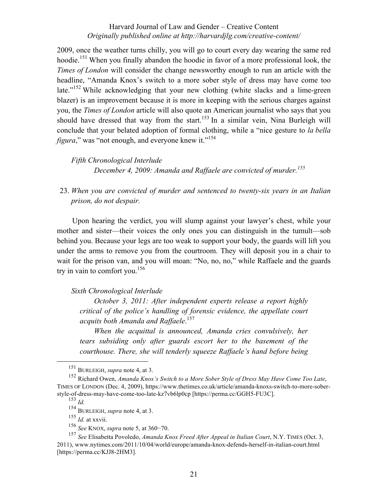2009, once the weather turns chilly, you will go to court every day wearing the same red hoodie.<sup>151</sup> When you finally abandon the hoodie in favor of a more professional look, the *Times of London* will consider the change newsworthy enough to run an article with the headline, "Amanda Knox's switch to a more sober style of dress may have come too late."<sup>152</sup> While acknowledging that your new clothing (white slacks and a lime-green blazer) is an improvement because it is more in keeping with the serious charges against you, the *Times of London* article will also quote an American journalist who says that you should have dressed that way from the start.<sup>153</sup> In a similar vein, Nina Burleigh will conclude that your belated adoption of formal clothing, while a "nice gesture to *la bella figura*," was "not enough, and everyone knew it."<sup>154</sup>

*Fifth Chronological Interlude December 4, 2009: Amanda and Raffaele are convicted of murder.<sup>155</sup>*

23. *When you are convicted of murder and sentenced to twenty-six years in an Italian prison, do not despair.*

Upon hearing the verdict, you will slump against your lawyer's chest, while your mother and sister—their voices the only ones you can distinguish in the tumult—sob behind you. Because your legs are too weak to support your body, the guards will lift you under the arms to remove you from the courtroom. They will deposit you in a chair to wait for the prison van, and you will moan: "No, no, no," while Raffaele and the guards try in vain to comfort you.<sup>156</sup>

#### *Sixth Chronological Interlude*

*October 3, 2011: After independent experts release a report highly critical of the police's handling of forensic evidence, the appellate court acquits both Amanda and Raffaele*. 157

*When the acquittal is announced, Amanda cries convulsively, her tears subsiding only after guards escort her to the basement of the courthouse. There, she will tenderly squeeze Raffaele's hand before being* 

 <sup>151</sup> BURLEIGH, *supra* note 4, at 3.

<sup>152</sup> Richard Owen, *Amanda Knox's Switch to a More Sober Style of Dress May Have Come Too Late*, TIMES OF LONDON (Dec. 4, 2009), https://www.thetimes.co.uk/article/amanda-knoxs-switch-to-more-soberstyle-of-dress-may-have-come-too-late-kz7vb6lp0cp [https://perma.cc/GGH5-FU3C].

<sup>153</sup> *Id.*

<sup>154</sup> BURLEIGH, *supra* note 4, at 3.

<sup>155</sup> *Id.* at xxvii.

<sup>156</sup> *See* KNOX, *supra* note 5, at 360−70.

<sup>157</sup> *See* Elisabetta Povoledo, *Amanda Knox Freed After Appeal in Italian Court*, N.Y. TIMES (Oct. 3, 2011), www.nytimes.com/2011/10/04/world/europe/amanda-knox-defends-herself-in-italian-court.html [https://perma.cc/KJJ8-2HM3].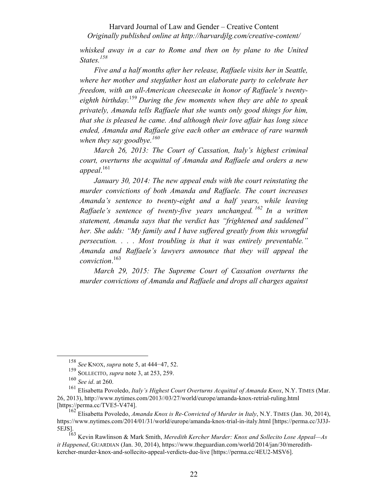*whisked away in a car to Rome and then on by plane to the United States.<sup>158</sup>*

*Five and a half months after her release, Raffaele visits her in Seattle, where her mother and stepfather host an elaborate party to celebrate her freedom, with an all-American cheesecake in honor of Raffaele's twentyeighth birthday.* <sup>159</sup> *During the few moments when they are able to speak privately, Amanda tells Raffaele that she wants only good things for him, that she is pleased he came. And although their love affair has long since ended, Amanda and Raffaele give each other an embrace of rare warmth when they say goodbye. 160*

*March 26, 2013: The Court of Cassation, Italy's highest criminal court, overturns the acquittal of Amanda and Raffaele and orders a new appeal*. 161

*January 30, 2014: The new appeal ends with the court reinstating the murder convictions of both Amanda and Raffaele. The court increases Amanda's sentence to twenty-eight and a half years, while leaving Raffaele's sentence of twenty-five years unchanged. <sup>162</sup> In a written statement, Amanda says that the verdict has "frightened and saddened" her. She adds: "My family and I have suffered greatly from this wrongful persecution. . . . Most troubling is that it was entirely preventable." Amanda and Raffaele's lawyers announce that they will appeal the conviction*. 163

*March 29, 2015: The Supreme Court of Cassation overturns the murder convictions of Amanda and Raffaele and drops all charges against* 

<sup>163</sup> Kevin Rawlinson & Mark Smith, *Meredith Kercher Murder: Knox and Sollecito Lose Appeal—As it Happened*, GUARDIAN (Jan. 30, 2014), https://www.theguardian.com/world/2014/jan/30/meredithkercher-murder-knox-and-sollecito-appeal-verdicts-due-live [https://perma.cc/4EU2-MSV6].

 <sup>158</sup> *See* KNOX, *supra* note 5, at 444−47, 52.

<sup>159</sup> SOLLECITO, *supra* note 3, at 253, 259.

<sup>160</sup> *See id*. at 260.

<sup>161</sup> Elisabetta Povoledo, *Italy's Highest Court Overturns Acquittal of Amanda Knox*, N.Y. TIMES (Mar. 26, 2013), http://www.nytimes.com/2013//03/27/world/europe/amanda-knox-retrial-ruling.html [https://perma.cc/TVE5-V474].

<sup>162</sup> Elisabetta Povoledo, *Amanda Knox is Re-Convicted of Murder in Italy*, N.Y. TIMES (Jan. 30, 2014), https://www.nytimes.com/2014/01/31/world/europe/amanda-knox-trial-in-italy.html [https://perma.cc/3J3J-5EJS].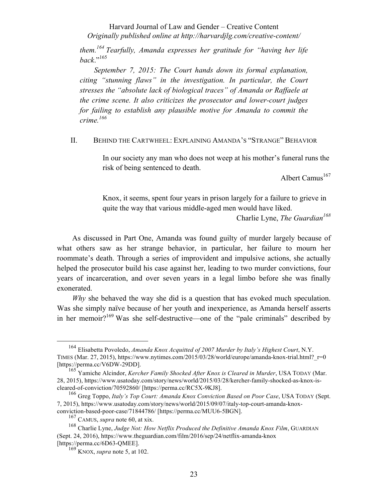*them.<sup>164</sup> Tearfully, Amanda expresses her gratitude for "having her life back*."165

*September 7, 2015: The Court hands down its formal explanation, citing "stunning flaws" in the investigation. In particular, the Court stresses the "absolute lack of biological traces" of Amanda or Raffaele at the crime scene. It also criticizes the prosecutor and lower-court judges for failing to establish any plausible motive for Amanda to commit the crime. 166*

II. BEHIND THE CARTWHEEL: EXPLAINING AMANDA'S "STRANGE" BEHAVIOR

In our society any man who does not weep at his mother's funeral runs the risk of being sentenced to death.

Albert Camus<sup>167</sup>

Knox, it seems, spent four years in prison largely for a failure to grieve in quite the way that various middle-aged men would have liked. Charlie Lyne, *The Guardian*<sup>168</sup>

As discussed in Part One, Amanda was found guilty of murder largely because of what others saw as her strange behavior, in particular, her failure to mourn her roommate's death. Through a series of improvident and impulsive actions, she actually helped the prosecutor build his case against her, leading to two murder convictions, four years of incarceration, and over seven years in a legal limbo before she was finally exonerated.

*Why* she behaved the way she did is a question that has evoked much speculation. Was she simply naïve because of her youth and inexperience, as Amanda herself asserts in her memoir?169 Was she self-destructive—one of the "pale criminals" described by

 <sup>164</sup> Elisabetta Povoledo, *Amanda Knox Acquitted of 2007 Murder by Italy's Highest Court*, N.Y. TIMES (Mar. 27, 2015), https://www.nytimes.com/2015/03/28/world/europe/amanda-knox-trial.html?  $r=0$ [https://perma.cc/V6DW-29DD].

<sup>165</sup> Yamiche Alcindor, *Kercher Family Shocked After Knox is Cleared in Murder*, USA TODAY (Mar. 28, 2015), https://www.usatoday.com/story/news/world/2015/03/28/kercher-family-shocked-as-knox-iscleared-of-conviction/70592860/ [https://perma.cc/RC5X-9KJ8].

<sup>166</sup> Greg Toppo, *Italy's Top Court: Amanda Knox Conviction Based on Poor Case*, USA TODAY (Sept. 7, 2015), https://www.usatoday.com/story/news/world/2015/09/07/italy-top-court-amanda-knoxconviction-based-poor-case/71844786/ [https://perma.cc/MUU6-5BGN].

<sup>167</sup> CAMUS, *supra* note 60, at xix.

<sup>168</sup> Charlie Lyne, *Judge Not: How Netflix Produced the Definitive Amanda Knox Film*, GUARDIAN (Sept. 24, 2016), https://www.theguardian.com/film/2016/sep/24/netflix-amanda-knox [https://perma.cc/6D63-QMEE].

<sup>169</sup> KNOX, *supra* note 5, at 102.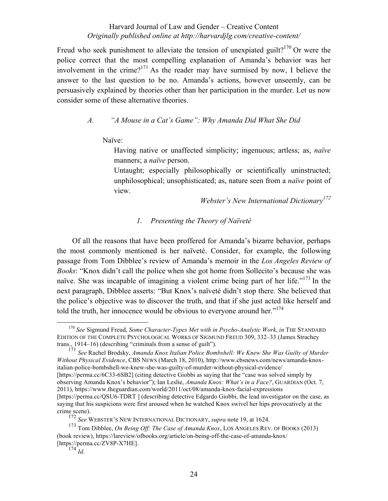Freud who seek punishment to alleviate the tension of unexpiated guilt?<sup>170</sup> Or were the police correct that the most compelling explanation of Amanda's behavior was her involvement in the crime?<sup>171</sup> As the reader may have surmised by now, I believe the answer to the last question to be no. Amanda's actions, however unseemly, can be persuasively explained by theories other than her participation in the murder. Let us now consider some of these alternative theories.

# *A. "A Mouse in a Cat's Game": Why Amanda Did What She Did*

Naïve:

Having native or unaffected simplicity; ingenuous; artless; as, *naïve* manners; a *naïve* person.

Untaught; especially philosophically or scientifically uninstructed; unphilosophical; unsophisticated; as, nature seen from a *naïve* point of view.

*Webster's New International Dictionary<sup>172</sup>*

# *1. Presenting the Theory of Naïveté*

Of all the reasons that have been proffered for Amanda's bizarre behavior, perhaps the most commonly mentioned is her naïveté. Consider, for example, the following passage from Tom Dibblee's review of Amanda's memoir in the *Los Angeles Review of Books*: "Knox didn't call the police when she got home from Sollecito's because she was naïve. She was incapable of imagining a violent crime being part of her life."<sup>173</sup> In the next paragraph, Dibblee asserts: "But Knox's naïveté didn't stop there. She believed that the police's objective was to discover the truth, and that if she just acted like herself and told the truth, her innocence would be obvious to everyone around her."<sup>174</sup>

<sup>171</sup> *See* Rachel Brodsky, *Amanda Knox Italian Police Bombshell: We Knew She Was Guilty of Murder Without Physical Evidence*, CBS NEWS (March 18, 2010), http://www.cbsnews.com/news/amanda-knoxitalian-police-bombshell-we-knew-she-was-guilty-of-murder-without-physical-evidence/ [https://perma.cc/6C33-6SB2] (citing detective Giobbi as saying that the "case was solved simply by observing Amanda Knox's behavior"); Ian Leslie, *Amanda Knox: What's in a Face?*, GUARDIAN (Oct. 7, 2011), https://www.theguardian.com/world/2011/oct/08/amanda-knox-facial-expressions [https://perma.cc/QSU6-TDRT ] (describing detective Edgardo Giobbi, the lead investigator on the case, as saying that his suspicions were first aroused when he watched Knox swivel her hips provocatively at the crime scene).

 <sup>170</sup> *See* Sigmund Freud, *Some Character-Types Met with in Psycho-Analytic Work*, *in* THE STANDARD EDITION OF THE COMPLETE PSYCHOLOGICAL WORKS OF SIGMUND FREUD 309, 332‒33 (James Strachey trans., 1914–16) (describing "criminals from a sense of guilt").

<sup>172</sup> *See* WEBSTER'S NEW INTERNATIONAL DICTIONARY, *supra* note 19, at 1624.

<sup>173</sup> Tom Dibblee, *On Being Off: The Case of Amanda Knox*, LOS ANGELES REV. OF BOOKS (2013) (book review), https://lareview/ofbooks.org/article/on-being-off-the-case-of-amanda-knox/ [https://perma.cc/ZV8P-X7HE].

 $174$   $Id.$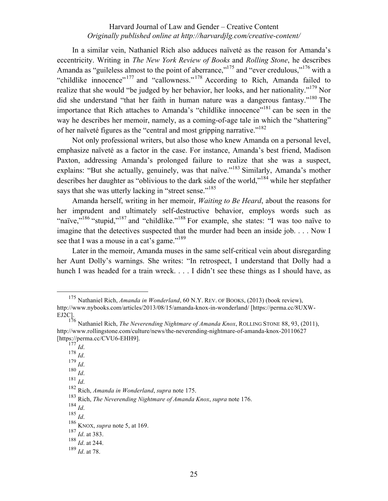In a similar vein, Nathaniel Rich also adduces naïveté as the reason for Amanda's eccentricity. Writing in *The New York Review of Books* and *Rolling Stone*, he describes Amanda as "guileless almost to the point of aberrance,"<sup>175</sup> and "ever credulous,"<sup>176</sup> with a "childlike innocence"<sup>177</sup> and "callowness."<sup>178</sup> According to Rich, Amanda failed to realize that she would "be judged by her behavior, her looks, and her nationality."<sup>179</sup> Nor did she understand "that her faith in human nature was a dangerous fantasy."<sup>180</sup> The importance that Rich attaches to Amanda's "childlike innocence"<sup>181</sup> can be seen in the way he describes her memoir, namely, as a coming-of-age tale in which the "shattering" of her naïveté figures as the "central and most gripping narrative."<sup>182</sup>

Not only professional writers, but also those who knew Amanda on a personal level, emphasize naïveté as a factor in the case. For instance, Amanda's best friend, Madison Paxton, addressing Amanda's prolonged failure to realize that she was a suspect, explains: "But she actually, genuinely, was that naïve."<sup>183</sup> Similarly, Amanda's mother describes her daughter as "oblivious to the dark side of the world,"<sup>184</sup> while her stepfather says that she was utterly lacking in "street sense."<sup>185</sup>

Amanda herself, writing in her memoir, *Waiting to Be Heard*, about the reasons for her imprudent and ultimately self-destructive behavior, employs words such as "naïve,"<sup>186</sup> "stupid,"<sup>187</sup> and "childlike."<sup>188</sup> For example, she states: "I was too naïve to imagine that the detectives suspected that the murder had been an inside job. . . . Now I see that I was a mouse in a cat's game."<sup>189</sup>

Later in the memoir, Amanda muses in the same self-critical vein about disregarding her Aunt Dolly's warnings. She writes: "In retrospect, I understand that Dolly had a hunch I was headed for a train wreck. . . . I didn't see these things as I should have, as

179 *Id*. 180 *Id*.

 <sup>175</sup> Nathaniel Rich, *Amanda in Wonderland*, 60 N.Y. REV. OF BOOKS, (2013) (book review), http://www.nybooks.com/articles/2013/08/15/amanda-knox-in-wonderland/ [https://perma.cc/8UXW-EJ2C].

<sup>176</sup> Nathaniel Rich, *The Neverending Nightmare of Amanda Knox*, ROLLING STONE 88, 93, (2011), http://www.rollingstone.com/culture/news/the-neverending-nightmare-of-amanda-knox-20110627 [https://perma.cc/CVU6-EHH9].<br> $^{177}$ Id.

<sup>177</sup> *Id*. 178 *Id*.

<sup>181</sup> *Id*. <sup>182</sup> Rich, *Amanda in Wonderland*, *supra* note 175.

<sup>183</sup> Rich, *The Neverending Nightmare of Amanda Knox*, *supra* note 176. <sup>184</sup> *Id*.

<sup>185</sup> *Id*. <sup>186</sup> KNOX, *supra* note 5, at 169.

<sup>187</sup> *Id*. at 383.

<sup>188</sup> *Id*. at 244.

<sup>189</sup> *Id*. at 78.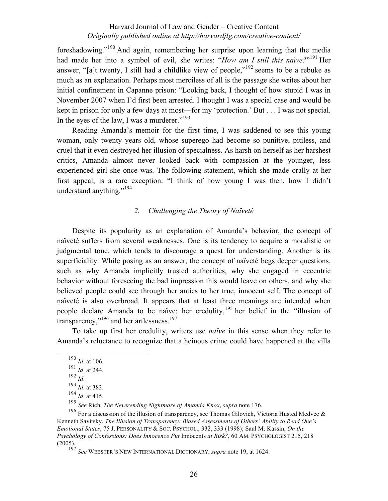foreshadowing."<sup>190</sup> And again, remembering her surprise upon learning that the media had made her into a symbol of evil, she writes: "*How am I still this naïve?*" <sup>191</sup> Her answer, "alt twenty. I still had a childlike view of people."<sup>192</sup> seems to be a rebuke as much as an explanation. Perhaps most merciless of all is the passage she writes about her initial confinement in Capanne prison: "Looking back, I thought of how stupid I was in November 2007 when I'd first been arrested. I thought I was a special case and would be kept in prison for only a few days at most—for my 'protection.' But . . . I was not special. In the eyes of the law, I was a murderer." $193$ 

Reading Amanda's memoir for the first time, I was saddened to see this young woman, only twenty years old, whose superego had become so punitive, pitiless, and cruel that it even destroyed her illusion of specialness. As harsh on herself as her harshest critics, Amanda almost never looked back with compassion at the younger, less experienced girl she once was. The following statement, which she made orally at her first appeal, is a rare exception: "I think of how young I was then, how I didn't understand anything."<sup>194</sup>

# *2. Challenging the Theory of Naïveté*

Despite its popularity as an explanation of Amanda's behavior, the concept of naïveté suffers from several weaknesses. One is its tendency to acquire a moralistic or judgmental tone, which tends to discourage a quest for understanding. Another is its superficiality. While posing as an answer, the concept of naïveté begs deeper questions, such as why Amanda implicitly trusted authorities, why she engaged in eccentric behavior without foreseeing the bad impression this would leave on others, and why she believed people could see through her antics to her true, innocent self. The concept of naïveté is also overbroad. It appears that at least three meanings are intended when people declare Amanda to be naïve: her credulity,<sup>195</sup> her belief in the "illusion of transparency," $196$  and her artlessness.<sup>197</sup>

To take up first her credulity, writers use *naïve* in this sense when they refer to Amanda's reluctance to recognize that a heinous crime could have happened at the villa

 <sup>190</sup> *Id*. at 106.

<sup>191</sup> *Id*. at 244.

<sup>192</sup> *Id*.

<sup>193</sup> *Id*. at 383.

<sup>194</sup> *Id.* at 365.<br>194 *Id.* at 415.<br><sup>195</sup> See Rich, *The Neverending Nightmare of Amanda Knox, supra* note 176.

<sup>&</sup>lt;sup>196</sup> For a discussion of the illusion of transparency, see Thomas Gilovich, Victoria Husted Medvec & Kenneth Savitsky, *The Illusion of Transparency: Biased Assessments of Others' Ability to Read One's Emotional States*, 75 J. PERSONALITY & SOC. PSYCHOL., 332, 333 (1998); Saul M. Kassin, *On the Psychology of Confessions: Does Innocence Put* Innocents *at Risk?*, 60 AM. PSYCHOLOGIST 215, 218 (2005).

<sup>197</sup> *See* WEBSTER'S NEW INTERNATIONAL DICTIONARY, *supra* note 19, at 1624.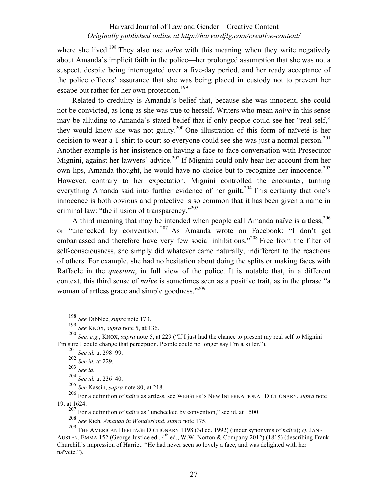where she lived.<sup>198</sup> They also use *naïve* with this meaning when they write negatively about Amanda's implicit faith in the police—her prolonged assumption that she was not a suspect, despite being interrogated over a five-day period, and her ready acceptance of the police officers' assurance that she was being placed in custody not to prevent her escape but rather for her own protection.<sup>199</sup>

Related to credulity is Amanda's belief that, because she was innocent, she could not be convicted, as long as she was true to herself. Writers who mean *naïve* in this sense may be alluding to Amanda's stated belief that if only people could see her "real self," they would know she was not guilty.<sup>200</sup> One illustration of this form of naïveté is her decision to wear a T-shirt to court so everyone could see she was just a normal person.<sup>201</sup> Another example is her insistence on having a face-to-face conversation with Prosecutor Mignini, against her lawyers' advice.<sup>202</sup> If Mignini could only hear her account from her own lips, Amanda thought, he would have no choice but to recognize her innocence.<sup>203</sup> However, contrary to her expectation, Mignini controlled the encounter, turning everything Amanda said into further evidence of her guilt.<sup>204</sup> This certainty that one's innocence is both obvious and protective is so common that it has been given a name in criminal law: "the illusion of transparency."205

A third meaning that may be intended when people call Amanda naïve is artless, $206$ or "unchecked by convention. <sup>207</sup> As Amanda wrote on Facebook: "I don't get embarrassed and therefore have very few social inhibitions."<sup>208</sup> Free from the filter of self-consciousness, she simply did whatever came naturally, indifferent to the reactions of others. For example, she had no hesitation about doing the splits or making faces with Raffaele in the *questura*, in full view of the police. It is notable that, in a different context, this third sense of *naïve* is sometimes seen as a positive trait, as in the phrase "a woman of artless grace and simple goodness."<sup>209</sup>

 <sup>198</sup> *See* Dibblee, *supra* note 173.

<sup>199</sup> *See* KNOX, *supra* note 5, at 136.

<sup>200</sup> *See, e.g.*, KNOX, *supra* note 5, at 229 ("If I just had the chance to present my real self to Mignini I'm sure I could change that perception. People could no longer say I'm a killer.").

<sup>201</sup> *See id.* at 298–99.

<sup>202</sup> *See id.* at 229.

<sup>203</sup> *See id.*

<sup>204</sup> *See id.* at 236–40.

<sup>205</sup> *See* Kassin, *supra* note 80, at 218.

<sup>206</sup> For a definition of *naïve* as artless, see WEBSTER'S NEW INTERNATIONAL DICTIONARY, *supra* note 19, at 1624.

<sup>&</sup>lt;sup>207</sup> For a definition of *naïve* as "unchecked by convention," see id. at 1500.

<sup>208</sup> *See* Rich, *Amanda in Wonderland*, *supra* note 175.

<sup>209</sup> THE AMERICAN HERITAGE DICTIONARY 1198 (3d ed. 1992) (under synonyms of *naïve*); *cf.* JANE AUSTEN, EMMA 152 (George Justice ed.,  $4^{th}$  ed., W.W. Norton & Company 2012) (1815) (describing Frank Churchill's impression of Harriet: "He had never seen so lovely a face, and was delighted with her naïveté.").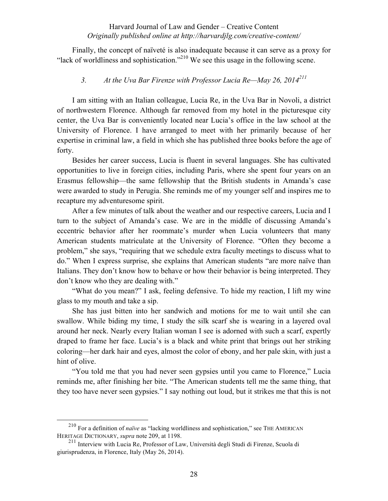Finally, the concept of naïveté is also inadequate because it can serve as a proxy for "lack of worldliness and sophistication."<sup>210</sup> We see this usage in the following scene.

# *3. At the Uva Bar Firenze with Professor Lucia Re—May 26, 2014211*

I am sitting with an Italian colleague, Lucia Re, in the Uva Bar in Novoli, a district of northwestern Florence. Although far removed from my hotel in the picturesque city center, the Uva Bar is conveniently located near Lucia's office in the law school at the University of Florence. I have arranged to meet with her primarily because of her expertise in criminal law, a field in which she has published three books before the age of forty.

Besides her career success, Lucia is fluent in several languages. She has cultivated opportunities to live in foreign cities, including Paris, where she spent four years on an Erasmus fellowship—the same fellowship that the British students in Amanda's case were awarded to study in Perugia. She reminds me of my younger self and inspires me to recapture my adventuresome spirit.

After a few minutes of talk about the weather and our respective careers, Lucia and I turn to the subject of Amanda's case. We are in the middle of discussing Amanda's eccentric behavior after her roommate's murder when Lucia volunteers that many American students matriculate at the University of Florence. "Often they become a problem," she says, "requiring that we schedule extra faculty meetings to discuss what to do." When I express surprise, she explains that American students "are more naïve than Italians. They don't know how to behave or how their behavior is being interpreted. They don't know who they are dealing with."

"What do you mean?" I ask, feeling defensive. To hide my reaction, I lift my wine glass to my mouth and take a sip.

She has just bitten into her sandwich and motions for me to wait until she can swallow. While biding my time, I study the silk scarf she is wearing in a layered oval around her neck. Nearly every Italian woman I see is adorned with such a scarf, expertly draped to frame her face. Lucia's is a black and white print that brings out her striking coloring—her dark hair and eyes, almost the color of ebony, and her pale skin, with just a hint of olive.

"You told me that you had never seen gypsies until you came to Florence," Lucia reminds me, after finishing her bite. "The American students tell me the same thing, that they too have never seen gypsies." I say nothing out loud, but it strikes me that this is not

 <sup>210</sup> For a definition of *naïve* as "lacking worldliness and sophistication," see THE AMERICAN HERITAGE DICTIONARY, *supra* note 209, at 1198.

<sup>211</sup> Interview with Lucia Re, Professor of Law, Università degli Studi di Firenze, Scuola di giurisprudenza, in Florence, Italy (May 26, 2014).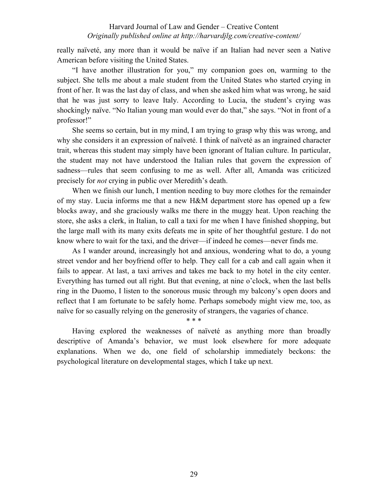really naïveté, any more than it would be naïve if an Italian had never seen a Native American before visiting the United States.

"I have another illustration for you," my companion goes on, warming to the subject. She tells me about a male student from the United States who started crying in front of her. It was the last day of class, and when she asked him what was wrong, he said that he was just sorry to leave Italy. According to Lucia, the student's crying was shockingly naïve. "No Italian young man would ever do that," she says. "Not in front of a professor!"

She seems so certain, but in my mind, I am trying to grasp why this was wrong, and why she considers it an expression of naïveté. I think of naïveté as an ingrained character trait, whereas this student may simply have been ignorant of Italian culture. In particular, the student may not have understood the Italian rules that govern the expression of sadness—rules that seem confusing to me as well. After all, Amanda was criticized precisely for *not* crying in public over Meredith's death.

When we finish our lunch, I mention needing to buy more clothes for the remainder of my stay. Lucia informs me that a new H&M department store has opened up a few blocks away, and she graciously walks me there in the muggy heat. Upon reaching the store, she asks a clerk, in Italian, to call a taxi for me when I have finished shopping, but the large mall with its many exits defeats me in spite of her thoughtful gesture. I do not know where to wait for the taxi, and the driver—if indeed he comes—never finds me.

As I wander around, increasingly hot and anxious, wondering what to do, a young street vendor and her boyfriend offer to help. They call for a cab and call again when it fails to appear. At last, a taxi arrives and takes me back to my hotel in the city center. Everything has turned out all right. But that evening, at nine o'clock, when the last bells ring in the Duomo, I listen to the sonorous music through my balcony's open doors and reflect that I am fortunate to be safely home. Perhaps somebody might view me, too, as naïve for so casually relying on the generosity of strangers, the vagaries of chance.

\* \* \*

Having explored the weaknesses of naïveté as anything more than broadly descriptive of Amanda's behavior, we must look elsewhere for more adequate explanations. When we do, one field of scholarship immediately beckons: the psychological literature on developmental stages, which I take up next.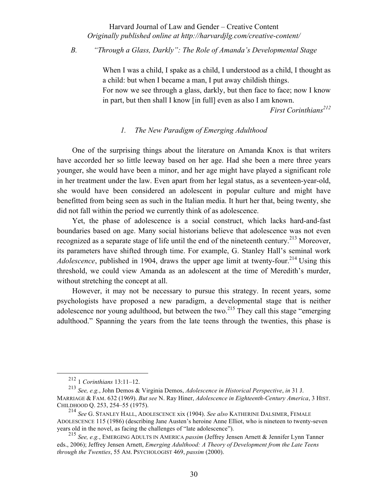# *B. "Through a Glass, Darkly": The Role of Amanda's Developmental Stage*

When I was a child, I spake as a child, I understood as a child, I thought as a child: but when I became a man, I put away childish things. For now we see through a glass, darkly, but then face to face; now I know in part, but then shall I know [in full] even as also I am known.

*First Corinthians<sup>212</sup>*

# *1. The New Paradigm of Emerging Adulthood*

One of the surprising things about the literature on Amanda Knox is that writers have accorded her so little leeway based on her age. Had she been a mere three years younger, she would have been a minor, and her age might have played a significant role in her treatment under the law. Even apart from her legal status, as a seventeen-year-old, she would have been considered an adolescent in popular culture and might have benefitted from being seen as such in the Italian media. It hurt her that, being twenty, she did not fall within the period we currently think of as adolescence.

Yet, the phase of adolescence is a social construct, which lacks hard-and-fast boundaries based on age. Many social historians believe that adolescence was not even recognized as a separate stage of life until the end of the nineteenth century.<sup>213</sup> Moreover, its parameters have shifted through time. For example, G. Stanley Hall's seminal work *Adolescence*, published in 1904, draws the upper age limit at twenty-four.<sup>214</sup> Using this threshold, we could view Amanda as an adolescent at the time of Meredith's murder, without stretching the concept at all.

However, it may not be necessary to pursue this strategy. In recent years, some psychologists have proposed a new paradigm, a developmental stage that is neither adolescence nor young adulthood, but between the two.<sup>215</sup> They call this stage "emerging" adulthood." Spanning the years from the late teens through the twenties, this phase is

 <sup>212</sup> <sup>1</sup> *Corinthians* 13:11‒12.

<sup>213</sup> *See, e.g.*, John Demos & Virginia Demos, *Adolescence in Historical Perspective*, *in* 31 J. MARRIAGE & FAM. 632 (1969). *But see* N. Ray Hiner, *Adolescence in Eighteenth-Century America*, 3 HIST. CHILDHOOD Q. 253, 254‒55 (1975).

<sup>214</sup> *See* G. STANLEY HALL, ADOLESCENCE xix (1904). *See also* KATHERINE DALSIMER, FEMALE ADOLESCENCE 115 (1986) (describing Jane Austen's heroine Anne Elliot, who is nineteen to twenty-seven years old in the novel, as facing the challenges of "late adolescence").

<sup>215</sup> *See, e.g.*, EMERGING ADULTS IN AMERICA *passim* (Jeffrey Jensen Arnett & Jennifer Lynn Tanner eds., 2006); Jeffrey Jensen Arnett, *Emerging Adulthood: A Theory of Development from the Late Teens through the Twenties*, 55 AM. PSYCHOLOGIST 469, *passim* (2000).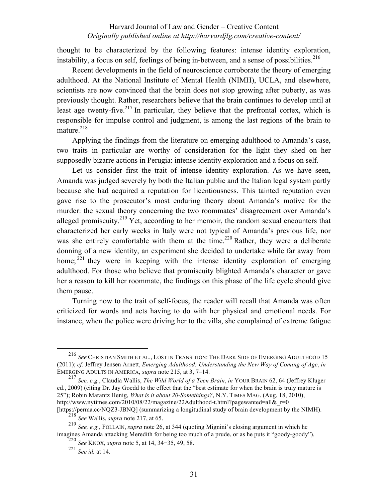thought to be characterized by the following features: intense identity exploration, instability, a focus on self, feelings of being in-between, and a sense of possibilities.<sup>216</sup>

Recent developments in the field of neuroscience corroborate the theory of emerging adulthood. At the National Institute of Mental Health (NIMH), UCLA, and elsewhere, scientists are now convinced that the brain does not stop growing after puberty, as was previously thought. Rather, researchers believe that the brain continues to develop until at least age twenty-five.<sup>217</sup> In particular, they believe that the prefrontal cortex, which is responsible for impulse control and judgment, is among the last regions of the brain to mature. $218$ 

Applying the findings from the literature on emerging adulthood to Amanda's case, two traits in particular are worthy of consideration for the light they shed on her supposedly bizarre actions in Perugia: intense identity exploration and a focus on self.

Let us consider first the trait of intense identity exploration. As we have seen, Amanda was judged severely by both the Italian public and the Italian legal system partly because she had acquired a reputation for licentiousness. This tainted reputation even gave rise to the prosecutor's most enduring theory about Amanda's motive for the murder: the sexual theory concerning the two roommates' disagreement over Amanda's alleged promiscuity.<sup>219</sup> Yet, according to her memoir, the random sexual encounters that characterized her early weeks in Italy were not typical of Amanda's previous life, nor was she entirely comfortable with them at the time.<sup>220</sup> Rather, they were a deliberate donning of a new identity, an experiment she decided to undertake while far away from home;  $^{221}$  they were in keeping with the intense identity exploration of emerging adulthood. For those who believe that promiscuity blighted Amanda's character or gave her a reason to kill her roommate, the findings on this phase of the life cycle should give them pause.

Turning now to the trait of self-focus, the reader will recall that Amanda was often criticized for words and acts having to do with her physical and emotional needs. For instance, when the police were driving her to the villa, she complained of extreme fatigue

 <sup>216</sup> *See* CHRISTIAN SMITH ET AL., LOST IN TRANSITION: THE DARK SIDE OF EMERGING ADULTHOOD <sup>15</sup> (2011); *cf.* Jeffrey Jensen Arnett, *Emerging Adulthood: Understanding the New Way of Coming of Age*, *in* EMERGING ADULTS IN AMERICA, *supra* note 215, at 3, 7-14.

<sup>217</sup> *See, e.g.*, Claudia Wallis, *The Wild World of a Teen Brain*, *in* YOUR BRAIN 62, 64 (Jeffrey Kluger ed., 2009) (citing Dr. Jay Goedd to the effect that the "best estimate for when the brain is truly mature is 25"); Robin Marantz Henig, *What is it about 20-Somethings?*, N.Y. TIMES MAG. (Aug. 18, 2010), http://www.nytimes.com/2010/08/22/magazine/22Adulthood-t.html?pagewanted=all& $r=0$ 

<sup>[</sup>https://perma.cc/NQZ3-JBNQ] (summarizing a longitudinal study of brain development by the NIMH). <sup>218</sup> *See* Wallis, *supra* note 217, at 65.

<sup>219</sup> *See, e.g.*, FOLLAIN, *supra* note 26, at 344 (quoting Mignini's closing argument in which he imagines Amanda attacking Meredith for being too much of a prude, or as he puts it "goody-goody").

<sup>220</sup> *See* KNOX, *supra* note 5, at 14, 34−35, 49, 58.

<sup>221</sup> *See id.* at 14.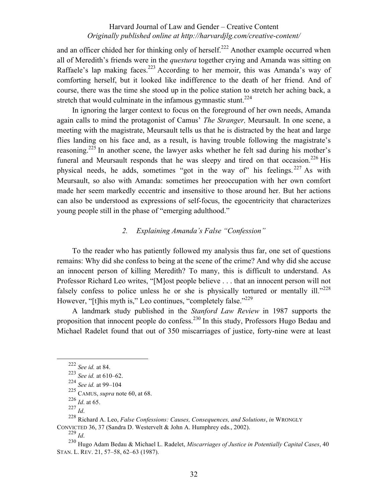and an officer chided her for thinking only of herself.<sup>222</sup> Another example occurred when all of Meredith's friends were in the *questura* together crying and Amanda was sitting on Raffaele's lap making faces.<sup>223</sup> According to her memoir, this was Amanda's way of comforting herself, but it looked like indifference to the death of her friend. And of course, there was the time she stood up in the police station to stretch her aching back, a stretch that would culminate in the infamous gymnastic stunt.<sup>224</sup>

In ignoring the larger context to focus on the foreground of her own needs, Amanda again calls to mind the protagonist of Camus' *The Stranger,* Meursault. In one scene, a meeting with the magistrate, Meursault tells us that he is distracted by the heat and large flies landing on his face and, as a result, is having trouble following the magistrate's reasoning.<sup>225</sup> In another scene, the lawyer asks whether he felt sad during his mother's funeral and Meursault responds that he was sleepy and tired on that occasion.<sup>226</sup> His physical needs, he adds, sometimes "got in the way of" his feelings.<sup>227</sup> As with Meursault, so also with Amanda: sometimes her preoccupation with her own comfort made her seem markedly eccentric and insensitive to those around her. But her actions can also be understood as expressions of self-focus, the egocentricity that characterizes young people still in the phase of "emerging adulthood."

# *2. Explaining Amanda's False "Confession"*

To the reader who has patiently followed my analysis thus far, one set of questions remains: Why did she confess to being at the scene of the crime? And why did she accuse an innocent person of killing Meredith? To many, this is difficult to understand. As Professor Richard Leo writes, "[M]ost people believe . . . that an innocent person will not falsely confess to police unless he or she is physically tortured or mentally ill." $228$ However, "[t]his myth is," Leo continues, "completely false."<sup>229</sup>

A landmark study published in the *Stanford Law Review* in 1987 supports the proposition that innocent people do confess.<sup>230</sup> In this study, Professors Hugo Bedau and Michael Radelet found that out of 350 miscarriages of justice, forty-nine were at least

 <sup>222</sup> *See id.* at 84.

 $223$  *See id.* at 610–62.

<sup>&</sup>lt;sup>224</sup> *See id.* at 99–104

<sup>225</sup> CAMUS, *supra* note 60, at 68.

<sup>226</sup> *Id*. at 65.

<sup>227</sup> *Id*.

<sup>228</sup> Richard A. Leo, *False Confessions: Causes, Consequences, and Solutions*, *in* WRONGLY CONVICTED 36, 37 (Sandra D. Westervelt & John A. Humphrey eds., 2002).  $229$  *Id.* 

<sup>230</sup> Hugo Adam Bedau & Michael L. Radelet, *Miscarriages of Justice in Potentially Capital Cases*, 40 STAN. L. REV. 21, 57‒58, 62‒63 (1987).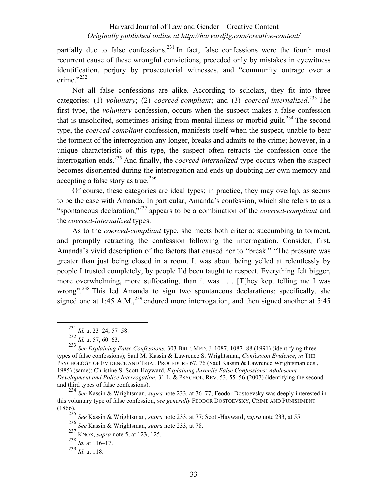partially due to false confessions.<sup>231</sup> In fact, false confessions were the fourth most recurrent cause of these wrongful convictions, preceded only by mistakes in eyewitness identification, perjury by prosecutorial witnesses, and "community outrage over a crime." $^{232}$ 

Not all false confessions are alike. According to scholars, they fit into three categories: (1) *voluntary*; (2) *coerced-compliant*; and (3) *coerced-internalized*. <sup>233</sup> The first type, the *voluntary* confession, occurs when the suspect makes a false confession that is unsolicited, sometimes arising from mental illness or morbid guilt.<sup>234</sup> The second type, the *coerced-compliant* confession, manifests itself when the suspect, unable to bear the torment of the interrogation any longer, breaks and admits to the crime; however, in a unique characteristic of this type, the suspect often retracts the confession once the interrogation ends.<sup>235</sup> And finally, the *coerced-internalized* type occurs when the suspect becomes disoriented during the interrogation and ends up doubting her own memory and accepting a false story as true.<sup>236</sup>

Of course, these categories are ideal types; in practice, they may overlap, as seems to be the case with Amanda. In particular, Amanda's confession, which she refers to as a "spontaneous declaration,"<sup>237</sup> appears to be a combination of the *coerced-compliant* and the *coerced-internalized* types.

As to the *coerced-compliant* type, she meets both criteria: succumbing to torment, and promptly retracting the confession following the interrogation. Consider, first, Amanda's vivid description of the factors that caused her to "break." "The pressure was greater than just being closed in a room. It was about being yelled at relentlessly by people I trusted completely, by people I'd been taught to respect. Everything felt bigger, more overwhelming, more suffocating, than it was . . . [T]hey kept telling me I was wrong".<sup>238</sup> This led Amanda to sign two spontaneous declarations; specifically, she signed one at 1:45 A.M.,  $^{239}$  endured more interrogation, and then signed another at 5:45

<sup>234</sup> *See* Kassin & Wrightsman, *supra* note 233, at 76‒77; Feodor Dostoevsky was deeply interested in this voluntary type of false confession, *see generally* FEODOR DOSTOEVSKY, CRIME AND PUNISHMENT (1866).

<sup>&</sup>lt;sup>231</sup> *Id.* at 23–24, 57–58.

<sup>232</sup> *Id.* at 57, 60‒63.

<sup>233</sup> *See Explaining False Confessions*, 303 BRIT. MED. J. 1087, 1087–88 (1991) (identifying three types of false confessions); Saul M. Kassin & Lawrence S. Wrightsman, *Confession Evidence*, *in* THE PSYCHOLOGY OF EVIDENCE AND TRIAL PROCEDURE 67, 76 (Saul Kassin & Lawrence Wrightsman eds., 1985) (same); Christine S. Scott-Hayward, *Explaining Juvenile False Confessions: Adolescent Development and Police Interrogation*, 31 L. & PSYCHOL. REV. 53, 55‒56 (2007) (identifying the second and third types of false confessions).

<sup>235</sup> *See* Kassin & Wrightsman, *supra* note 233, at 77; Scott-Hayward, *supra* note 233, at 55.

<sup>236</sup> *See* Kassin & Wrightsman, *supra* note 233, at 78.

<sup>237</sup> KNOX, *supra* note 5, at 123, 125.

<sup>238</sup> *Id.* at 116‒17.

<sup>239</sup> *Id*. at 118.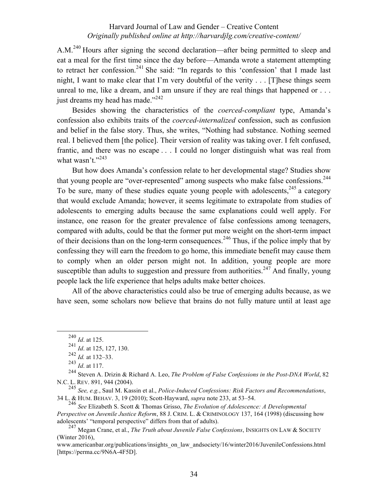A.M.<sup>240</sup> Hours after signing the second declaration—after being permitted to sleep and eat a meal for the first time since the day before—Amanda wrote a statement attempting to retract her confession.<sup>241</sup> She said: "In regards to this 'confession' that I made last night, I want to make clear that I'm very doubtful of the verity . . . [T]hese things seem unreal to me, like a dream, and I am unsure if they are real things that happened or . . . just dreams my head has made."<sup>242</sup>

Besides showing the characteristics of the *coerced-compliant* type, Amanda's confession also exhibits traits of the *coerced-internalized* confession, such as confusion and belief in the false story. Thus, she writes, "Nothing had substance. Nothing seemed real. I believed them [the police]. Their version of reality was taking over. I felt confused, frantic, and there was no escape . . . I could no longer distinguish what was real from what wasn't." $243$ 

But how does Amanda's confession relate to her developmental stage? Studies show that young people are "over-represented" among suspects who make false confessions.<sup>244</sup> To be sure, many of these studies equate young people with adolescents,  $245$  a category that would exclude Amanda; however, it seems legitimate to extrapolate from studies of adolescents to emerging adults because the same explanations could well apply. For instance, one reason for the greater prevalence of false confessions among teenagers, compared with adults, could be that the former put more weight on the short-term impact of their decisions than on the long-term consequences.<sup>246</sup> Thus, if the police imply that by confessing they will earn the freedom to go home, this immediate benefit may cause them to comply when an older person might not. In addition, young people are more susceptible than adults to suggestion and pressure from authorities.<sup>247</sup> And finally, young people lack the life experience that helps adults make better choices.

All of the above characteristics could also be true of emerging adults because, as we have seen, some scholars now believe that brains do not fully mature until at least age

<sup>245</sup> *See, e.g.*, Saul M. Kassin et al., *Police-Induced Confessions: Risk Factors and Recommendations*, 34 L. & HUM. BEHAV. 3, 19 (2010); Scott-Hayward, *supra* note 233, at 53-54.

 <sup>240</sup> *Id*. at 125.

<sup>241</sup> *Id*. at 125, 127, 130.

<sup>242</sup> *Id.* at 132‒33.

<sup>243</sup> *Id*. at 117.

<sup>244</sup> Steven A. Drizin & Richard A. Leo, *The Problem of False Confessions in the Post-DNA World*, 82 N.C. L. REV. 891, 944 (2004).

<sup>246</sup> *See* Elizabeth S. Scott & Thomas Grisso, *The Evolution of Adolescence: A Developmental Perspective on Juvenile Justice Reform*, 88 J. CRIM. L. & CRIMINOLOGY 137, 164 (1998) (discussing how adolescents' "temporal perspective" differs from that of adults).

<sup>247</sup> Megan Crane, et al., *The Truth about Juvenile False Confessions*, INSIGHTS ON LAW & SOCIETY (Winter 2016),

www.americanbar.org/publications/insights\_on\_law\_andsociety/16/winter2016/JuvenileConfessions.html [https://perma.cc/9N6A-4F5D].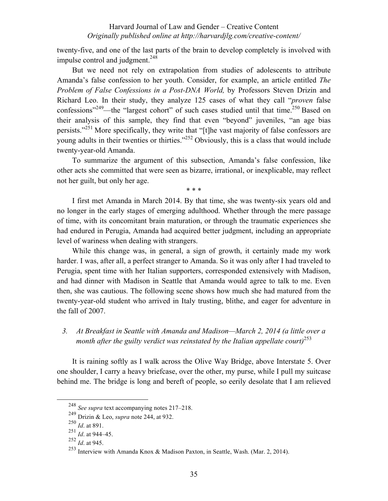twenty-five, and one of the last parts of the brain to develop completely is involved with impulse control and judgment. $248$ 

But we need not rely on extrapolation from studies of adolescents to attribute Amanda's false confession to her youth. Consider, for example, an article entitled *The Problem of False Confessions in a Post-DNA World,* by Professors Steven Drizin and Richard Leo. In their study, they analyze 125 cases of what they call "*proven* false confessions"<sup>249</sup>—the "largest cohort" of such cases studied until that time.<sup>250</sup> Based on their analysis of this sample, they find that even "beyond" juveniles, "an age bias persists."<sup>251</sup> More specifically, they write that "[t]he vast majority of false confessors are young adults in their twenties or thirties."252 Obviously, this is a class that would include twenty-year-old Amanda.

To summarize the argument of this subsection, Amanda's false confession, like other acts she committed that were seen as bizarre, irrational, or inexplicable, may reflect not her guilt, but only her age.

\* \* \*

I first met Amanda in March 2014. By that time, she was twenty-six years old and no longer in the early stages of emerging adulthood. Whether through the mere passage of time, with its concomitant brain maturation, or through the traumatic experiences she had endured in Perugia, Amanda had acquired better judgment, including an appropriate level of wariness when dealing with strangers.

While this change was, in general, a sign of growth, it certainly made my work harder. I was, after all, a perfect stranger to Amanda. So it was only after I had traveled to Perugia, spent time with her Italian supporters, corresponded extensively with Madison, and had dinner with Madison in Seattle that Amanda would agree to talk to me. Even then, she was cautious. The following scene shows how much she had matured from the twenty-year-old student who arrived in Italy trusting, blithe, and eager for adventure in the fall of 2007.

# *3. At Breakfast in Seattle with Amanda and Madison—March 2, 2014 (a little over a month after the guilty verdict was reinstated by the Italian appellate court)*<sup>253</sup>

It is raining softly as I walk across the Olive Way Bridge, above Interstate 5. Over one shoulder, I carry a heavy briefcase, over the other, my purse, while I pull my suitcase behind me. The bridge is long and bereft of people, so eerily desolate that I am relieved

<sup>&</sup>lt;sup>248</sup> *See supra* text accompanying notes 217–218.

<sup>249</sup> Drizin & Leo, *supra* note 244, at 932.

<sup>250</sup> *Id*. at 891.

<sup>251</sup> *Id*. at 944‒45.

<sup>252</sup> *Id*. at 945.

<sup>253</sup> Interview with Amanda Knox & Madison Paxton, in Seattle, Wash. (Mar. 2, 2014).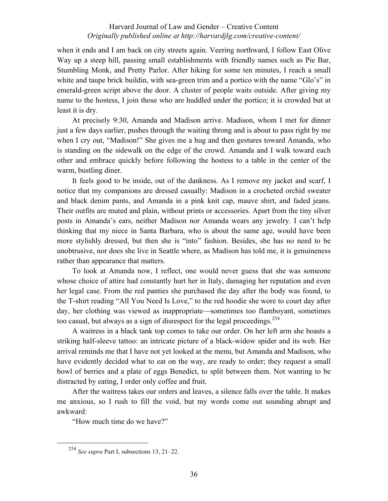when it ends and I am back on city streets again. Veering northward, I follow East Olive Way up a steep hill, passing small establishments with friendly names such as Pie Bar, Stumbling Monk, and Pretty Parlor. After hiking for some ten minutes, I reach a small white and taupe brick buildin, with sea-green trim and a portico with the name "Glo's" in emerald-green script above the door. A cluster of people waits outside. After giving my name to the hostess, I join those who are huddled under the portico; it is crowded but at least it is dry.

At precisely 9:30, Amanda and Madison arrive. Madison, whom I met for dinner just a few days earlier, pushes through the waiting throng and is about to pass right by me when I cry out, "Madison!" She gives me a hug and then gestures toward Amanda, who is standing on the sidewalk on the edge of the crowd. Amanda and I walk toward each other and embrace quickly before following the hostess to a table in the center of the warm, bustling diner.

It feels good to be inside, out of the dankness. As I remove my jacket and scarf, I notice that my companions are dressed casually: Madison in a crocheted orchid sweater and black denim pants, and Amanda in a pink knit cap, mauve shirt, and faded jeans. Their outfits are muted and plain, without prints or accessories. Apart from the tiny silver posts in Amanda's ears, neither Madison nor Amanda wears any jewelry. I can't help thinking that my niece in Santa Barbara, who is about the same age, would have been more stylishly dressed, but then she is "into" fashion. Besides, she has no need to be unobtrusive, nor does she live in Seattle where, as Madison has told me, it is genuineness rather than appearance that matters.

To look at Amanda now, I reflect, one would never guess that she was someone whose choice of attire had constantly hurt her in Italy, damaging her reputation and even her legal case. From the red panties she purchased the day after the body was found, to the T-shirt reading "All You Need Is Love," to the red hoodie she wore to court day after day, her clothing was viewed as inappropriate—sometimes too flamboyant, sometimes too casual, but always as a sign of disrespect for the legal proceedings.<sup>254</sup>

A waitress in a black tank top comes to take our order. On her left arm she boasts a striking half-sleeve tattoo: an intricate picture of a black-widow spider and its web. Her arrival reminds me that I have not yet looked at the menu, but Amanda and Madison, who have evidently decided what to eat on the way, are ready to order; they request a small bowl of berries and a plate of eggs Benedict, to split between them. Not wanting to be distracted by eating, I order only coffee and fruit.

After the waitress takes our orders and leaves, a silence falls over the table. It makes me anxious, so I rush to fill the void, but my words come out sounding abrupt and awkward:

"How much time do we have?"

<sup>&</sup>lt;sup>254</sup> *See supra* Part I, subsections 13, 21–22.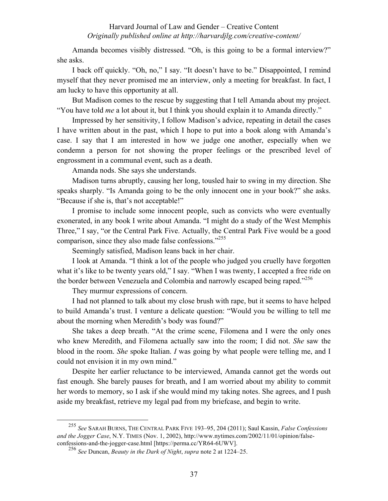Amanda becomes visibly distressed. "Oh, is this going to be a formal interview?" she asks.

I back off quickly. "Oh, no," I say. "It doesn't have to be." Disappointed, I remind myself that they never promised me an interview, only a meeting for breakfast. In fact, I am lucky to have this opportunity at all.

But Madison comes to the rescue by suggesting that I tell Amanda about my project. "You have told *me* a lot about it, but I think you should explain it to Amanda directly."

Impressed by her sensitivity, I follow Madison's advice, repeating in detail the cases I have written about in the past, which I hope to put into a book along with Amanda's case. I say that I am interested in how we judge one another, especially when we condemn a person for not showing the proper feelings or the prescribed level of engrossment in a communal event, such as a death.

Amanda nods. She says she understands.

Madison turns abruptly, causing her long, tousled hair to swing in my direction. She speaks sharply. "Is Amanda going to be the only innocent one in your book?" she asks. "Because if she is, that's not acceptable!"

I promise to include some innocent people, such as convicts who were eventually exonerated, in any book I write about Amanda. "I might do a study of the West Memphis Three," I say, "or the Central Park Five. Actually, the Central Park Five would be a good comparison, since they also made false confessions."<sup>255</sup>

Seemingly satisfied, Madison leans back in her chair.

I look at Amanda. "I think a lot of the people who judged you cruelly have forgotten what it's like to be twenty years old," I say. "When I was twenty, I accepted a free ride on the border between Venezuela and Colombia and narrowly escaped being raped."<sup>256</sup>

They murmur expressions of concern.

I had not planned to talk about my close brush with rape, but it seems to have helped to build Amanda's trust. I venture a delicate question: "Would you be willing to tell me about the morning when Meredith's body was found?"

She takes a deep breath. "At the crime scene, Filomena and I were the only ones who knew Meredith, and Filomena actually saw into the room; I did not. *She* saw the blood in the room. *She* spoke Italian. *I* was going by what people were telling me, and I could not envision it in my own mind."

Despite her earlier reluctance to be interviewed, Amanda cannot get the words out fast enough. She barely pauses for breath, and I am worried about my ability to commit her words to memory, so I ask if she would mind my taking notes. She agrees, and I push aside my breakfast, retrieve my legal pad from my briefcase, and begin to write.

 <sup>255</sup> *See* SARAH BURNS, THE CENTRAL PARK FIVE <sup>193</sup>‒95, 204 (2011); Saul Kassin, *False Confessions and the Jogger Case*, N.Y. TIMES (Nov. 1, 2002), http://www.nytimes.com/2002/11/01/opinion/falseconfessions-and-the-jogger-case.html [https://perma.cc/YR64-6UWV].

<sup>256</sup> *See* Duncan, *Beauty in the Dark of Night*, *supra* note 2 at 1224‒25.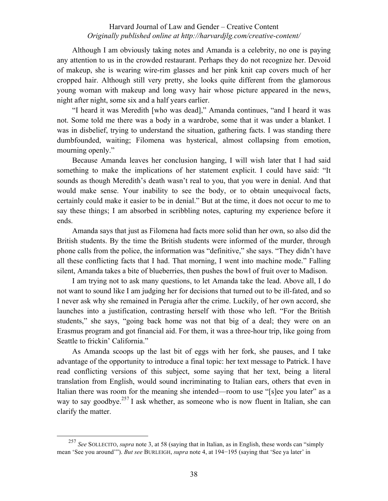Although I am obviously taking notes and Amanda is a celebrity, no one is paying any attention to us in the crowded restaurant. Perhaps they do not recognize her. Devoid of makeup, she is wearing wire-rim glasses and her pink knit cap covers much of her cropped hair. Although still very pretty, she looks quite different from the glamorous young woman with makeup and long wavy hair whose picture appeared in the news, night after night, some six and a half years earlier.

"I heard it was Meredith [who was dead]," Amanda continues, "and I heard it was not. Some told me there was a body in a wardrobe, some that it was under a blanket. I was in disbelief, trying to understand the situation, gathering facts. I was standing there dumbfounded, waiting; Filomena was hysterical, almost collapsing from emotion, mourning openly."

Because Amanda leaves her conclusion hanging, I will wish later that I had said something to make the implications of her statement explicit. I could have said: "It sounds as though Meredith's death wasn't real to you, that you were in denial. And that would make sense. Your inability to see the body, or to obtain unequivocal facts, certainly could make it easier to be in denial." But at the time, it does not occur to me to say these things; I am absorbed in scribbling notes, capturing my experience before it ends.

Amanda says that just as Filomena had facts more solid than her own, so also did the British students. By the time the British students were informed of the murder, through phone calls from the police, the information was "definitive," she says. "They didn't have all these conflicting facts that I had. That morning, I went into machine mode." Falling silent, Amanda takes a bite of blueberries, then pushes the bowl of fruit over to Madison.

I am trying not to ask many questions, to let Amanda take the lead. Above all, I do not want to sound like I am judging her for decisions that turned out to be ill-fated, and so I never ask why she remained in Perugia after the crime. Luckily, of her own accord, she launches into a justification, contrasting herself with those who left. "For the British students," she says, "going back home was not that big of a deal; they were on an Erasmus program and got financial aid. For them, it was a three-hour trip, like going from Seattle to frickin' California."

As Amanda scoops up the last bit of eggs with her fork, she pauses, and I take advantage of the opportunity to introduce a final topic: her text message to Patrick. I have read conflicting versions of this subject, some saying that her text, being a literal translation from English, would sound incriminating to Italian ears, others that even in Italian there was room for the meaning she intended—room to use "[s]ee you later" as a way to say goodbye.<sup>257</sup> I ask whether, as someone who is now fluent in Italian, she can clarify the matter.

 <sup>257</sup> *See* SOLLECITO, *supra* note 3, at 58 (saying that in Italian, as in English, these words can "simply mean 'See you around'"). *But see* BURLEIGH, *supra* note 4, at 194−195 (saying that 'See ya later' in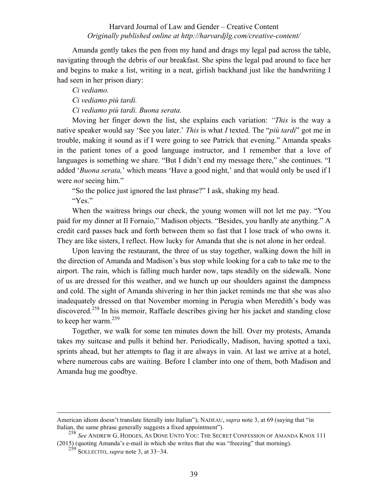Amanda gently takes the pen from my hand and drags my legal pad across the table, navigating through the debris of our breakfast. She spins the legal pad around to face her and begins to make a list, writing in a neat, girlish backhand just like the handwriting I had seen in her prison diary:

*Ci vediamo.*

*Ci vediamo più tardi.*

*Ci vediamo più tardi. Buona serata.*

Moving her finger down the list, she explains each variation: *"This* is the way a native speaker would say 'See you later.' *This* is what *I* texted. The "*più tardi*" got me in trouble, making it sound as if I were going to see Patrick that evening." Amanda speaks in the patient tones of a good language instructor, and I remember that a love of languages is something we share. "But I didn't end my message there," she continues. "I added '*Buona serata,*' which means 'Have a good night,' and that would only be used if I were *not* seeing him."

"So the police just ignored the last phrase?" I ask, shaking my head.

"Yes."

When the waitress brings our check, the young women will not let me pay. "You paid for my dinner at Il Fornaio," Madison objects. "Besides, you hardly ate anything." A credit card passes back and forth between them so fast that I lose track of who owns it. They are like sisters, I reflect. How lucky for Amanda that she is not alone in her ordeal.

Upon leaving the restaurant, the three of us stay together, walking down the hill in the direction of Amanda and Madison's bus stop while looking for a cab to take me to the airport. The rain, which is falling much harder now, taps steadily on the sidewalk. None of us are dressed for this weather, and we hunch up our shoulders against the dampness and cold. The sight of Amanda shivering in her thin jacket reminds me that she was also inadequately dressed on that November morning in Perugia when Meredith's body was discovered.<sup>258</sup> In his memoir, Raffaele describes giving her his jacket and standing close to keep her warm. $259$ 

Together, we walk for some ten minutes down the hill. Over my protests, Amanda takes my suitcase and pulls it behind her. Periodically, Madison, having spotted a taxi, sprints ahead, but her attempts to flag it are always in vain. At last we arrive at a hotel, where numerous cabs are waiting. Before I clamber into one of them, both Madison and Amanda hug me goodbye.

American idiom doesn't translate literally into Italian"); NADEAU, *supra* note 3, at 69 (saying that "in Italian, the same phrase generally suggests a fixed appointment").

<sup>&</sup>lt;sup>258</sup> See ANDREW G. HODGES, AS DONE UNTO YOU: THE SECRET CONFESSION OF AMANDA KNOX 111 (2015) (quoting Amanda's e-mail in which she writes that she was "freezing" that morning).

<sup>259</sup> SOLLECITO, *supra* note 3, at 33−34.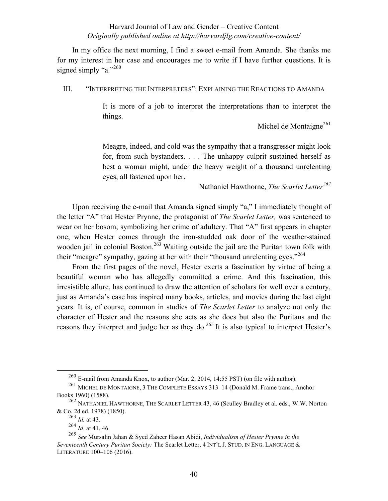In my office the next morning, I find a sweet e-mail from Amanda. She thanks me for my interest in her case and encourages me to write if I have further questions. It is signed simply "a." $^{260}$ 

III. "INTERPRETING THE INTERPRETERS": EXPLAINING THE REACTIONS TO AMANDA

It is more of a job to interpret the interpretations than to interpret the things.

Michel de Montaigne<sup>261</sup>

Meagre, indeed, and cold was the sympathy that a transgressor might look for, from such bystanders. . . . The unhappy culprit sustained herself as best a woman might, under the heavy weight of a thousand unrelenting eyes, all fastened upon her.

Nathaniel Hawthorne, *The Scarlet Letter<sup>262</sup>*

Upon receiving the e-mail that Amanda signed simply "a," I immediately thought of the letter "A" that Hester Prynne, the protagonist of *The Scarlet Letter,* was sentenced to wear on her bosom, symbolizing her crime of adultery. That "A" first appears in chapter one, when Hester comes through the iron-studded oak door of the weather-stained wooden jail in colonial Boston.<sup>263</sup> Waiting outside the jail are the Puritan town folk with their "meagre" sympathy, gazing at her with their "thousand unrelenting eyes."<sup>264</sup>

From the first pages of the novel, Hester exerts a fascination by virtue of being a beautiful woman who has allegedly committed a crime. And this fascination, this irresistible allure, has continued to draw the attention of scholars for well over a century, just as Amanda's case has inspired many books, articles, and movies during the last eight years. It is, of course, common in studies of *The Scarlet Letter* to analyze not only the character of Hester and the reasons she acts as she does but also the Puritans and the reasons they interpret and judge her as they do.<sup>265</sup> It is also typical to interpret Hester's

 <sup>260</sup> E-mail from Amanda Knox, to author (Mar. 2, 2014, 14:55 PST) (on file with author).

<sup>&</sup>lt;sup>261</sup> MICHEL DE MONTAIGNE, 3 THE COMPLETE ESSAYS 313-14 (Donald M. Frame trans., Anchor Books 1960) (1588).

<sup>262</sup> NATHANIEL HAWTHORNE, THE SCARLET LETTER 43, 46 (Sculley Bradley et al. eds., W.W. Norton & Co. 2d ed. 1978) (1850).

<sup>263</sup> *Id.* at 43.

<sup>264</sup> *Id*. at 41, 46.

<sup>265</sup> *See* Mursalin Jahan & Syed Zaheer Hasan Abidi, *Individualism of Hester Prynne in the Seventeenth Century Puritan Society:* The Scarlet Letter, 4 INT'L J. STUD. IN ENG. LANGUAGE & LITERATURE 100-106 (2016).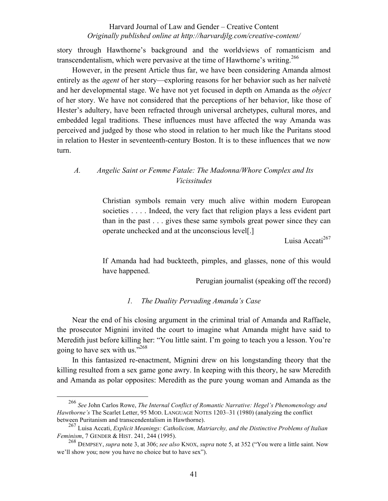story through Hawthorne's background and the worldviews of romanticism and transcendentalism, which were pervasive at the time of Hawthorne's writing.<sup>266</sup>

However, in the present Article thus far, we have been considering Amanda almost entirely as the *agent* of her story—exploring reasons for her behavior such as her naïveté and her developmental stage. We have not yet focused in depth on Amanda as the *object*  of her story. We have not considered that the perceptions of her behavior, like those of Hester's adultery, have been refracted through universal archetypes, cultural mores, and embedded legal traditions. These influences must have affected the way Amanda was perceived and judged by those who stood in relation to her much like the Puritans stood in relation to Hester in seventeenth-century Boston. It is to these influences that we now turn.

## *A. Angelic Saint or Femme Fatale: The Madonna/Whore Complex and Its Vicissitudes*

Christian symbols remain very much alive within modern European societies . . . . Indeed, the very fact that religion plays a less evident part than in the past . . . gives these same symbols great power since they can operate unchecked and at the unconscious level[.]

Luisa Accati<sup>267</sup>

If Amanda had had buckteeth, pimples, and glasses, none of this would have happened.

Perugian journalist (speaking off the record)

### *1. The Duality Pervading Amanda's Case*

Near the end of his closing argument in the criminal trial of Amanda and Raffaele, the prosecutor Mignini invited the court to imagine what Amanda might have said to Meredith just before killing her: "You little saint. I'm going to teach you a lesson. You're going to have sex with us."268

In this fantasized re-enactment, Mignini drew on his longstanding theory that the killing resulted from a sex game gone awry. In keeping with this theory, he saw Meredith and Amanda as polar opposites: Meredith as the pure young woman and Amanda as the

 <sup>266</sup> *See* John Carlos Rowe, *The Internal Conflict of Romantic Narrative: Hegel's Phenomenology and Hawthorne's* The Scarlet Letter, 95 MOD. LANGUAGE NOTES 1203-31 (1980) (analyzing the conflict between Puritanism and transcendentalism in Hawthorne).

<sup>267</sup> Luisa Accati, *Explicit Meanings: Catholicism, Matriarchy, and the Distinctive Problems of Italian Feminism*, 7 GENDER & HIST. 241, 244 (1995).

<sup>268</sup> DEMPSEY, *supra* note 3, at 306; *see also* KNOX, *supra* note 5, at 352 ("You were a little saint. Now we'll show you; now you have no choice but to have sex").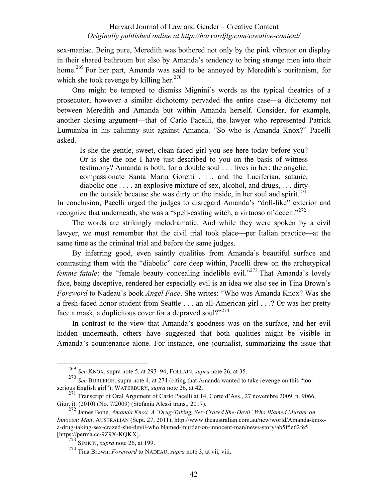sex-maniac. Being pure, Meredith was bothered not only by the pink vibrator on display in their shared bathroom but also by Amanda's tendency to bring strange men into their home.<sup>269</sup> For her part, Amanda was said to be annoyed by Meredith's puritanism, for which she took revenge by killing her.<sup>270</sup>

One might be tempted to dismiss Mignini's words as the typical theatrics of a prosecutor, however a similar dichotomy pervaded the entire case—a dichotomy not between Meredith and Amanda but within Amanda herself. Consider, for example, another closing argument—that of Carlo Pacelli, the lawyer who represented Patrick Lumumba in his calumny suit against Amanda. "So who is Amanda Knox?" Pacelli asked.

Is she the gentle, sweet, clean-faced girl you see here today before you? Or is she the one I have just described to you on the basis of witness testimony? Amanda is both, for a double soul . . . lives in her: the angelic, compassionate Santa Maria Goretti . . . and the Luciferian, satanic, diabolic one . . . . an explosive mixture of sex, alcohol, and drugs, . . . dirty on the outside because she was dirty on the inside, in her soul and spirit.<sup>271</sup>

In conclusion, Pacelli urged the judges to disregard Amanda's "doll-like" exterior and recognize that underneath, she was a "spell-casting witch, a virtuoso of deceit."<sup>272</sup>

The words are strikingly melodramatic. And while they were spoken by a civil lawyer, we must remember that the civil trial took place—per Italian practice—at the same time as the criminal trial and before the same judges.

By inferring good, even saintly qualities from Amanda's beautiful surface and contrasting them with the "diabolic" core deep within, Pacelli drew on the archetypical *femme fatale*: the "female beauty concealing indelible evil."<sup>273</sup> That Amanda's lovely face, being deceptive, rendered her especially evil is an idea we also see in Tina Brown's *Foreword* to Nadeau's book *Angel Face*. She writes: "Who was Amanda Knox? Was she a fresh-faced honor student from Seattle . . . an all-American girl . . .? Or was her pretty face a mask, a duplicitous cover for a depraved soul?"<sup>274</sup>

In contrast to the view that Amanda's goodness was on the surface, and her evil hidden underneath, others have suggested that both qualities might be visible in Amanda's countenance alone. For instance, one journalist, summarizing the issue that

 <sup>269</sup> *See* KNOX, supra note 5, at 293‒94; FOLLAIN, *supra* note 26, at 35.

<sup>270</sup> *See* BURLEIGH, supra note 4, at 274 (citing that Amanda wanted to take revenge on this "tooserious English girl"); WATERBURY, *supra* note 26, at 42.<br><sup>271</sup> Transcript of Oral Argument of Carlo Pacelli at 14, Corte d'Ass., 27 novembre 2009, n. 9066,

Giur. it. (2010) (No. 7/2009) (Stefania Alessi trans., 2017).

<sup>272</sup> James Bone, *Amanda Knox, A 'Drug-Taking, Sex-Crazed She-Devil' Who Blamed Murder on Innocent Man*, AUSTRALIAN (Sept. 27, 2011), http://www.theaustralian.com.au/new/world/Amanda-knoxa-drug-taking-sex-crazed-she-devil-who blamed-murder-on-innocent-man/news-story/ab5f5e62fe5 [https://perma.cc/9Z9X-KQKX].

<sup>273</sup> SIMKIN, *supra* note 26, at 199.

<sup>274</sup> Tina Brown, *Foreword* to NADEAU, *supra* note 3, at vii, viii.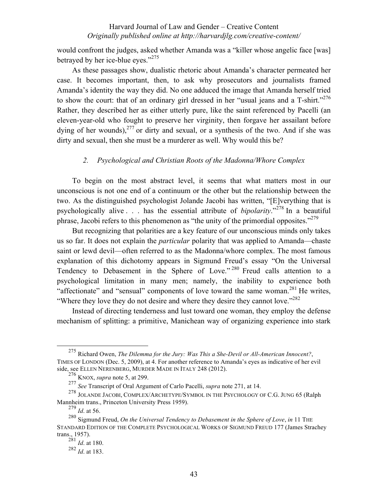would confront the judges, asked whether Amanda was a "killer whose angelic face [was] betrayed by her ice-blue eyes."<sup>275</sup>

As these passages show, dualistic rhetoric about Amanda's character permeated her case. It becomes important, then, to ask why prosecutors and journalists framed Amanda's identity the way they did. No one adduced the image that Amanda herself tried to show the court: that of an ordinary girl dressed in her "usual jeans and a  $T\text{-}shirt.$ "<sup>276</sup> Rather, they described her as either utterly pure, like the saint referenced by Pacelli (an eleven-year-old who fought to preserve her virginity, then forgave her assailant before dying of her wounds),  $277$  or dirty and sexual, or a synthesis of the two. And if she was dirty and sexual, then she must be a murderer as well. Why would this be?

### *2. Psychological and Christian Roots of the Madonna/Whore Complex*

To begin on the most abstract level, it seems that what matters most in our unconscious is not one end of a continuum or the other but the relationship between the two. As the distinguished psychologist Jolande Jacobi has written, "[E]verything that is psychologically alive . . . has the essential attribute of *bipolarity*."<sup>278</sup> In a beautiful phrase, Jacobi refers to this phenomenon as "the unity of the primordial opposites."<sup>279</sup>

But recognizing that polarities are a key feature of our unconscious minds only takes us so far. It does not explain the *particular* polarity that was applied to Amanda—chaste saint or lewd devil—often referred to as the Madonna/whore complex. The most famous explanation of this dichotomy appears in Sigmund Freud's essay "On the Universal Tendency to Debasement in the Sphere of Love." <sup>280</sup> Freud calls attention to a psychological limitation in many men; namely, the inability to experience both "affectionate" and "sensual" components of love toward the same woman.<sup>281</sup> He writes, "Where they love they do not desire and where they desire they cannot love."<sup>282</sup>

Instead of directing tenderness and lust toward one woman, they employ the defense mechanism of splitting: a primitive, Manichean way of organizing experience into stark

 <sup>275</sup> Richard Owen, *The Dilemma for the Jury: Was This a She-Devil or All-American Innocent?*, TIMES OF LONDON (Dec. 5, 2009), at 4. For another reference to Amanda's eyes as indicative of her evil side, see ELLEN NERENBERG, MURDER MADE IN ITALY 248 (2012).

<sup>276</sup> KNOX, *supra* note 5, at 299.

<sup>277</sup> *See* Transcript of Oral Argument of Carlo Pacelli, *supra* note 271, at 14.

<sup>278</sup> JOLANDE JACOBI, COMPLEX/ARCHETYPE/SYMBOL IN THE PSYCHOLOGY OF C.G. JUNG 65 (Ralph Mannheim trans., Princeton University Press 1959).

<sup>279</sup> *Id*. at 56.

<sup>280</sup> Sigmund Freud, *On the Universal Tendency to Debasement in the Sphere of Love*, *in* 11 THE STANDARD EDITION OF THE COMPLETE PSYCHOLOGICAL WORKS OF SIGMUND FREUD 177 (James Strachey trans., 1957).

<sup>281</sup> *Id*. at 180.

<sup>282</sup> *Id*. at 183.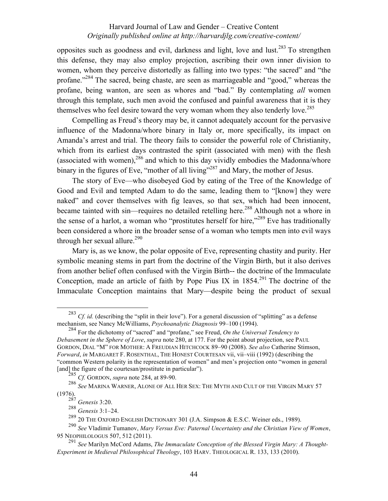opposites such as goodness and evil, darkness and light, love and lust.283 To strengthen this defense, they may also employ projection, ascribing their own inner division to women, whom they perceive distortedly as falling into two types: "the sacred" and "the profane."<sup>284</sup> The sacred, being chaste, are seen as marriageable and "good," whereas the profane, being wanton, are seen as whores and "bad." By contemplating *all* women through this template, such men avoid the confused and painful awareness that it is they themselves who feel desire toward the very woman whom they also tenderly love.<sup>285</sup>

Compelling as Freud's theory may be, it cannot adequately account for the pervasive influence of the Madonna/whore binary in Italy or, more specifically, its impact on Amanda's arrest and trial. The theory fails to consider the powerful role of Christianity, which from its earliest days contrasted the spirit (associated with men) with the flesh (associated with women),  $286$  and which to this day vividly embodies the Madonna/whore binary in the figures of Eve, "mother of all living"<sup>287</sup> and Mary, the mother of Jesus.

The story of Eve—who disobeyed God by eating of the Tree of the Knowledge of Good and Evil and tempted Adam to do the same, leading them to "[know] they were naked" and cover themselves with fig leaves, so that sex, which had been innocent, became tainted with sin—requires no detailed retelling here.<sup>288</sup> Although not a whore in the sense of a harlot, a woman who "prostitutes herself for hire,"<sup>289</sup> Eve has traditionally been considered a whore in the broader sense of a woman who tempts men into evil ways through her sexual allure. $290$ 

Mary is, as we know, the polar opposite of Eve, representing chastity and purity. Her symbolic meaning stems in part from the doctrine of the Virgin Birth, but it also derives from another belief often confused with the Virgin Birth-- the doctrine of the Immaculate Conception, made an article of faith by Pope Pius IX in  $1854$ <sup>291</sup>. The doctrine of the Immaculate Conception maintains that Mary—despite being the product of sexual

<sup>&</sup>lt;sup>283</sup> *Cf. id.* (describing the "split in their love"). For a general discussion of "splitting" as a defense mechanism, see Nancy McWilliams, *Psychoanalytic Diagnosis* 99-100 (1994).

<sup>284</sup> For the dichotomy of "sacred" and "profane," see Freud, *On the Universal Tendency to Debasement in the Sphere of Love*, *supra* note 280, at 177. For the point about projection, see PAUL GORDON, DIAL "M" FOR MOTHER: A FREUDIAN HITCHCOCK 89‒90 (2008). *See also* Catherine Stimson, *Forward*, *in* MARGARET F. ROSENTHAL, THE HONEST COURTESAN vii, vii-viii (1992) (describing the "common Western polarity in the representation of women" and men's projection onto "women in general [and] the figure of the courtesan/prostitute in particular").

<sup>285</sup> *Cf.* GORDON, *supra* note 284, at 89-90.

<sup>286</sup> *See* MARINA WARNER, ALONE OF ALL HER SEX: THE MYTH AND CULT OF THE VIRGIN MARY 57 (1976).

<sup>287</sup> *Genesis* 3:20.

<sup>288</sup> *Genesis* 3:1‒24.

<sup>289</sup> 20 THE OXFORD ENGLISH DICTIONARY 301 (J.A. Simpson & E.S.C. Weiner eds., 1989).

<sup>290</sup> *See* Vladimir Tumanov, *Mary Versus Eve: Paternal Uncertainty and the Christian View of Women*, 95 NEOPHILOLOGUS 507, 512 (2011).

<sup>291</sup> *See* Marilyn McCord Adams, *The Immaculate Conception of the Blessed Virgin Mary: A Thought-Experiment in Medieval Philosophical Theology*, 103 HARV. THEOLOGICAL R. 133, 133 (2010).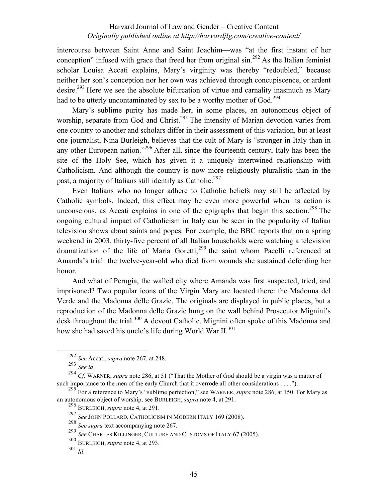intercourse between Saint Anne and Saint Joachim—was "at the first instant of her conception" infused with grace that freed her from original  $\sin^{292}$  As the Italian feminist scholar Louisa Accati explains, Mary's virginity was thereby "redoubled," because neither her son's conception nor her own was achieved through concupiscence, or ardent desire.<sup>293</sup> Here we see the absolute bifurcation of virtue and carnality inasmuch as Mary had to be utterly uncontaminated by sex to be a worthy mother of God.<sup>294</sup>

Mary's sublime purity has made her, in some places, an autonomous object of worship, separate from God and Christ.<sup>295</sup> The intensity of Marian devotion varies from one country to another and scholars differ in their assessment of this variation, but at least one journalist, Nina Burleigh, believes that the cult of Mary is "stronger in Italy than in any other European nation."<sup>296</sup> After all, since the fourteenth century, Italy has been the site of the Holy See, which has given it a uniquely intertwined relationship with Catholicism. And although the country is now more religiously pluralistic than in the past, a majority of Italians still identify as Catholic.<sup>297</sup>

Even Italians who no longer adhere to Catholic beliefs may still be affected by Catholic symbols. Indeed, this effect may be even more powerful when its action is unconscious, as Accati explains in one of the epigraphs that begin this section.<sup>298</sup> The ongoing cultural impact of Catholicism in Italy can be seen in the popularity of Italian television shows about saints and popes. For example, the BBC reports that on a spring weekend in 2003, thirty-five percent of all Italian households were watching a television dramatization of the life of Maria Goretti,<sup>299</sup> the saint whom Pacelli referenced at Amanda's trial: the twelve-year-old who died from wounds she sustained defending her honor.

And what of Perugia, the walled city where Amanda was first suspected, tried, and imprisoned? Two popular icons of the Virgin Mary are located there: the Madonna del Verde and the Madonna delle Grazie. The originals are displayed in public places, but a reproduction of the Madonna delle Grazie hung on the wall behind Prosecutor Mignini's desk throughout the trial.<sup>300</sup> A devout Catholic, Mignini often spoke of this Madonna and how she had saved his uncle's life during World War II.<sup>301</sup>

 <sup>292</sup> *See* Accati, *supra* note 267, at 248.

<sup>293</sup> *See id*. <sup>294</sup> *Cf*. WARNER, *supra* note 286, at 51 ("That the Mother of God should be a virgin was a matter of such importance to the men of the early Church that it overrode all other considerations . . . .").

<sup>295</sup> For a reference to Mary's "sublime perfection," see WARNER, *supra* note 286, at 150. For Mary as an autonomous object of worship, see BURLEIGH, *supra* note 4, at 291.

<sup>296</sup> BURLEIGH, *supra* note 4, at 291.

<sup>297</sup> *See* JOHN POLLARD, CATHOLICISM IN MODERN ITALY 169 (2008).

<sup>298</sup> *See supra* text accompanying note 267.

<sup>299</sup> *See* CHARLES KILLINGER, CULTURE AND CUSTOMS OF ITALY 67 (2005).

<sup>300</sup> BURLEIGH, *supra* note 4, at 293.

<sup>301</sup> *Id*.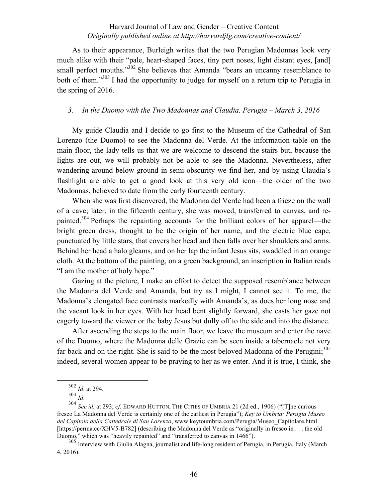As to their appearance, Burleigh writes that the two Perugian Madonnas look very much alike with their "pale, heart-shaped faces, tiny pert noses, light distant eyes, [and] small perfect mouths."<sup>302</sup> She believes that Amanda "bears an uncanny resemblance to both of them."<sup>303</sup> I had the opportunity to judge for myself on a return trip to Perugia in the spring of 2016.

#### *3. In the Duomo with the Two Madonnas and Claudia. Perugia – March 3, 2016*

My guide Claudia and I decide to go first to the Museum of the Cathedral of San Lorenzo (the Duomo) to see the Madonna del Verde. At the information table on the main floor, the lady tells us that we are welcome to descend the stairs but, because the lights are out, we will probably not be able to see the Madonna. Nevertheless, after wandering around below ground in semi-obscurity we find her, and by using Claudia's flashlight are able to get a good look at this very old icon—the older of the two Madonnas, believed to date from the early fourteenth century.

When she was first discovered, the Madonna del Verde had been a frieze on the wall of a cave; later, in the fifteenth century, she was moved, transferred to canvas, and repainted.<sup>304</sup> Perhaps the repainting accounts for the brilliant colors of her apparel—the bright green dress, thought to be the origin of her name, and the electric blue cape, punctuated by little stars, that covers her head and then falls over her shoulders and arms. Behind her head a halo gleams, and on her lap the infant Jesus sits, swaddled in an orange cloth. At the bottom of the painting, on a green background, an inscription in Italian reads "I am the mother of holy hope."

Gazing at the picture, I make an effort to detect the supposed resemblance between the Madonna del Verde and Amanda, but try as I might, I cannot see it. To me, the Madonna's elongated face contrasts markedly with Amanda's, as does her long nose and the vacant look in her eyes. With her head bent slightly forward, she casts her gaze not eagerly toward the viewer or the baby Jesus but dully off to the side and into the distance.

After ascending the steps to the main floor, we leave the museum and enter the nave of the Duomo, where the Madonna delle Grazie can be seen inside a tabernacle not very far back and on the right. She is said to be the most beloved Madonna of the Perugini; $305$ indeed, several women appear to be praying to her as we enter. And it is true, I think, she

 <sup>302</sup> *Id*. at 294.

<sup>303</sup> *Id*. <sup>304</sup> *See id.* at 293; *cf*. EDWARD HUTTON, THE CITIES OF UMBRIA 21 (2d ed., 1906) ("[T]he curious fresco La Madonna del Verde is certainly one of the earliest in Perugia"); *Key to Umbria: Perugia Museo del Capitolo della Cattedrale di San Lorenzo*, www.keytoumbria.com/Perugia/Museo\_Capitolare.html [https://perma.cc/XHV5-B782] (describing the Madonna del Verde as "originally in fresco in . . . the old Duomo," which was "heavily repainted" and "transferred to canvas in 1466").

<sup>305</sup> Interview with Giulia Alagna, journalist and life-long resident of Perugia, in Perugia, Italy (March 4, 2016).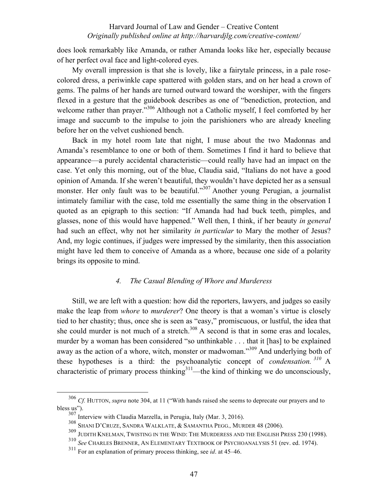does look remarkably like Amanda, or rather Amanda looks like her, especially because of her perfect oval face and light-colored eyes.

My overall impression is that she is lovely, like a fairytale princess, in a pale rosecolored dress, a periwinkle cape spattered with golden stars, and on her head a crown of gems. The palms of her hands are turned outward toward the worshiper, with the fingers flexed in a gesture that the guidebook describes as one of "benediction, protection, and welcome rather than prayer."<sup>306</sup> Although not a Catholic myself, I feel comforted by her image and succumb to the impulse to join the parishioners who are already kneeling before her on the velvet cushioned bench.

Back in my hotel room late that night, I muse about the two Madonnas and Amanda's resemblance to one or both of them. Sometimes I find it hard to believe that appearance—a purely accidental characteristic—could really have had an impact on the case. Yet only this morning, out of the blue, Claudia said, "Italians do not have a good opinion of Amanda. If she weren't beautiful, they wouldn't have depicted her as a sensual monster. Her only fault was to be beautiful."<sup>307</sup> Another young Perugian, a journalist intimately familiar with the case, told me essentially the same thing in the observation I quoted as an epigraph to this section: "If Amanda had had buck teeth, pimples, and glasses, none of this would have happened." Well then, I think, if her beauty *in general* had such an effect, why not her similarity *in particular* to Mary the mother of Jesus? And, my logic continues, if judges were impressed by the similarity, then this association might have led them to conceive of Amanda as a whore, because one side of a polarity brings its opposite to mind.

## *4. The Casual Blending of Whore and Murderess*

Still, we are left with a question: how did the reporters, lawyers, and judges so easily make the leap from *whore* to *murderer*? One theory is that a woman's virtue is closely tied to her chastity; thus, once she is seen as "easy," promiscuous, or lustful, the idea that she could murder is not much of a stretch. $308$  A second is that in some eras and locales, murder by a woman has been considered "so unthinkable . . . that it [has] to be explained away as the action of a whore, witch, monster or madwoman."<sup>309</sup> And underlying both of these hypotheses is a third: the psychoanalytic concept of *condensation. <sup>310</sup>* A characteristic of primary process thinking $311$ —the kind of thinking we do unconsciously,

 <sup>306</sup> *Cf.* HUTTON, *supra* note 304, at 11 ("With hands raised she seems to deprecate our prayers and to bless us").

<sup>307</sup> Interview with Claudia Marzella, in Perugia, Italy (Mar. 3, 2016).

<sup>308</sup> SHANI D'CRUZE, SANDRA WALKLATE, & SAMANTHA PEGG.*,* MURDER 48 (2006).

<sup>309</sup> JUDITH KNELMAN, TWISTING IN THE WIND: THE MURDERESS AND THE ENGLISH PRESS 230 (1998).

<sup>310</sup> *See* CHARLES BRENNER, AN ELEMENTARY TEXTBOOK OF PSYCHOANALYSIS 51 (rev. ed. 1974).

<sup>311</sup> For an explanation of primary process thinking, see *id*. at 45–46.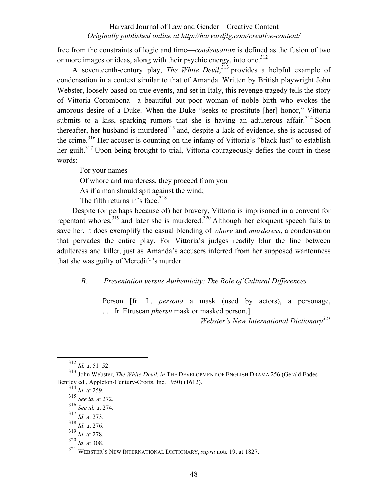free from the constraints of logic and time—*condensation* is defined as the fusion of two or more images or ideas, along with their psychic energy, into one.<sup>312</sup>

A seventeenth-century play, *The White Devil*, <sup>313</sup> provides a helpful example of condensation in a context similar to that of Amanda. Written by British playwright John Webster, loosely based on true events, and set in Italy, this revenge tragedy tells the story of Vittoria Corombona—a beautiful but poor woman of noble birth who evokes the amorous desire of a Duke. When the Duke "seeks to prostitute [her] honor," Vittoria submits to a kiss, sparking rumors that she is having an adulterous affair.<sup>314</sup> Soon thereafter, her husband is murdered<sup>315</sup> and, despite a lack of evidence, she is accused of the crime.<sup>316</sup> Her accuser is counting on the infamy of Vittoria's "black lust" to establish her guilt.<sup>317</sup> Upon being brought to trial, Vittoria courageously defies the court in these words:

For your names

Of whore and murderess, they proceed from you

As if a man should spit against the wind;

The filth returns in's face. $318$ 

Despite (or perhaps because of) her bravery, Vittoria is imprisoned in a convent for repentant whores, $319$  and later she is murdered. $320$  Although her eloquent speech fails to save her, it does exemplify the casual blending of *whore* and *murderess*, a condensation that pervades the entire play. For Vittoria's judges readily blur the line between adulteress and killer, just as Amanda's accusers inferred from her supposed wantonness that she was guilty of Meredith's murder.

*B. Presentation versus Authenticity: The Role of Cultural Differences*

Person [fr. L. *persona* a mask (used by actors), a personage, . . . fr. Etruscan *phersu* mask or masked person.]

*Webster's New International Dictionary<sup>321</sup>*

 <sup>312</sup> *Id.* at 51–52.

<sup>313</sup> John Webster, *The White Devil*, *in* THE DEVELOPMENT OF ENGLISH DRAMA 256 (Gerald Eades Bentley ed., Appleton-Century-Crofts, Inc. 1950) (1612).

 $\frac{314}{314}$  *Id.* at 259.

<sup>315</sup> *See id.* at 272.

<sup>316</sup> *See id.* at 274.

<sup>317</sup> *Id*. at 273.

<sup>318</sup> *Id*. at 276.

<sup>319</sup> *Id*. at 278.

<sup>320</sup> *Id*. at 308.

<sup>321</sup> WEBSTER'S NEW INTERNATIONAL DICTIONARY, *supra* note 19, at 1827.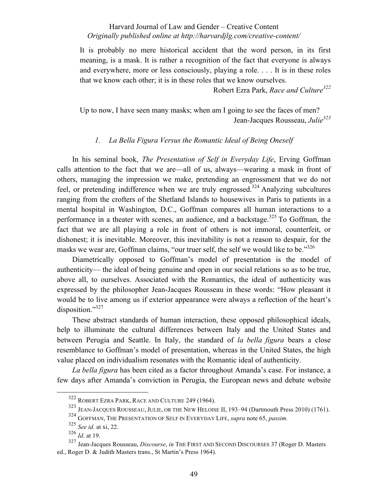It is probably no mere historical accident that the word person, in its first meaning, is a mask. It is rather a recognition of the fact that everyone is always and everywhere, more or less consciously, playing a role. . . . It is in these roles that we know each other; it is in these roles that we know ourselves.

Robert Ezra Park, *Race and Culture322*

Up to now, I have seen many masks; when am I going to see the faces of men? Jean-Jacques Rousseau, *Julie*<sup>323</sup>

## *1. La Bella Figura Versus the Romantic Ideal of Being Oneself*

In his seminal book, *The Presentation of Self in Everyday Life*, Erving Goffman calls attention to the fact that we are—all of us, always—wearing a mask in front of others, managing the impression we make, pretending an engrossment that we do not feel, or pretending indifference when we are truly engrossed.<sup>324</sup> Analyzing subcultures ranging from the crofters of the Shetland Islands to housewives in Paris to patients in a mental hospital in Washington, D.C., Goffman compares all human interactions to a performance in a theater with scenes, an audience, and a backstage.<sup>325</sup> To Goffman, the fact that we are all playing a role in front of others is not immoral, counterfeit, or dishonest; it is inevitable. Moreover, this inevitability is not a reason to despair, for the masks we wear are, Goffman claims, "our truer self, the self we would like to be."<sup>326</sup>

Diametrically opposed to Goffman's model of presentation is the model of authenticity— the ideal of being genuine and open in our social relations so as to be true, above all, to ourselves. Associated with the Romantics, the ideal of authenticity was expressed by the philosopher Jean-Jacques Rousseau in these words: "How pleasant it would be to live among us if exterior appearance were always a reflection of the heart's disposition."<sup>327</sup>

These abstract standards of human interaction, these opposed philosophical ideals, help to illuminate the cultural differences between Italy and the United States and between Perugia and Seattle. In Italy, the standard of *la bella figura* bears a close resemblance to Goffman's model of presentation, whereas in the United States, the high value placed on individualism resonates with the Romantic ideal of authenticity.

*La bella figura* has been cited as a factor throughout Amanda's case. For instance, a few days after Amanda's conviction in Perugia, the European news and debate website

 <sup>322</sup> ROBERT EZRA PARK, RACE AND CULTURE 249 (1964).

<sup>323</sup> JEAN-JACQUES ROUSSEAU, JULIE, OR THE NEW HELOISE II, 193–94 (Dartmouth Press 2010) (1761).

<sup>324</sup> GOFFMAN, THE PRESENTATION OF SELF IN EVERYDAY LIFE, *supra* note 65, *passim.*

<sup>325</sup> *See id.* at xi, 22.

<sup>326</sup> *Id*. at 19.

<sup>327</sup> Jean-Jacques Rousseau, *Discourse*, *in* THE FIRST AND SECOND DISCOURSES 37 (Roger D. Masters ed., Roger D. & Judith Masters trans., St Martin's Press 1964).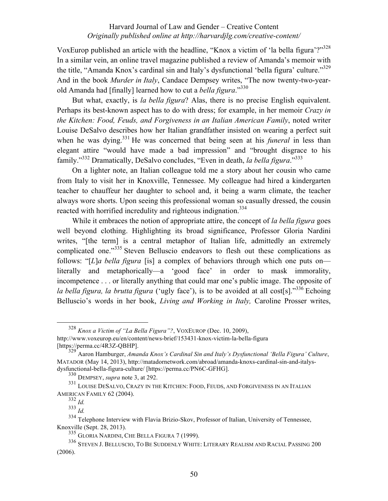VoxEurop published an article with the headline, "Knox a victim of 'la bella figura'?"<sup>328</sup> In a similar vein, an online travel magazine published a review of Amanda's memoir with the title, "Amanda Knox's cardinal sin and Italy's dysfunctional 'bella figura' culture."<sup>329</sup> And in the book *Murder in Italy*, Candace Dempsey writes, "The now twenty-two-yearold Amanda had [finally] learned how to cut a *bella figura*."<sup>330</sup>

But what, exactly, is *la bella figura*? Alas, there is no precise English equivalent. Perhaps its best-known aspect has to do with dress; for example, in her memoir *Crazy in the Kitchen: Food, Feuds, and Forgiveness in an Italian American Family*, noted writer Louise DeSalvo describes how her Italian grandfather insisted on wearing a perfect suit when he was dying.<sup>331</sup> He was concerned that being seen at his *funeral* in less than elegant attire "would have made a bad impression" and "brought disgrace to his family."332 Dramatically, DeSalvo concludes, "Even in death, *la bella figura*."333

On a lighter note, an Italian colleague told me a story about her cousin who came from Italy to visit her in Knoxville, Tennessee. My colleague had hired a kindergarten teacher to chauffeur her daughter to school and, it being a warm climate, the teacher always wore shorts. Upon seeing this professional woman so casually dressed, the cousin reacted with horrified incredulity and righteous indignation.<sup>334</sup>

While it embraces the notion of appropriate attire, the concept of *la bella figura* goes well beyond clothing. Highlighting its broad significance, Professor Gloria Nardini writes, "[the term] is a central metaphor of Italian life, admittedly an extremely complicated one."<sup>335</sup> Steven Belluscio endeavors to flesh out these complications as follows: "[*L*]*a bella figura* [is] a complex of behaviors through which one puts on literally and metaphorically—a 'good face' in order to mask immorality, incompetence . . . or literally anything that could mar one's public image. The opposite of *la bella figura, la brutta figura* ('ugly face'), is to be avoided at all cost[s]."<sup>336</sup> Echoing Belluscio's words in her book, *Living and Working in Italy,* Caroline Prosser writes,

 <sup>328</sup> *Knox a Victim of "La Bella Figura"?*, VOXEUROP (Dec. 10, 2009),

http://www.voxeurop.eu/en/content/news-brief/153431-knox-victim-la-bella-figura [https://perma.cc/4R3Z-QBHP].

<sup>329</sup> Aaron Hamburger, *Amanda Knox's Cardinal Sin and Italy's Dysfunctional 'Bella Figura' Culture*, MATADOR (May 14, 2013), http://matadornetwork.com/abroad/amanda-knoxs-cardinal-sin-and-italysdysfunctional-bella-figura-culture/ [https://perma.cc/PN6C-GFHG].

<sup>330</sup> DEMPSEY, *supra* note 3, at 292.

<sup>331</sup> LOUISE DESALVO, CRAZY IN THE KITCHEN: FOOD, FEUDS, AND FORGIVENESS IN AN ITALIAN AMERICAN FAMILY 62 (2004).

<sup>332</sup> *Id.*

<sup>333</sup> *Id.*

<sup>334</sup> Telephone Interview with Flavia Brizio-Skov, Professor of Italian, University of Tennessee, Knoxville (Sept. 28, 2013).

<sup>335</sup> GLORIA NARDINI, CHE BELLA FIGURA 7 (1999).

<sup>336</sup> STEVEN J. BELLUSCIO, TO BE SUDDENLY WHITE: LITERARY REALISM AND RACIAL PASSING 200 (2006).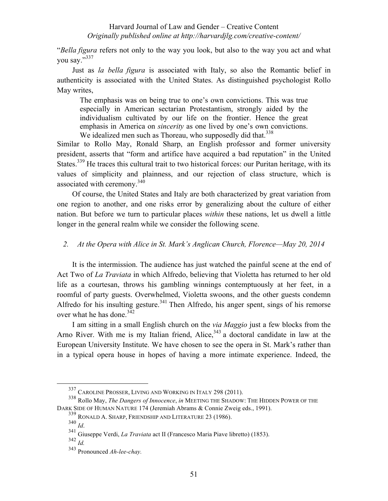"*Bella figura* refers not only to the way you look, but also to the way you act and what you say."<sup>337</sup>

Just as *la bella figura* is associated with Italy, so also the Romantic belief in authenticity is associated with the United States. As distinguished psychologist Rollo May writes,

The emphasis was on being true to one's own convictions. This was true especially in American sectarian Protestantism, strongly aided by the individualism cultivated by our life on the frontier. Hence the great emphasis in America on *sincerity* as one lived by one's own convictions. We idealized men such as Thoreau, who supposedly did that.<sup>338</sup>

Similar to Rollo May, Ronald Sharp, an English professor and former university president, asserts that "form and artifice have acquired a bad reputation" in the United States.<sup>339</sup> He traces this cultural trait to two historical forces: our Puritan heritage, with its values of simplicity and plainness, and our rejection of class structure, which is associated with ceremony.<sup>340</sup>

Of course, the United States and Italy are both characterized by great variation from one region to another, and one risks error by generalizing about the culture of either nation. But before we turn to particular places *within* these nations, let us dwell a little longer in the general realm while we consider the following scene.

## *2. At the Opera with Alice in St. Mark's Anglican Church, Florence—May 20, 2014*

It is the intermission. The audience has just watched the painful scene at the end of Act Two of *La Traviata* in which Alfredo, believing that Violetta has returned to her old life as a courtesan, throws his gambling winnings contemptuously at her feet, in a roomful of party guests. Overwhelmed, Violetta swoons, and the other guests condemn Alfredo for his insulting gesture.<sup>341</sup> Then Alfredo, his anger spent, sings of his remorse over what he has done  $342$ 

I am sitting in a small English church on the *via Maggio* just a few blocks from the Arno River. With me is my Italian friend, Alice,  $343$  a doctoral candidate in law at the European University Institute. We have chosen to see the opera in St. Mark's rather than in a typical opera house in hopes of having a more intimate experience. Indeed, the

 <sup>337</sup> CAROLINE PROSSER, LIVING AND WORKING IN ITALY 298 (2011).

<sup>338</sup> Rollo May, *The Dangers of Innocence*, *in* MEETING THE SHADOW: THE HIDDEN POWER OF THE DARK SIDE OF HUMAN NATURE 174 (Jeremiah Abrams & Connie Zweig eds., 1991).

<sup>339</sup> RONALD A. SHARP, FRIENDSHIP AND LITERATURE 23 (1986).

<sup>340</sup> *Id*.

<sup>341</sup> Giuseppe Verdi, *La Traviata* act II (Francesco Maria Piave libretto) (1853).

<sup>342</sup> *Id.*

<sup>343</sup> Pronounced *Ah-lee-chay.*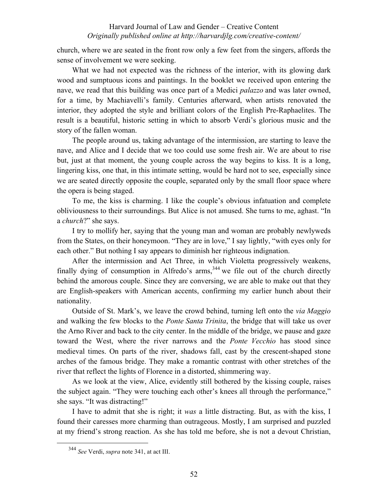church, where we are seated in the front row only a few feet from the singers, affords the sense of involvement we were seeking.

What we had not expected was the richness of the interior, with its glowing dark wood and sumptuous icons and paintings. In the booklet we received upon entering the nave, we read that this building was once part of a Medici *palazzo* and was later owned, for a time, by Machiavelli's family. Centuries afterward, when artists renovated the interior, they adopted the style and brilliant colors of the English Pre-Raphaelites. The result is a beautiful, historic setting in which to absorb Verdi's glorious music and the story of the fallen woman.

The people around us, taking advantage of the intermission, are starting to leave the nave, and Alice and I decide that we too could use some fresh air. We are about to rise but, just at that moment, the young couple across the way begins to kiss. It is a long, lingering kiss, one that, in this intimate setting, would be hard not to see, especially since we are seated directly opposite the couple, separated only by the small floor space where the opera is being staged.

To me, the kiss is charming. I like the couple's obvious infatuation and complete obliviousness to their surroundings. But Alice is not amused. She turns to me, aghast. "In a *church*?" she says.

I try to mollify her, saying that the young man and woman are probably newlyweds from the States, on their honeymoon. "They are in love," I say lightly, "with eyes only for each other." But nothing I say appears to diminish her righteous indignation.

After the intermission and Act Three, in which Violetta progressively weakens, finally dying of consumption in Alfredo's  $\arms$ <sup>344</sup>, we file out of the church directly behind the amorous couple. Since they are conversing, we are able to make out that they are English-speakers with American accents, confirming my earlier hunch about their nationality.

Outside of St. Mark's, we leave the crowd behind, turning left onto the *via Maggio* and walking the few blocks to the *Ponte Santa Trinita*, the bridge that will take us over the Arno River and back to the city center. In the middle of the bridge, we pause and gaze toward the West, where the river narrows and the *Ponte Vecchio* has stood since medieval times. On parts of the river, shadows fall, cast by the crescent-shaped stone arches of the famous bridge. They make a romantic contrast with other stretches of the river that reflect the lights of Florence in a distorted, shimmering way.

As we look at the view, Alice, evidently still bothered by the kissing couple, raises the subject again. "They were touching each other's knees all through the performance," she says. "It was distracting!"

I have to admit that she is right; it *was* a little distracting. But, as with the kiss, I found their caresses more charming than outrageous. Mostly, I am surprised and puzzled at my friend's strong reaction. As she has told me before, she is not a devout Christian,

 <sup>344</sup> *See* Verdi, *supra* note 341, at act III.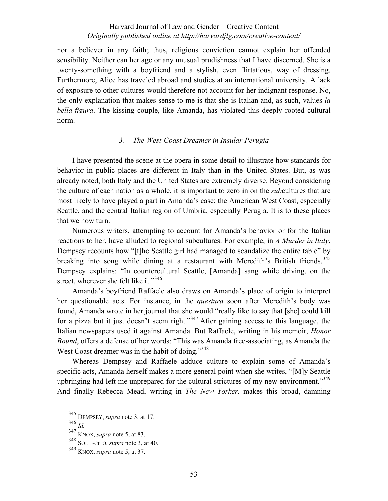nor a believer in any faith; thus, religious conviction cannot explain her offended sensibility. Neither can her age or any unusual prudishness that I have discerned. She is a twenty-something with a boyfriend and a stylish, even flirtatious, way of dressing. Furthermore, Alice has traveled abroad and studies at an international university. A lack of exposure to other cultures would therefore not account for her indignant response. No, the only explanation that makes sense to me is that she is Italian and, as such, values *la bella figura*. The kissing couple, like Amanda, has violated this deeply rooted cultural norm.

## *3. The West-Coast Dreamer in Insular Perugia*

I have presented the scene at the opera in some detail to illustrate how standards for behavior in public places are different in Italy than in the United States. But, as was already noted, both Italy and the United States are extremely diverse. Beyond considering the culture of each nation as a whole, it is important to zero in on the *sub*cultures that are most likely to have played a part in Amanda's case: the American West Coast, especially Seattle, and the central Italian region of Umbria, especially Perugia. It is to these places that we now turn.

Numerous writers, attempting to account for Amanda's behavior or for the Italian reactions to her, have alluded to regional subcultures. For example, in *A Murder in Italy*, Dempsey recounts how "[t]he Seattle girl had managed to scandalize the entire table" by breaking into song while dining at a restaurant with Meredith's British friends.<sup>345</sup> Dempsey explains: "In countercultural Seattle, [Amanda] sang while driving, on the street, wherever she felt like it."<sup>346</sup>

Amanda's boyfriend Raffaele also draws on Amanda's place of origin to interpret her questionable acts. For instance, in the *questura* soon after Meredith's body was found, Amanda wrote in her journal that she would "really like to say that [she] could kill for a pizza but it just doesn't seem right."<sup>347</sup> After gaining access to this language, the Italian newspapers used it against Amanda. But Raffaele, writing in his memoir, *Honor Bound*, offers a defense of her words: "This was Amanda free-associating, as Amanda the West Coast dreamer was in the habit of doing."<sup>348</sup>

Whereas Dempsey and Raffaele adduce culture to explain some of Amanda's specific acts, Amanda herself makes a more general point when she writes, "[M]y Seattle upbringing had left me unprepared for the cultural strictures of my new environment."<sup>349</sup> And finally Rebecca Mead, writing in *The New Yorker,* makes this broad, damning

 <sup>345</sup> DEMPSEY, *supra* note 3, at 17.

<sup>346</sup> *Id.*

<sup>347</sup> KNOX, *supra* note 5, at 83.

<sup>348</sup> SOLLECITO, *supra* note 3, at 40.

<sup>349</sup> KNOX, *supra* note 5, at 37.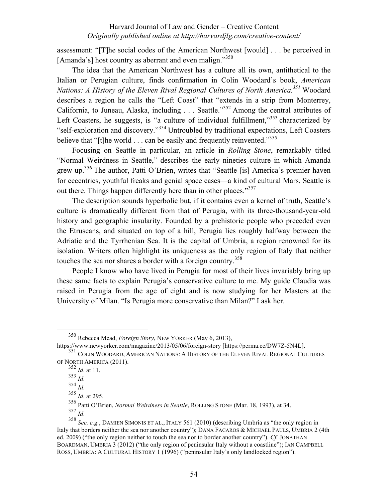assessment: "[T]he social codes of the American Northwest [would] . . . be perceived in [Amanda's] host country as aberrant and even malign."<sup>350</sup>

The idea that the American Northwest has a culture all its own, antithetical to the Italian or Perugian culture, finds confirmation in Colin Woodard's book, *American Nations: A History of the Eleven Rival Regional Cultures of North America.<sup>351</sup> Woodard* describes a region he calls the "Left Coast" that "extends in a strip from Monterrey, California, to Juneau, Alaska, including . . . Seattle."352 Among the central attributes of Left Coasters, he suggests, is "a culture of individual fulfillment,"<sup>353</sup> characterized by "self-exploration and discovery."<sup>354</sup> Untroubled by traditional expectations, Left Coasters believe that "[t]he world  $\ldots$  can be easily and frequently reinvented."<sup>355</sup>

Focusing on Seattle in particular, an article in *Rolling Stone*, remarkably titled "Normal Weirdness in Seattle," describes the early nineties culture in which Amanda grew up.356 The author, Patti O'Brien, writes that "Seattle [is] America's premier haven for eccentrics, youthful freaks and genial space cases—a kind of cultural Mars. Seattle is out there. Things happen differently here than in other places."<sup>357</sup>

The description sounds hyperbolic but, if it contains even a kernel of truth, Seattle's culture is dramatically different from that of Perugia, with its three-thousand-year-old history and geographic insularity. Founded by a prehistoric people who preceded even the Etruscans, and situated on top of a hill, Perugia lies roughly halfway between the Adriatic and the Tyrrhenian Sea. It is the capital of Umbria, a region renowned for its isolation. Writers often highlight its uniqueness as the only region of Italy that neither touches the sea nor shares a border with a foreign country.<sup>358</sup>

People I know who have lived in Perugia for most of their lives invariably bring up these same facts to explain Perugia's conservative culture to me. My guide Claudia was raised in Perugia from the age of eight and is now studying for her Masters at the University of Milan. "Is Perugia more conservative than Milan?" I ask her.

 <sup>350</sup> Rebecca Mead, *Foreign Story*, NEW YORKER (May 6, 2013),

https://www.newyorker.com/magazine/2013/05/06/foreign-story [https://perma.cc/DW7Z-5N4L].

<sup>351</sup> COLIN WOODARD, AMERICAN NATIONS: A HISTORY OF THE ELEVEN RIVAL REGIONAL CULTURES OF NORTH AMERICA (2011).

<sup>352</sup> *Id*. at 11.

 $\frac{353}{354}$  *Id.*<br> $\frac{354}{10}$ .

<sup>354</sup> *Id*. <sup>355</sup> *Id*. at 295.

<sup>356</sup> Patti O'Brien, *Normal Weirdness in Seattle*, ROLLING STONE (Mar. 18, 1993), at 34. <sup>357</sup> *Id*.

<sup>358</sup> *See, e.g.*, DAMIEN SIMONIS ET AL., ITALY 561 (2010) (describing Umbria as "the only region in Italy that borders neither the sea nor another country"); DANA FACAROS & MICHAEL PAULS, UMBRIA 2 (4th ed. 2009) ("the only region neither to touch the sea nor to border another country"). *Cf.* JONATHAN BOARDMAN, UMBRIA 3 (2012) ("the only region of peninsular Italy without a coastline"); IAN CAMPBELL ROSS, UMBRIA: A CULTURAL HISTORY 1 (1996) ("peninsular Italy's only landlocked region").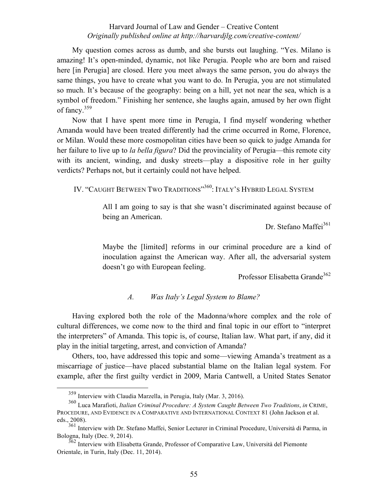My question comes across as dumb, and she bursts out laughing. "Yes. Milano is amazing! It's open-minded, dynamic, not like Perugia. People who are born and raised here [in Perugia] are closed. Here you meet always the same person, you do always the same things, you have to create what you want to do. In Perugia, you are not stimulated so much. It's because of the geography: being on a hill, yet not near the sea, which is a symbol of freedom." Finishing her sentence, she laughs again, amused by her own flight of fancy.<sup>359</sup>

Now that I have spent more time in Perugia, I find myself wondering whether Amanda would have been treated differently had the crime occurred in Rome, Florence, or Milan. Would these more cosmopolitan cities have been so quick to judge Amanda for her failure to live up to *la bella figura*? Did the provinciality of Perugia—this remote city with its ancient, winding, and dusky streets—play a dispositive role in her guilty verdicts? Perhaps not, but it certainly could not have helped.

IV. "CAUGHT BETWEEN TWO TRADITIONS"<sup>360</sup>: ITALY'S HYBRID LEGAL SYSTEM

All I am going to say is that she wasn't discriminated against because of being an American.

Dr. Stefano Maffei<sup>361</sup>

Maybe the [limited] reforms in our criminal procedure are a kind of inoculation against the American way. After all, the adversarial system doesn't go with European feeling.

Professor Elisabetta Grande<sup>362</sup>

## *A. Was Italy's Legal System to Blame?*

Having explored both the role of the Madonna/whore complex and the role of cultural differences, we come now to the third and final topic in our effort to "interpret the interpreters" of Amanda. This topic is, of course, Italian law. What part, if any, did it play in the initial targeting, arrest, and conviction of Amanda?

Others, too, have addressed this topic and some—viewing Amanda's treatment as a miscarriage of justice—have placed substantial blame on the Italian legal system. For example, after the first guilty verdict in 2009, Maria Cantwell, a United States Senator

 <sup>359</sup> Interview with Claudia Marzella, in Perugia, Italy (Mar. 3, 2016).

<sup>360</sup> Luca Marafioti, *Italian Criminal Procedure: A System Caught Between Two Traditions*, *in* CRIME, PROCEDURE, AND EVIDENCE IN A COMPARATIVE AND INTERNATIONAL CONTEXT 81 (John Jackson et al. eds., 2008).

<sup>&</sup>lt;sup>361</sup> Interview with Dr. Stefano Maffei, Senior Lecturer in Criminal Procedure, Università di Parma, in Bologna, Italy (Dec. 9, 2014).

<sup>362</sup> Interview with Elisabetta Grande, Professor of Comparative Law, Università del Piemonte Orientale, in Turin, Italy (Dec. 11, 2014).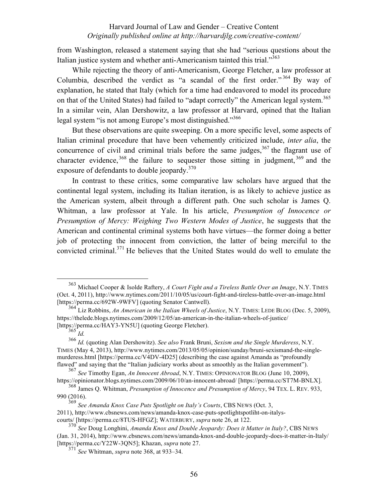from Washington, released a statement saying that she had "serious questions about the Italian justice system and whether anti-Americanism tainted this trial. $^{363}$ 

While rejecting the theory of anti-Americanism, George Fletcher, a law professor at Columbia, described the verdict as "a scandal of the first order." <sup>364</sup> By way of explanation, he stated that Italy (which for a time had endeavored to model its procedure on that of the United States) had failed to "adapt correctly" the American legal system.<sup>365</sup> In a similar vein, Alan Dershowitz, a law professor at Harvard, opined that the Italian legal system "is not among Europe's most distinguished."<sup>366</sup>

But these observations are quite sweeping. On a more specific level, some aspects of Italian criminal procedure that have been vehemently criticized include, *inter alia*, the concurrence of civil and criminal trials before the same judges,  $367$  the flagrant use of character evidence,  $368$  the failure to sequester those sitting in judgment,  $369$  and the exposure of defendants to double jeopardy.<sup>370</sup>

In contrast to these critics, some comparative law scholars have argued that the continental legal system, including its Italian iteration, is as likely to achieve justice as the American system, albeit through a different path. One such scholar is James Q. Whitman, a law professor at Yale. In his article, *Presumption of Innocence or Presumption of Mercy: Weighing Two Western Modes of Justice*, he suggests that the American and continental criminal systems both have virtues—the former doing a better job of protecting the innocent from conviction, the latter of being merciful to the convicted criminal.<sup>371</sup> He believes that the United States would do well to emulate the

 $rac{365}{365}$  *Id.* 

 <sup>363</sup> Michael Cooper & Isolde Raftery, *A Court Fight and a Tireless Battle Over an Image*, N.Y. TIMES (Oct. 4, 2011), http://www.nytimes.com/2011/10/05/us/court-fight-and-tireless-battle-over-an-image.html [https://perma.cc/692W-9WFV] (quoting Senator Cantwell).

<sup>364</sup> Liz Robbins, *An American in the Italian Wheels of Justice*, N.Y. TIMES: LEDE BLOG (Dec. 5, 2009), https://thelede.blogs.nytimes.com/2009/12/05/an-american-in-the-italian-wheels-of-justice/ [https://perma.cc/HAY3-YN5U] (quoting George Fletcher).

<sup>366</sup> *Id.* (quoting Alan Dershowitz). *See also* Frank Bruni, *Sexism and the Single Murderess*, N.Y. TIMES (May 4, 2013), http://www.nytimes.com/2013/05/05/opinion/sunday/bruni-sexismand-the-singlemurderess.html [https://perma.cc/V4DV-4D25] (describing the case against Amanda as "profoundly flawed" and saying that the "Italian judiciary works about as smoothly as the Italian government").

<sup>367</sup> *See* Timothy Egan, *An Innocent Abroad*, N.Y. TIMES: OPINIONATOR BLOG (June 10, 2009), https://opinionator.blogs.nytimes.com/2009/06/10/an-innocent-abroad/ [https://perma.cc/ST7M-BNLX].

<sup>368</sup> James Q. Whitman, *Presumption of Innocence and Presumption of Mercy*, 94 TEX. L. REV. 933, 990 (2016).

<sup>369</sup> *See Amanda Knox Case Puts Spotlight on Italy's Courts*, CBS NEWS (Oct. 3,

<sup>2011),</sup> http://www.cbsnews.com/news/amanda-knox-case-puts-spotlightspotliht-on-italyscourts/ [https://perma.cc/8TUS-HFGZ]; WATERBURY, *supra* note 26, at 122.

<sup>370</sup> *See* Doug Longhini, *Amanda Knox and Double Jeopardy: Does it Matter in Italy?*, CBS NEWS (Jan. 31, 2014), http://www.cbsnews.com/news/amanda-knox-and-double-jeopardy-does-it-matter-in-Italy/ [https://perma.cc/Y22W-3QN5]; Khazan, *supra* note 27. <sup>371</sup> *See* Whitman, *supra* note 368, at 933–34.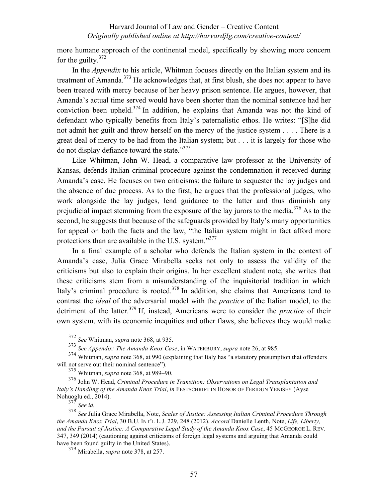more humane approach of the continental model, specifically by showing more concern for the guilty. $372$ 

In the *Appendix* to his article, Whitman focuses directly on the Italian system and its treatment of Amanda.<sup>373</sup> He acknowledges that, at first blush, she does not appear to have been treated with mercy because of her heavy prison sentence. He argues, however, that Amanda's actual time served would have been shorter than the nominal sentence had her conviction been upheld.<sup>374</sup> In addition, he explains that Amanda was not the kind of defendant who typically benefits from Italy's paternalistic ethos. He writes: "[S]he did not admit her guilt and throw herself on the mercy of the justice system . . . . There is a great deal of mercy to be had from the Italian system; but . . . it is largely for those who do not display defiance toward the state."<sup>375</sup>

Like Whitman, John W. Head, a comparative law professor at the University of Kansas, defends Italian criminal procedure against the condemnation it received during Amanda's case. He focuses on two criticisms: the failure to sequester the lay judges and the absence of due process. As to the first, he argues that the professional judges, who work alongside the lay judges, lend guidance to the latter and thus diminish any prejudicial impact stemming from the exposure of the lay jurors to the media.<sup>376</sup> As to the second, he suggests that because of the safeguards provided by Italy's many opportunities for appeal on both the facts and the law, "the Italian system might in fact afford more protections than are available in the U.S. system."<sup>377</sup>

In a final example of a scholar who defends the Italian system in the context of Amanda's case, Julia Grace Mirabella seeks not only to assess the validity of the criticisms but also to explain their origins. In her excellent student note, she writes that these criticisms stem from a misunderstanding of the inquisitorial tradition in which Italy's criminal procedure is rooted.<sup>378</sup> In addition, she claims that Americans tend to contrast the *ideal* of the adversarial model with the *practice* of the Italian model, to the detriment of the latter.379 If, instead, Americans were to consider the *practice* of their own system, with its economic inequities and other flaws, she believes they would make

 <sup>372</sup> *See* Whitman, *supra* note 368, at 935.

<sup>373</sup> *See Appendix: The Amanda Knox Case*, in WATERBURY, *supra* note 26, at 985.

<sup>374</sup> Whitman, *supra* note 368, at 990 (explaining that Italy has "a statutory presumption that offenders will not serve out their nominal sentence").

<sup>375</sup> Whitman, *supra* note 368, at 989–90.

<sup>376</sup> John W. Head, *Criminal Procedure in Transition: Observations on Legal Transplantation and Italy's Handling of the Amanda Knox Trial*, *in* FESTSCHRIFT IN HONOR OF FERIDUN YENISEY (Ayse Nohuoglu ed., 2014).

<sup>377</sup> *See id.*

<sup>378</sup> *See* Julia Grace Mirabella, Note, *Scales of Justice: Assessing Italian Criminal Procedure Through the Amanda Knox Trial*, 30 B.U. INT'L L.J. 229, 248 (2012). *Accord* Danielle Lenth, Note, *Life, Liberty, and the Pursuit of Justice: A Comparative Legal Study of the Amanda Knox Case*, 45 MCGEORGE L. REV. 347, 349 (2014) (cautioning against criticisms of foreign legal systems and arguing that Amanda could have been found guilty in the United States).

<sup>379</sup> Mirabella, *supra* note 378, at 257.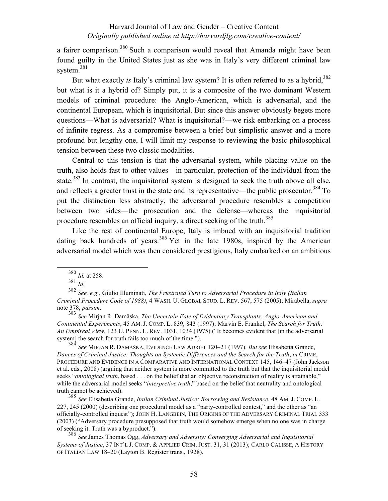a fairer comparison.380 Such a comparison would reveal that Amanda might have been found guilty in the United States just as she was in Italy's very different criminal law system.<sup>381</sup>

But what exactly *is* Italy's criminal law system? It is often referred to as a hybrid,<sup>382</sup> but what is it a hybrid of? Simply put, it is a composite of the two dominant Western models of criminal procedure: the Anglo-American, which is adversarial, and the continental European, which is inquisitorial. But since this answer obviously begets more questions—What is adversarial? What is inquisitorial?—we risk embarking on a process of infinite regress. As a compromise between a brief but simplistic answer and a more profound but lengthy one, I will limit my response to reviewing the basic philosophical tension between these two classic modalities.

Central to this tension is that the adversarial system, while placing value on the truth, also holds fast to other values—in particular, protection of the individual from the state.<sup>383</sup> In contrast, the inquisitorial system is designed to seek the truth above all else, and reflects a greater trust in the state and its representative—the public prosecutor.<sup>384</sup> To put the distinction less abstractly, the adversarial procedure resembles a competition between two sides—the prosecution and the defense—whereas the inquisitorial procedure resembles an official inquiry, a direct seeking of the truth.<sup>385</sup>

Like the rest of continental Europe, Italy is imbued with an inquisitorial tradition dating back hundreds of years.<sup>386</sup> Yet in the late 1980s, inspired by the American adversarial model which was then considered prestigious, Italy embarked on an ambitious

<sup>381</sup> *Id.*

<sup>384</sup> *See* MIRJAN R. DAMAŠKA, EVIDENCE LAW ADRIFT 120–21 (1997). *But see* Elisabetta Grande, *Dances of Criminal Justice: Thoughts on Systemic Differences and the Search for the Truth*, *in* CRIME, PROCEDURE AND EVIDENCE IN A COMPARATIVE AND INTERNATIONAL CONTEXT 145, 146–47 (John Jackson et al. eds., 2008) (arguing that neither system is more committed to the truth but that the inquisitorial model seeks "*ontological truth*, based . . . on the belief that an objective reconstruction of reality is attainable," while the adversarial model seeks "*interpretive truth*," based on the belief that neutrality and ontological truth cannot be achieved).

<sup>385</sup> *See* Elisabetta Grande, *Italian Criminal Justice: Borrowing and Resistance*, 48 AM. J. COMP. L. 227, 245 (2000) (describing one procedural model as a "party-controlled contest," and the other as "an officially-controlled inquest"); JOHN H. LANGBEIN, THE ORIGINS OF THE ADVERSARY CRIMINAL TRIAL 333 (2003) ("Adversary procedure presupposed that truth would somehow emerge when no one was in charge of seeking it. Truth was a byproduct.").

<sup>386</sup> *See* James Thomas Ogg, *Adversary and Adversity: Converging Adversarial and Inquisitorial Systems of Justice*, 37 INT'L J. COMP. & APPLIED CRIM. JUST. 31, 31 (2013); CARLO CALISSE, A HISTORY OF ITALIAN LAW 18–20 (Layton B. Register trans., 1928).

 <sup>380</sup> *Id.* at 258.

<sup>382</sup> *See, e.g.*, Giulio Illuminati, *The Frustrated Turn to Adversarial Procedure in Italy (Italian Criminal Procedure Code of 1988)*, 4 WASH. U. GLOBAL STUD. L. REV. 567, 575 (2005); Mirabella, *supra* note 378, *passim*. <sup>383</sup> *See* Mirjan R. Damăska, *The Uncertain Fate of Evidentiary Transplants: Anglo-American and* 

*Continental Experiments*, 45 AM. J. COMP. L. 839, 843 (1997); Marvin E. Frankel, *The Search for Truth: An Umpireal View*, 123 U. PENN. L. REV. 1031, 1034 (1975) ("It becomes evident that [in the adversarial system] the search for truth fails too much of the time.").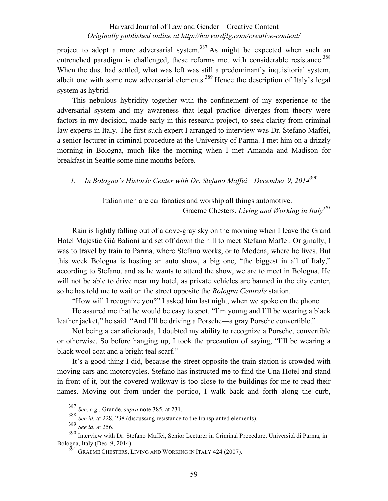project to adopt a more adversarial system.<sup>387</sup> As might be expected when such an entrenched paradigm is challenged, these reforms met with considerable resistance.<sup>388</sup> When the dust had settled, what was left was still a predominantly inquisitorial system, albeit one with some new adversarial elements.<sup>389</sup> Hence the description of Italy's legal system as hybrid.

This nebulous hybridity together with the confinement of my experience to the adversarial system and my awareness that legal practice diverges from theory were factors in my decision, made early in this research project, to seek clarity from criminal law experts in Italy. The first such expert I arranged to interview was Dr. Stefano Maffei, a senior lecturer in criminal procedure at the University of Parma. I met him on a drizzly morning in Bologna, much like the morning when I met Amanda and Madison for breakfast in Seattle some nine months before.

*1. In Bologna's Historic Center with Dr. Stefano Maffei—December 9, 2014*<sup>390</sup>

Italian men are car fanatics and worship all things automotive. Graeme Chesters, *Living and Working in Italy391*

Rain is lightly falling out of a dove-gray sky on the morning when I leave the Grand Hotel Majestic Già Balioni and set off down the hill to meet Stefano Maffei. Originally, I was to travel by train to Parma, where Stefano works, or to Modena, where he lives. But this week Bologna is hosting an auto show, a big one, "the biggest in all of Italy," according to Stefano, and as he wants to attend the show, we are to meet in Bologna. He will not be able to drive near my hotel, as private vehicles are banned in the city center, so he has told me to wait on the street opposite the *Bologna Centrale* station.

"How will I recognize you?" I asked him last night, when we spoke on the phone.

He assured me that he would be easy to spot. "I'm young and I'll be wearing a black leather jacket," he said. "And I'll be driving a Porsche—a gray Porsche convertible."

Not being a car aficionada, I doubted my ability to recognize a Porsche, convertible or otherwise. So before hanging up, I took the precaution of saying, "I'll be wearing a black wool coat and a bright teal scarf."

It's a good thing I did, because the street opposite the train station is crowded with moving cars and motorcycles. Stefano has instructed me to find the Una Hotel and stand in front of it, but the covered walkway is too close to the buildings for me to read their names. Moving out from under the portico, I walk back and forth along the curb,

 <sup>387</sup> *See, e.g.*, Grande, *supra* note 385, at 231.

<sup>&</sup>lt;sup>388</sup> *See id.* at 228, 238 (discussing resistance to the transplanted elements).

<sup>389</sup> *See id.* at 256.

<sup>390</sup> Interview with Dr. Stefano Maffei, Senior Lecturer in Criminal Procedure, Università di Parma, in Bologna, Italy (Dec. 9, 2014).

 $391$  GRAEME CHESTERS, LIVING AND WORKING IN ITALY 424 (2007).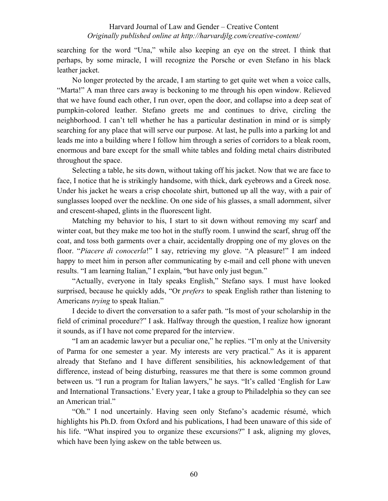searching for the word "Una," while also keeping an eye on the street. I think that perhaps, by some miracle, I will recognize the Porsche or even Stefano in his black leather jacket.

No longer protected by the arcade, I am starting to get quite wet when a voice calls, "Marta!" A man three cars away is beckoning to me through his open window. Relieved that we have found each other, I run over, open the door, and collapse into a deep seat of pumpkin-colored leather. Stefano greets me and continues to drive, circling the neighborhood. I can't tell whether he has a particular destination in mind or is simply searching for any place that will serve our purpose. At last, he pulls into a parking lot and leads me into a building where I follow him through a series of corridors to a bleak room, enormous and bare except for the small white tables and folding metal chairs distributed throughout the space.

Selecting a table, he sits down, without taking off his jacket. Now that we are face to face, I notice that he is strikingly handsome, with thick, dark eyebrows and a Greek nose. Under his jacket he wears a crisp chocolate shirt, buttoned up all the way, with a pair of sunglasses looped over the neckline. On one side of his glasses, a small adornment, silver and crescent-shaped, glints in the fluorescent light.

Matching my behavior to his, I start to sit down without removing my scarf and winter coat, but they make me too hot in the stuffy room. I unwind the scarf, shrug off the coat, and toss both garments over a chair, accidentally dropping one of my gloves on the floor. "*Piacere di conocerla*!" I say, retrieving my glove. "A pleasure!" I am indeed happy to meet him in person after communicating by e-mail and cell phone with uneven results. "I am learning Italian," I explain, "but have only just begun."

"Actually, everyone in Italy speaks English," Stefano says. I must have looked surprised, because he quickly adds, "Or *prefers* to speak English rather than listening to Americans *trying* to speak Italian."

I decide to divert the conversation to a safer path. "Is most of your scholarship in the field of criminal procedure?" I ask. Halfway through the question, I realize how ignorant it sounds, as if I have not come prepared for the interview.

"I am an academic lawyer but a peculiar one," he replies. "I'm only at the University of Parma for one semester a year. My interests are very practical." As it is apparent already that Stefano and I have different sensibilities, his acknowledgement of that difference, instead of being disturbing, reassures me that there is some common ground between us. "I run a program for Italian lawyers," he says. "It's called 'English for Law and International Transactions.' Every year, I take a group to Philadelphia so they can see an American trial."

"Oh." I nod uncertainly. Having seen only Stefano's academic résumé, which highlights his Ph.D. from Oxford and his publications, I had been unaware of this side of his life. "What inspired you to organize these excursions?" I ask, aligning my gloves, which have been lying askew on the table between us.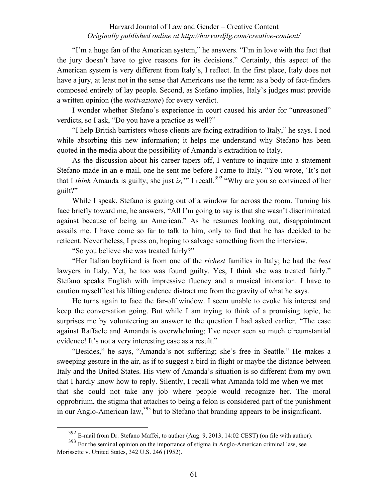"I'm a huge fan of the American system," he answers. "I'm in love with the fact that the jury doesn't have to give reasons for its decisions." Certainly, this aspect of the American system is very different from Italy's, I reflect. In the first place, Italy does not have a jury, at least not in the sense that Americans use the term: as a body of fact-finders composed entirely of lay people. Second, as Stefano implies, Italy's judges must provide a written opinion (the *motivazione*) for every verdict.

I wonder whether Stefano's experience in court caused his ardor for "unreasoned" verdicts, so I ask, "Do you have a practice as well?"

"I help British barristers whose clients are facing extradition to Italy," he says. I nod while absorbing this new information; it helps me understand why Stefano has been quoted in the media about the possibility of Amanda's extradition to Italy.

As the discussion about his career tapers off, I venture to inquire into a statement Stefano made in an e-mail, one he sent me before I came to Italy. "You wrote, 'It's not that I *think* Amanda is guilty; she just *is*," I recall.<sup>392</sup> "Why are you so convinced of her guilt?"

While I speak, Stefano is gazing out of a window far across the room. Turning his face briefly toward me, he answers, "All I'm going to say is that she wasn't discriminated against because of being an American." As he resumes looking out, disappointment assails me. I have come so far to talk to him, only to find that he has decided to be reticent. Nevertheless, I press on, hoping to salvage something from the interview.

"So you believe she was treated fairly?"

"Her Italian boyfriend is from one of the *richest* families in Italy; he had the *best*  lawyers in Italy. Yet, he too was found guilty. Yes, I think she was treated fairly." Stefano speaks English with impressive fluency and a musical intonation. I have to caution myself lest his lilting cadence distract me from the gravity of what he says.

He turns again to face the far-off window. I seem unable to evoke his interest and keep the conversation going. But while I am trying to think of a promising topic, he surprises me by volunteering an answer to the question I had asked earlier. "The case against Raffaele and Amanda is overwhelming; I've never seen so much circumstantial evidence! It's not a very interesting case as a result."

"Besides," he says, "Amanda's not suffering; she's free in Seattle." He makes a sweeping gesture in the air, as if to suggest a bird in flight or maybe the distance between Italy and the United States. His view of Amanda's situation is so different from my own that I hardly know how to reply. Silently, I recall what Amanda told me when we met that she could not take any job where people would recognize her. The moral opprobrium, the stigma that attaches to being a felon is considered part of the punishment in our Anglo-American law,  $393$  but to Stefano that branding appears to be insignificant.

 <sup>392</sup> E-mail from Dr. Stefano Maffei, to author (Aug. 9, 2013, 14:02 CEST) (on file with author).

<sup>&</sup>lt;sup>393</sup> For the seminal opinion on the importance of stigma in Anglo-American criminal law, see Morissette v. United States, 342 U.S. 246 (1952).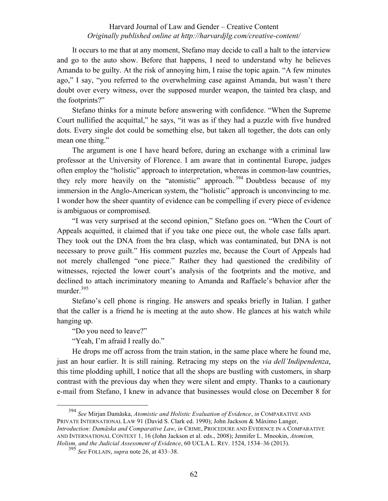It occurs to me that at any moment, Stefano may decide to call a halt to the interview and go to the auto show. Before that happens, I need to understand why he believes Amanda to be guilty. At the risk of annoying him, I raise the topic again. "A few minutes ago," I say, "you referred to the overwhelming case against Amanda, but wasn't there doubt over every witness, over the supposed murder weapon, the tainted bra clasp, and the footprints?"

Stefano thinks for a minute before answering with confidence. "When the Supreme Court nullified the acquittal," he says, "it was as if they had a puzzle with five hundred dots. Every single dot could be something else, but taken all together, the dots can only mean one thing."

The argument is one I have heard before, during an exchange with a criminal law professor at the University of Florence. I am aware that in continental Europe, judges often employ the "holistic" approach to interpretation, whereas in common-law countries, they rely more heavily on the "atomistic" approach. <sup>394</sup> Doubtless because of my immersion in the Anglo-American system, the "holistic" approach is unconvincing to me. I wonder how the sheer quantity of evidence can be compelling if every piece of evidence is ambiguous or compromised.

"I was very surprised at the second opinion," Stefano goes on. "When the Court of Appeals acquitted, it claimed that if you take one piece out, the whole case falls apart. They took out the DNA from the bra clasp, which was contaminated, but DNA is not necessary to prove guilt." His comment puzzles me, because the Court of Appeals had not merely challenged "one piece." Rather they had questioned the credibility of witnesses, rejected the lower court's analysis of the footprints and the motive, and declined to attach incriminatory meaning to Amanda and Raffaele's behavior after the murder.<sup>395</sup>

Stefano's cell phone is ringing. He answers and speaks briefly in Italian. I gather that the caller is a friend he is meeting at the auto show. He glances at his watch while hanging up.

"Do you need to leave?"

"Yeah, I'm afraid I really do."

He drops me off across from the train station, in the same place where he found me, just an hour earlier. It is still raining. Retracing my steps on the *via dell'Indipendenza*, this time plodding uphill, I notice that all the shops are bustling with customers, in sharp contrast with the previous day when they were silent and empty. Thanks to a cautionary e-mail from Stefano, I knew in advance that businesses would close on December 8 for

 <sup>394</sup> *See* Mirjan Damăska, *Atomistic and Holistic Evaluation of Evidence*, *in* COMPARATIVE AND PRIVATE INTERNATIONAL LAW 91 (David S. Clark ed. 1990); John Jackson & Máximo Langer, *Introduction: Damăska and Comparative Law*, *in* CRIME, PROCEDURE AND EVIDENCE IN A COMPARATIVE AND INTERNATIONAL CONTEXT 1, 16 (John Jackson et al. eds., 2008); Jennifer L. Mnookin, *Atomism, Holism, and the Judicial Assessment of Evidence*, 60 UCLA L. REV. 1524, 1534‒36 (2013).

<sup>395</sup> *See* FOLLAIN, *supra* note 26, at 433–38.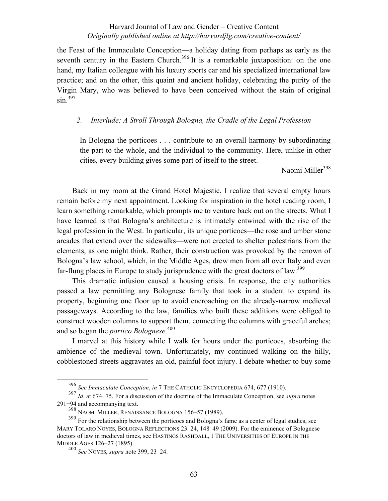the Feast of the Immaculate Conception—a holiday dating from perhaps as early as the seventh century in the Eastern Church.<sup>396</sup> It is a remarkable juxtaposition: on the one hand, my Italian colleague with his luxury sports car and his specialized international law practice; and on the other, this quaint and ancient holiday, celebrating the purity of the Virgin Mary, who was believed to have been conceived without the stain of original  $\sin^{397}$ 

## *2. Interlude: A Stroll Through Bologna, the Cradle of the Legal Profession*

In Bologna the porticoes . . . contribute to an overall harmony by subordinating the part to the whole, and the individual to the community. Here, unlike in other cities, every building gives some part of itself to the street.

Naomi Miller<sup>398</sup>

Back in my room at the Grand Hotel Majestic, I realize that several empty hours remain before my next appointment. Looking for inspiration in the hotel reading room, I learn something remarkable, which prompts me to venture back out on the streets. What I have learned is that Bologna's architecture is intimately entwined with the rise of the legal profession in the West. In particular, its unique porticoes—the rose and umber stone arcades that extend over the sidewalks—were not erected to shelter pedestrians from the elements, as one might think. Rather, their construction was provoked by the renown of Bologna's law school, which, in the Middle Ages, drew men from all over Italy and even far-flung places in Europe to study jurisprudence with the great doctors of law.<sup>399</sup>

This dramatic infusion caused a housing crisis. In response, the city authorities passed a law permitting any Bolognese family that took in a student to expand its property, beginning one floor up to avoid encroaching on the already-narrow medieval passageways. According to the law, families who built these additions were obliged to construct wooden columns to support them, connecting the columns with graceful arches; and so began the *portico Bolognese*. 400

I marvel at this history while I walk for hours under the porticoes, absorbing the ambience of the medieval town. Unfortunately, my continued walking on the hilly, cobblestoned streets aggravates an old, painful foot injury. I debate whether to buy some

<sup>396</sup> *See Immaculate Conception*, *in* 7 THE CATHOLIC ENCYCLOPEDIA 674, 677 (1910). <sup>397</sup> *Id*. at 674−75. For a discussion of the doctrine of the Immaculate Conception, see *supra* notes 291−94 and accompanying text.

 $398$  NAOMI MILLER, RENAISSANCE BOLOGNA 156–57 (1989).

<sup>&</sup>lt;sup>399</sup> For the relationship between the porticoes and Bologna's fame as a center of legal studies, see MARY TOLARO NOYES, BOLOGNA REFLECTIONS 23-24, 148-49 (2009). For the eminence of Bolognese doctors of law in medieval times, see HASTINGS RASHDALL, 1 THE UNIVERSITIES OF EUROPE IN THE MIDDLE AGES 126-27 (1895).

<sup>400</sup> *See* NOYES, *supra* note 399, 23–24.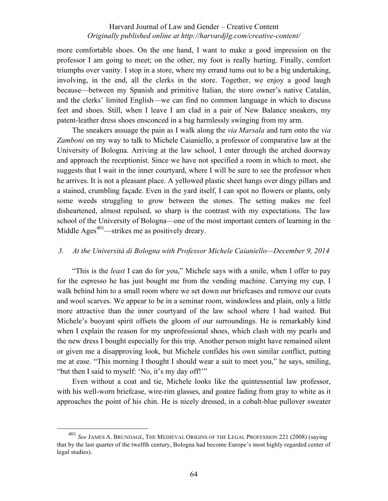more comfortable shoes. On the one hand, I want to make a good impression on the professor I am going to meet; on the other, my foot is really hurting. Finally, comfort triumphs over vanity. I stop in a store, where my errand turns out to be a big undertaking, involving, in the end, all the clerks in the store. Together, we enjoy a good laugh because—between my Spanish and primitive Italian, the store owner's native Catalán, and the clerks' limited English—we can find no common language in which to discuss feet and shoes. Still, when I leave I am clad in a pair of New Balance sneakers, my patent-leather dress shoes ensconced in a bag harmlessly swinging from my arm.

The sneakers assuage the pain as I walk along the *via Marsala* and turn onto the *via Zamboni* on my way to talk to Michele Caianiello, a professor of comparative law at the University of Bologna. Arriving at the law school, I enter through the arched doorway and approach the receptionist. Since we have not specified a room in which to meet, she suggests that I wait in the inner courtyard, where I will be sure to see the professor when he arrives. It is not a pleasant place. A yellowed plastic sheet hangs over dingy pillars and a stained, crumbling façade. Even in the yard itself, I can spot no flowers or plants, only some weeds struggling to grow between the stones. The setting makes me feel disheartened, almost repulsed, so sharp is the contrast with my expectations. The law school of the University of Bologna—one of the most important centers of learning in the Middle Ages<sup> $401$ </sup>—strikes me as positively dreary.

### *3. At the Università di Bologna with Professor Michele Caianiello—December 9, 2014*

"This is the *least* I can do for you," Michele says with a smile, when I offer to pay for the espresso he has just bought me from the vending machine. Carrying my cup, I walk behind him to a small room where we set down our briefcases and remove our coats and wool scarves. We appear to be in a seminar room, windowless and plain, only a little more attractive than the inner courtyard of the law school where I had waited. But Michele's buoyant spirit offsets the gloom of our surroundings. He is remarkably kind when I explain the reason for my unprofessional shoes, which clash with my pearls and the new dress I bought especially for this trip. Another person might have remained silent or given me a disapproving look, but Michele confides his own similar conflict, putting me at ease. "This morning I thought I should wear a suit to meet you," he says, smiling, "but then I said to myself: 'No, it's my day off!'"

Even without a coat and tie, Michele looks like the quintessential law professor, with his well-worn briefcase, wire-rim glasses, and goatee fading from gray to white as it approaches the point of his chin. He is nicely dressed, in a cobalt-blue pullover sweater

See JAMES A. BRUNDAGE, THE MEDIEVAL ORIGINS OF THE LEGAL PROFESSION 221 (2008) (saying that by the last quarter of the twelfth century, Bologna had become Europe's most highly regarded center of legal studies).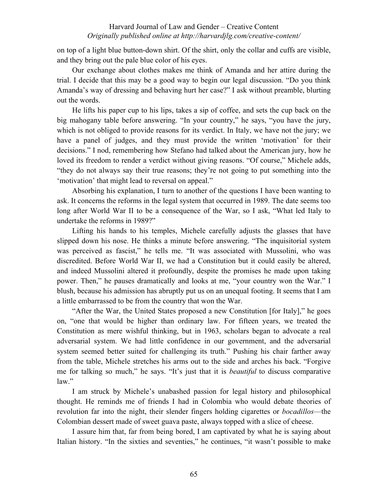on top of a light blue button-down shirt. Of the shirt, only the collar and cuffs are visible, and they bring out the pale blue color of his eyes.

Our exchange about clothes makes me think of Amanda and her attire during the trial. I decide that this may be a good way to begin our legal discussion. "Do you think Amanda's way of dressing and behaving hurt her case?" I ask without preamble, blurting out the words.

He lifts his paper cup to his lips, takes a sip of coffee, and sets the cup back on the big mahogany table before answering. "In your country," he says, "you have the jury, which is not obliged to provide reasons for its verdict. In Italy, we have not the jury; we have a panel of judges, and they must provide the written 'motivation' for their decisions." I nod, remembering how Stefano had talked about the American jury, how he loved its freedom to render a verdict without giving reasons. "Of course," Michele adds, "they do not always say their true reasons; they're not going to put something into the 'motivation' that might lead to reversal on appeal."

Absorbing his explanation, I turn to another of the questions I have been wanting to ask. It concerns the reforms in the legal system that occurred in 1989. The date seems too long after World War II to be a consequence of the War, so I ask, "What led Italy to undertake the reforms in 1989?"

Lifting his hands to his temples, Michele carefully adjusts the glasses that have slipped down his nose. He thinks a minute before answering. "The inquisitorial system was perceived as fascist," he tells me. "It was associated with Mussolini, who was discredited. Before World War II, we had a Constitution but it could easily be altered, and indeed Mussolini altered it profoundly, despite the promises he made upon taking power. Then," he pauses dramatically and looks at me, "your country won the War." I blush, because his admission has abruptly put us on an unequal footing. It seems that I am a little embarrassed to be from the country that won the War.

"After the War, the United States proposed a new Constitution [for Italy]," he goes on, "one that would be higher than ordinary law. For fifteen years, we treated the Constitution as mere wishful thinking, but in 1963, scholars began to advocate a real adversarial system. We had little confidence in our government, and the adversarial system seemed better suited for challenging its truth." Pushing his chair farther away from the table, Michele stretches his arms out to the side and arches his back. "Forgive me for talking so much," he says. "It's just that it is *beautiful* to discuss comparative law."

I am struck by Michele's unabashed passion for legal history and philosophical thought. He reminds me of friends I had in Colombia who would debate theories of revolution far into the night, their slender fingers holding cigarettes or *bocadillos*—the Colombian dessert made of sweet guava paste, always topped with a slice of cheese.

I assure him that, far from being bored, I am captivated by what he is saying about Italian history. "In the sixties and seventies," he continues, "it wasn't possible to make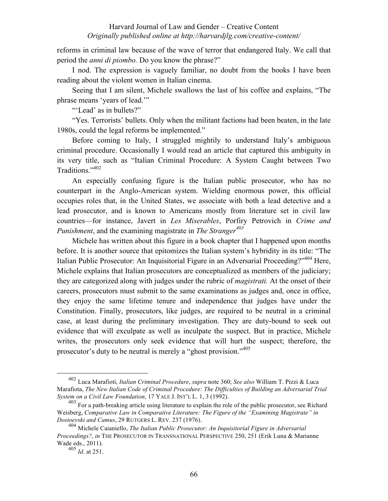reforms in criminal law because of the wave of terror that endangered Italy. We call that period the *anni di piombo.* Do you know the phrase?"

I nod. The expression is vaguely familiar, no doubt from the books I have been reading about the violent women in Italian cinema.

Seeing that I am silent, Michele swallows the last of his coffee and explains, "The phrase means 'years of lead.'"

"'Lead' as in bullets?"

"Yes. Terrorists' bullets. Only when the militant factions had been beaten, in the late 1980s, could the legal reforms be implemented."

Before coming to Italy, I struggled mightily to understand Italy's ambiguous criminal procedure. Occasionally I would read an article that captured this ambiguity in its very title, such as "Italian Criminal Procedure: A System Caught between Two Traditions."402

An especially confusing figure is the Italian public prosecutor, who has no counterpart in the Anglo-American system. Wielding enormous power, this official occupies roles that, in the United States, we associate with both a lead detective and a lead prosecutor, and is known to Americans mostly from literature set in civil law countries—for instance, Javert in *Les Miserables*, Porfiry Petrovich in *Crime and Punishment*, and the examining magistrate in *The Stranger<sup>403</sup>*

Michele has written about this figure in a book chapter that I happened upon months before. It is another source that epitomizes the Italian system's hybridity in its title: "The Italian Public Prosecutor: An Inquisitorial Figure in an Adversarial Proceeding?"<sup>404</sup> Here, Michele explains that Italian prosecutors are conceptualized as members of the judiciary; they are categorized along with judges under the rubric of *magistrati.* At the onset of their careers, prosecutors must submit to the same examinations as judges and, once in office, they enjoy the same lifetime tenure and independence that judges have under the Constitution. Finally, prosecutors, like judges, are required to be neutral in a criminal case, at least during the preliminary investigation. They are duty-bound to seek out evidence that will exculpate as well as inculpate the suspect. But in practice, Michele writes, the prosecutors only seek evidence that will hurt the suspect; therefore, the prosecutor's duty to be neutral is merely a "ghost provision."<sup>405</sup>

 <sup>402</sup> Luca Marafioti, *Italian Criminal Procedure*, *supra* note 360; *See also* William T. Pizzi & Luca Marafiota, *The New Italian Code of Criminal Procedure: The Difficulties of Building an Adversarial Trial System on a Civil Law Foundation*, 17 YALE J. INT'L L. 1, 3 (1992).

<sup>&</sup>lt;sup>403</sup> For a path-breaking article using literature to explain the role of the public prosecutor, see Richard Weisberg, *Comparative Law in Comparative Literature: The Figure of the "Examining Magistrate" in Dostoevski and Camus*, 29 RUTGERS L. REV. 237 (1976).

<sup>404</sup> Michele Caianiello, *The Italian Public Prosecutor: An Inquisitorial Figure in Adversarial Proceedings?*, *in* THE PROSECUTOR IN TRANSNATIONAL PERSPECTIVE 250, 251 (Erik Luna & Marianne Wade eds., 2011).

<sup>405</sup> *Id*. at 251.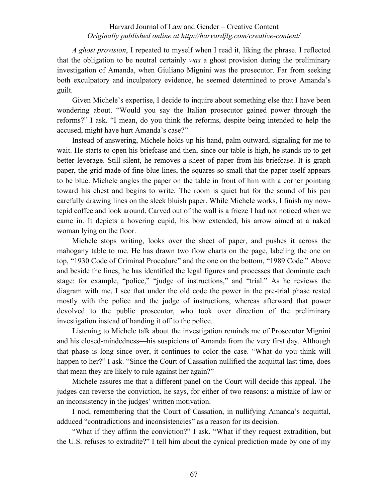*A ghost provision*, I repeated to myself when I read it, liking the phrase. I reflected that the obligation to be neutral certainly *was* a ghost provision during the preliminary investigation of Amanda, when Giuliano Mignini was the prosecutor. Far from seeking both exculpatory and inculpatory evidence, he seemed determined to prove Amanda's guilt.

Given Michele's expertise, I decide to inquire about something else that I have been wondering about. "Would you say the Italian prosecutor gained power through the reforms?" I ask. "I mean, do you think the reforms, despite being intended to help the accused, might have hurt Amanda's case?"

Instead of answering, Michele holds up his hand, palm outward, signaling for me to wait. He starts to open his briefcase and then, since our table is high, he stands up to get better leverage. Still silent, he removes a sheet of paper from his briefcase. It is graph paper, the grid made of fine blue lines, the squares so small that the paper itself appears to be blue. Michele angles the paper on the table in front of him with a corner pointing toward his chest and begins to write. The room is quiet but for the sound of his pen carefully drawing lines on the sleek bluish paper. While Michele works, I finish my nowtepid coffee and look around. Carved out of the wall is a frieze I had not noticed when we came in. It depicts a hovering cupid, his bow extended, his arrow aimed at a naked woman lying on the floor.

Michele stops writing, looks over the sheet of paper, and pushes it across the mahogany table to me. He has drawn two flow charts on the page, labeling the one on top, "1930 Code of Criminal Procedure" and the one on the bottom, "1989 Code." Above and beside the lines, he has identified the legal figures and processes that dominate each stage: for example, "police," "judge of instructions," and "trial." As he reviews the diagram with me, I see that under the old code the power in the pre-trial phase rested mostly with the police and the judge of instructions, whereas afterward that power devolved to the public prosecutor, who took over direction of the preliminary investigation instead of handing it off to the police.

Listening to Michele talk about the investigation reminds me of Prosecutor Mignini and his closed-mindedness—his suspicions of Amanda from the very first day. Although that phase is long since over, it continues to color the case. "What do you think will happen to her?" I ask. "Since the Court of Cassation nullified the acquittal last time, does that mean they are likely to rule against her again?"

Michele assures me that a different panel on the Court will decide this appeal. The judges can reverse the conviction, he says, for either of two reasons: a mistake of law or an inconsistency in the judges' written motivation.

I nod, remembering that the Court of Cassation, in nullifying Amanda's acquittal, adduced "contradictions and inconsistencies" as a reason for its decision.

"What if they affirm the conviction?" I ask. "What if they request extradition, but the U.S. refuses to extradite?" I tell him about the cynical prediction made by one of my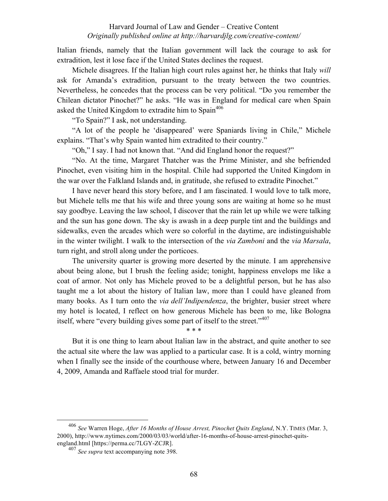Italian friends, namely that the Italian government will lack the courage to ask for extradition, lest it lose face if the United States declines the request.

Michele disagrees. If the Italian high court rules against her, he thinks that Italy *will* ask for Amanda's extradition, pursuant to the treaty between the two countries. Nevertheless, he concedes that the process can be very political. "Do you remember the Chilean dictator Pinochet?" he asks. "He was in England for medical care when Spain asked the United Kingdom to extradite him to Spain<sup>406</sup>

"To Spain?" I ask, not understanding.

"A lot of the people he 'disappeared' were Spaniards living in Chile," Michele explains. "That's why Spain wanted him extradited to their country."

"Oh," I say. I had not known that. "And did England honor the request?"

"No. At the time, Margaret Thatcher was the Prime Minister, and she befriended Pinochet, even visiting him in the hospital. Chile had supported the United Kingdom in the war over the Falkland Islands and, in gratitude, she refused to extradite Pinochet."

I have never heard this story before, and I am fascinated. I would love to talk more, but Michele tells me that his wife and three young sons are waiting at home so he must say goodbye. Leaving the law school, I discover that the rain let up while we were talking and the sun has gone down. The sky is awash in a deep purple tint and the buildings and sidewalks, even the arcades which were so colorful in the daytime, are indistinguishable in the winter twilight. I walk to the intersection of the *via Zamboni* and the *via Marsala*, turn right, and stroll along under the porticoes.

The university quarter is growing more deserted by the minute. I am apprehensive about being alone, but I brush the feeling aside; tonight, happiness envelops me like a coat of armor. Not only has Michele proved to be a delightful person, but he has also taught me a lot about the history of Italian law, more than I could have gleaned from many books. As I turn onto the *via dell'Indipendenza*, the brighter, busier street where my hotel is located, I reflect on how generous Michele has been to me, like Bologna itself, where "every building gives some part of itself to the street."<sup>407</sup>

But it is one thing to learn about Italian law in the abstract, and quite another to see the actual site where the law was applied to a particular case. It is a cold, wintry morning when I finally see the inside of the courthouse where, between January 16 and December 4, 2009, Amanda and Raffaele stood trial for murder.

\* \* \*

 <sup>406</sup> *See* Warren Hoge, *After 16 Months of House Arrest, Pinochet Quits England*, N.Y. TIMES (Mar. 3, 2000), http://www.nytimes.com/2000/03/03/world/after-16-months-of-house-arrest-pinochet-quitsengland.html [https://perma.cc/7LGY-ZCJR].

<sup>407</sup> *See supra* text accompanying note 398.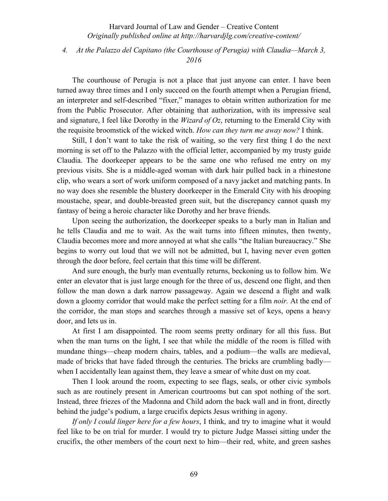*4. At the Palazzo del Capitano (the Courthouse of Perugia) with Claudia—March 3, 2016*

The courthouse of Perugia is not a place that just anyone can enter. I have been turned away three times and I only succeed on the fourth attempt when a Perugian friend, an interpreter and self-described "fixer," manages to obtain written authorization for me from the Public Prosecutor. After obtaining that authorization, with its impressive seal and signature, I feel like Dorothy in the *Wizard of Oz*, returning to the Emerald City with the requisite broomstick of the wicked witch. *How can they turn me away now?* I think.

Still, I don't want to take the risk of waiting, so the very first thing I do the next morning is set off to the Palazzo with the official letter, accompanied by my trusty guide Claudia. The doorkeeper appears to be the same one who refused me entry on my previous visits. She is a middle-aged woman with dark hair pulled back in a rhinestone clip, who wears a sort of work uniform composed of a navy jacket and matching pants. In no way does she resemble the blustery doorkeeper in the Emerald City with his drooping moustache, spear, and double-breasted green suit, but the discrepancy cannot quash my fantasy of being a heroic character like Dorothy and her brave friends.

Upon seeing the authorization, the doorkeeper speaks to a burly man in Italian and he tells Claudia and me to wait. As the wait turns into fifteen minutes, then twenty, Claudia becomes more and more annoyed at what she calls "the Italian bureaucracy." She begins to worry out loud that we will not be admitted, but I, having never even gotten through the door before, feel certain that this time will be different.

And sure enough, the burly man eventually returns, beckoning us to follow him. We enter an elevator that is just large enough for the three of us, descend one flight, and then follow the man down a dark narrow passageway. Again we descend a flight and walk down a gloomy corridor that would make the perfect setting for a film *noir.* At the end of the corridor, the man stops and searches through a massive set of keys, opens a heavy door, and lets us in.

At first I am disappointed. The room seems pretty ordinary for all this fuss. But when the man turns on the light, I see that while the middle of the room is filled with mundane things—cheap modern chairs, tables, and a podium—the walls are medieval, made of bricks that have faded through the centuries. The bricks are crumbling badly when I accidentally lean against them, they leave a smear of white dust on my coat.

Then I look around the room, expecting to see flags, seals, or other civic symbols such as are routinely present in American courtrooms but can spot nothing of the sort. Instead, three friezes of the Madonna and Child adorn the back wall and in front, directly behind the judge's podium, a large crucifix depicts Jesus writhing in agony.

*If only I could linger here for a few hours*, I think, and try to imagine what it would feel like to be on trial for murder. I would try to picture Judge Massei sitting under the crucifix, the other members of the court next to him—their red, white, and green sashes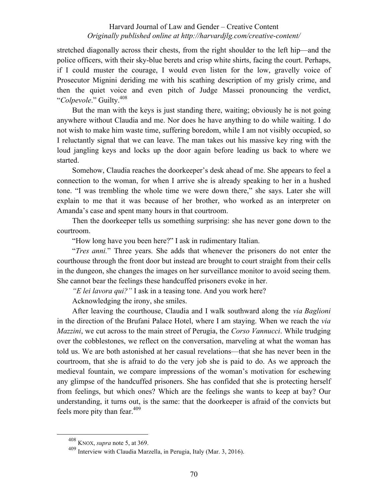stretched diagonally across their chests, from the right shoulder to the left hip—and the police officers, with their sky-blue berets and crisp white shirts, facing the court. Perhaps, if I could muster the courage, I would even listen for the low, gravelly voice of Prosecutor Mignini deriding me with his scathing description of my grisly crime, and then the quiet voice and even pitch of Judge Massei pronouncing the verdict, "*Colpevole*." Guilty.408

But the man with the keys is just standing there, waiting; obviously he is not going anywhere without Claudia and me. Nor does he have anything to do while waiting. I do not wish to make him waste time, suffering boredom, while I am not visibly occupied, so I reluctantly signal that we can leave. The man takes out his massive key ring with the loud jangling keys and locks up the door again before leading us back to where we started.

Somehow, Claudia reaches the doorkeeper's desk ahead of me. She appears to feel a connection to the woman, for when I arrive she is already speaking to her in a hushed tone. "I was trembling the whole time we were down there," she says. Later she will explain to me that it was because of her brother, who worked as an interpreter on Amanda's case and spent many hours in that courtroom.

Then the doorkeeper tells us something surprising: she has never gone down to the courtroom.

"How long have you been here?" I ask in rudimentary Italian.

"*Tres anni.*" Three years. She adds that whenever the prisoners do not enter the courthouse through the front door but instead are brought to court straight from their cells in the dungeon, she changes the images on her surveillance monitor to avoid seeing them. She cannot bear the feelings these handcuffed prisoners evoke in her.

*"E lei lavora qui?"* I ask in a teasing tone. And you work here?

Acknowledging the irony, she smiles.

After leaving the courthouse, Claudia and I walk southward along the *via Baglioni* in the direction of the Brufani Palace Hotel, where I am staying. When we reach the *via Mazzini*, we cut across to the main street of Perugia, the *Corso Vannucci*. While trudging over the cobblestones, we reflect on the conversation, marveling at what the woman has told us. We are both astonished at her casual revelations—that she has never been in the courtroom, that she is afraid to do the very job she is paid to do. As we approach the medieval fountain, we compare impressions of the woman's motivation for eschewing any glimpse of the handcuffed prisoners. She has confided that she is protecting herself from feelings, but which ones? Which are the feelings she wants to keep at bay? Our understanding, it turns out, is the same: that the doorkeeper is afraid of the convicts but feels more pity than fear.  $409$ 

 <sup>408</sup> KNOX, *supra* note 5, at 369.

<sup>409</sup> Interview with Claudia Marzella, in Perugia, Italy (Mar. 3, 2016).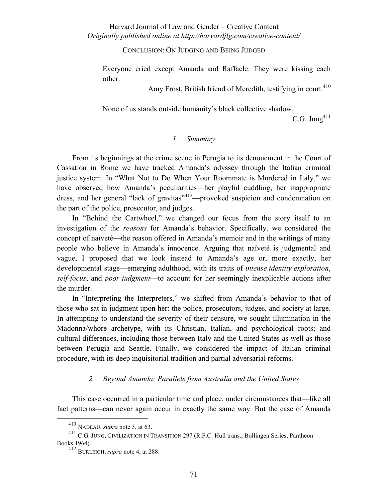CONCLUSION: ON JUDGING AND BEING JUDGED

Everyone cried except Amanda and Raffaele. They were kissing each other.

Amy Frost, British friend of Meredith, testifying in court.<sup>410</sup>

None of us stands outside humanity's black collective shadow.

C.G. Jung $411$ 

#### *1. Summary*

From its beginnings at the crime scene in Perugia to its denouement in the Court of Cassation in Rome we have tracked Amanda's odyssey through the Italian criminal justice system. In "What Not to Do When Your Roommate is Murdered in Italy," we have observed how Amanda's peculiarities—her playful cuddling, her inappropriate dress, and her general "lack of gravitas"412—provoked suspicion and condemnation on the part of the police, prosecutor, and judges.

In "Behind the Cartwheel," we changed our focus from the story itself to an investigation of the *reasons* for Amanda's behavior. Specifically, we considered the concept of naïveté—the reason offered in Amanda's memoir and in the writings of many people who believe in Amanda's innocence. Arguing that naïveté is judgmental and vague, I proposed that we look instead to Amanda's age or, more exactly, her developmental stage—emerging adulthood, with its traits of *intense identity exploration*, *self-focus*, and *poor judgment*—to account for her seemingly inexplicable actions after the murder.

In "Interpreting the Interpreters," we shifted from Amanda's behavior to that of those who sat in judgment upon her: the police, prosecutors, judges, and society at large. In attempting to understand the severity of their censure, we sought illumination in the Madonna/whore archetype, with its Christian, Italian, and psychological roots; and cultural differences, including those between Italy and the United States as well as those between Perugia and Seattle. Finally, we considered the impact of Italian criminal procedure, with its deep inquisitorial tradition and partial adversarial reforms.

#### *2. Beyond Amanda: Parallels from Australia and the United States*

This case occurred in a particular time and place, under circumstances that—like all fact patterns—can never again occur in exactly the same way. But the case of Amanda

<sup>&</sup>lt;sup>410</sup> NADEAU, *supra* note 3, at 63.<br><sup>411</sup> C.G. JUNG, CIVILIZATION IN TRANSITION 297 (R.F.C. Hull trans., Bollingen Series, Pantheon Books 1964).

<sup>412</sup> BURLEIGH, *supra* note 4, at 288.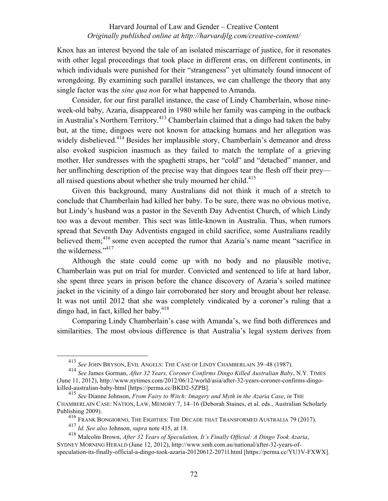Knox has an interest beyond the tale of an isolated miscarriage of justice, for it resonates with other legal proceedings that took place in different eras, on different continents, in which individuals were punished for their "strangeness" yet ultimately found innocent of wrongdoing. By examining such parallel instances, we can challenge the theory that any single factor was the *sine qua non* for what happened to Amanda.

Consider, for our first parallel instance, the case of Lindy Chamberlain, whose nineweek-old baby, Azaria, disappeared in 1980 while her family was camping in the outback in Australia's Northern Territory.<sup>413</sup> Chamberlain claimed that a dingo had taken the baby but, at the time, dingoes were not known for attacking humans and her allegation was widely disbelieved.<sup>414</sup> Besides her implausible story, Chamberlain's demeanor and dress also evoked suspicion inasmuch as they failed to match the template of a grieving mother. Her sundresses with the spaghetti straps, her "cold" and "detached" manner, and her unflinching description of the precise way that dingoes tear the flesh off their prey all raised questions about whether she truly mourned her child.<sup>415</sup>

Given this background, many Australians did not think it much of a stretch to conclude that Chamberlain had killed her baby. To be sure, there was no obvious motive, but Lindy's husband was a pastor in the Seventh Day Adventist Church, of which Lindy too was a devout member. This sect was little-known in Australia. Thus, when rumors spread that Seventh Day Adventists engaged in child sacrifice, some Australians readily believed them;<sup>416</sup> some even accepted the rumor that Azaria's name meant "sacrifice in the wilderness."<sup>417</sup>

Although the state could come up with no body and no plausible motive, Chamberlain was put on trial for murder. Convicted and sentenced to life at hard labor, she spent three years in prison before the chance discovery of Azaria's soiled matinee jacket in the vicinity of a dingo lair corroborated her story and brought about her release. It was not until 2012 that she was completely vindicated by a coroner's ruling that a dingo had, in fact, killed her baby.<sup>418</sup>

Comparing Lindy Chamberlain's case with Amanda's, we find both differences and similarities. The most obvious difference is that Australia's legal system derives from

<sup>&</sup>lt;sup>413</sup> See JOHN BRYSON, EVIL ANGELS: THE CASE OF LINDY CHAMBERLAIN 39-48 (1987).

<sup>414</sup> *See* James Gorman, *After 32 Years, Coroner Confirms Dingo Killed Australian Baby*, N.Y. TIMES (June 11, 2012), http://www.nytimes.com/2012/06/12/world/asia/after-32-years-coroner-confirms-dingokilled-australian-baby-html [https://perma.cc/BKD2-5ZPB].

<sup>415</sup> *See* Dianne Johnson, *From Fairy to Witch: Imagery and Myth in the Azaria Case*, *in* THE CHAMBERLAIN CASE: NATION, LAW, MEMORY 7, 14-16 (Deborah Staines, et al. eds., Australian Scholarly Publishing 2009).

<sup>&</sup>lt;sup>416</sup> Frank Bongiorno, The Eighties: The Decade that Transformed Australia 79 (2017).

<sup>417</sup> *Id. See also* Johnson, *supra* note 415, at 18.

<sup>418</sup> Malcolm Brown, *After 32 Years of Speculation, It's Finally Official: A Dingo Took Azaria*, SYDNEY MORNING HERALD (June 12, 2012), http://www.smh.com.au/national/after-32-years-ofspeculation-its-finally-official-a-dingo-took-azaria-20120612-2071l.html [https://perma.cc/YU3V-FXWX].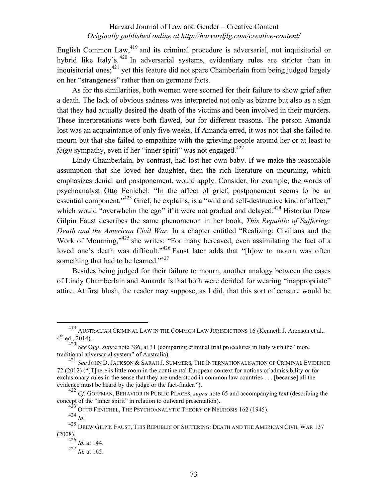English Common Law,<sup>419</sup> and its criminal procedure is adversarial, not inquisitorial or hybrid like Italy's.<sup>420</sup> In adversarial systems, evidentiary rules are stricter than in inquisitorial ones;<sup>421</sup> yet this feature did not spare Chamberlain from being judged largely on her "strangeness" rather than on germane facts.

As for the similarities, both women were scorned for their failure to show grief after a death. The lack of obvious sadness was interpreted not only as bizarre but also as a sign that they had actually desired the death of the victims and been involved in their murders. These interpretations were both flawed, but for different reasons. The person Amanda lost was an acquaintance of only five weeks. If Amanda erred, it was not that she failed to mourn but that she failed to empathize with the grieving people around her or at least to *feign* sympathy, even if her "inner spirit" was not engaged.<sup>422</sup>

Lindy Chamberlain, by contrast, had lost her own baby. If we make the reasonable assumption that she loved her daughter, then the rich literature on mourning, which emphasizes denial and postponement, would apply. Consider, for example, the words of psychoanalyst Otto Fenichel: "In the affect of grief, postponement seems to be an essential component."<sup>423</sup> Grief, he explains, is a "wild and self-destructive kind of affect," which would "overwhelm the ego" if it were not gradual and delayed.<sup> $424$ </sup> Historian Drew Gilpin Faust describes the same phenomenon in her book, *This Republic of Suffering: Death and the American Civil War*. In a chapter entitled "Realizing: Civilians and the Work of Mourning,"<sup>425</sup> she writes: "For many bereaved, even assimilating the fact of a loved one's death was difficult."<sup>426</sup> Faust later adds that "[h]ow to mourn was often something that had to be learned."<sup>427</sup>

Besides being judged for their failure to mourn, another analogy between the cases of Lindy Chamberlain and Amanda is that both were derided for wearing "inappropriate" attire. At first blush, the reader may suppose, as I did, that this sort of censure would be

 <sup>419</sup> AUSTRALIAN CRIMINAL LAW IN THE COMMON LAW JURISDICTIONS 16 (Kenneth J. Arenson et al.,  $4^{th}$  ed., 2014).

<sup>420</sup> *See Ogg, supra* note 386, at 31 (comparing criminal trial procedures in Italy with the "more" traditional adversarial system" of Australia).

<sup>421</sup> *See* JOHN D. JACKSON & SARAH J. SUMMERS, THE INTERNATIONALISATION OF CRIMINAL EVIDENCE 72 (2012) ("[T]here is little room in the continental European context for notions of admissibility or for exclusionary rules in the sense that they are understood in common law countries . . . [because] all the evidence must be heard by the judge or the fact-finder.").

<sup>&</sup>lt;sup>422</sup> *Cf.* GOFFMAN, BEHAVIOR IN PUBLIC PLACES, *supra* note 65 and accompanying text (describing the concept of the "inner spirit" in relation to outward presentation).

 $^3$  Otto Fenichel, The Psychoanalytic Theory of Neurosis 162 (1945).

<sup>424</sup> *Id.*

<sup>425</sup> DREW GILPIN FAUST, THIS REPUBLIC OF SUFFERING: DEATH AND THE AMERICAN CIVIL WAR 137 (2008).

<sup>426</sup> *Id.* at 144.

<sup>427</sup> *Id.* at 165.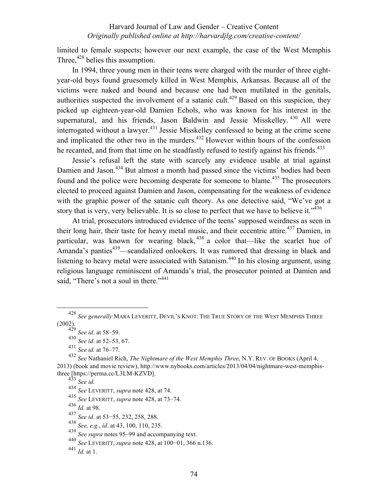limited to female suspects; however our next example, the case of the West Memphis Three,<sup>428</sup> belies this assumption.

In 1994, three young men in their teens were charged with the murder of three eightyear-old boys found gruesomely killed in West Memphis, Arkansas. Because all of the victims were naked and bound and because one had been mutilated in the genitals, authorities suspected the involvement of a satanic cult.<sup>429</sup> Based on this suspicion, they picked up eighteen-year-old Damien Echols, who was known for his interest in the supernatural, and his friends, Jason Baldwin and Jessie Misskelley.<sup>430</sup> All were interrogated without a lawyer.<sup>431</sup> Jessie Misskelley confessed to being at the crime scene and implicated the other two in the murders. $432$  However within hours of the confession he recanted, and from that time on he steadfastly refused to testify against his friends.<sup>433</sup>

Jessie's refusal left the state with scarcely any evidence usable at trial against Damien and Jason.<sup>434</sup> But almost a month had passed since the victims' bodies had been found and the police were becoming desperate for someone to blame.<sup>435</sup> The prosecutors elected to proceed against Damien and Jason, compensating for the weakness of evidence with the graphic power of the satanic cult theory. As one detective said, "We've got a story that is very, very believable. It is so close to perfect that we have to believe it."<sup>436</sup>

At trial, prosecutors introduced evidence of the teens' supposed weirdness as seen in their long hair, their taste for heavy metal music, and their eccentric attire.<sup>437</sup> Damien, in particular, was known for wearing black,  $438$  a color that—like the scarlet hue of Amanda's panties<sup>439</sup>—scandalized onlookers. It was rumored that dressing in black and listening to heavy metal were associated with Satanism.<sup>440</sup> In his closing argument, using religious language reminiscent of Amanda's trial, the prosecutor pointed at Damien and said, "There's not a soul in there."<sup>441</sup>

 <sup>428</sup> *See generally* MARA LEVERITT, DEVIL'S KNOT: THE TRUE STORY OF THE WEST MEMPHIS THREE (2002).

<sup>429</sup> *See id*. at 58–59.

<sup>430</sup> *See id*. at 52–53, 67.

<sup>431</sup> *See id.* at 76–77.

<sup>432</sup> *See* Nathaniel Rich, *The Nightmare of the West Memphis Three*, N.Y. REV. OF BOOKS (April 4, 2013) (book and movie review), http://www.nybooks.com/articles/2013/04/04/nightmare-west-memphisthree [https://perma.cc/L3LM-KZVD].

<sup>433</sup> *See id.*

<sup>434</sup> *See* LEVERITT, *supra* note 428, at 74.

<sup>435</sup> *See* LEVERITT, *supra* note 428, at 73–74.

<sup>436</sup> *Id*. at 98.

<sup>437</sup> *See id*. at 53−55, 232, 258, 288.

<sup>438</sup> *See, e.g.*, *id*. at 43, 100, 110, 235.

<sup>439</sup> *See supra* notes 95–99 and accompanying text.

<sup>440</sup> *See* LEVERITT, *supra* note 428, at 100−01, 366 n.136.

<sup>441</sup> *Id.* at 1.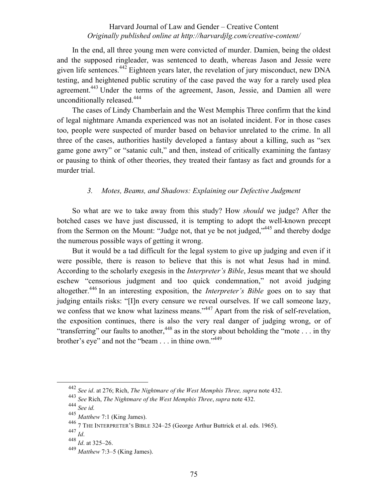In the end, all three young men were convicted of murder. Damien, being the oldest and the supposed ringleader, was sentenced to death, whereas Jason and Jessie were given life sentences.<sup>442</sup> Eighteen years later, the revelation of jury misconduct, new  $DNA$ testing, and heightened public scrutiny of the case paved the way for a rarely used plea agreement.<sup>443</sup> Under the terms of the agreement, Jason, Jessie, and Damien all were unconditionally released.<sup>444</sup>

The cases of Lindy Chamberlain and the West Memphis Three confirm that the kind of legal nightmare Amanda experienced was not an isolated incident. For in those cases too, people were suspected of murder based on behavior unrelated to the crime. In all three of the cases, authorities hastily developed a fantasy about a killing, such as "sex game gone awry" or "satanic cult," and then, instead of critically examining the fantasy or pausing to think of other theories, they treated their fantasy as fact and grounds for a murder trial.

## *3. Motes, Beams, and Shadows: Explaining our Defective Judgment*

So what are we to take away from this study? How *should* we judge? After the botched cases we have just discussed, it is tempting to adopt the well-known precept from the Sermon on the Mount: "Judge not, that ye be not judged,"445 and thereby dodge the numerous possible ways of getting it wrong.

But it would be a tad difficult for the legal system to give up judging and even if it were possible, there is reason to believe that this is not what Jesus had in mind. According to the scholarly exegesis in the *Interpreter's Bible*, Jesus meant that we should eschew "censorious judgment and too quick condemnation," not avoid judging altogether.446 In an interesting exposition, the *Interpreter's Bible* goes on to say that judging entails risks: "[I]n every censure we reveal ourselves. If we call someone lazy, we confess that we know what laziness means."<sup>447</sup> Apart from the risk of self-revelation, the exposition continues, there is also the very real danger of judging wrong, or of "transferring" our faults to another,  $448$  as in the story about beholding the "mote . . . in thy brother's eye" and not the "beam . . . in thine own."449

 <sup>442</sup> *See id*. at 276; Rich, *The Nightmare of the West Memphis Three, supra* note 432.

<sup>443</sup> *See* Rich, *The Nightmare of the West Memphis Three*, *supra* note 432. <sup>444</sup> *See id.*

<sup>445</sup> *Matthew* 7:1 (King James).

<sup>&</sup>lt;sup>446</sup> 7 THE INTERPRETER'S BIBLE 324–25 (George Arthur Buttrick et al. eds. 1965).<br><sup>447</sup>  $H^3$ 

 $\frac{447}{448}$  *Id.* at 325–26.

<sup>449</sup> *Matthew* 7:3‒5 (King James).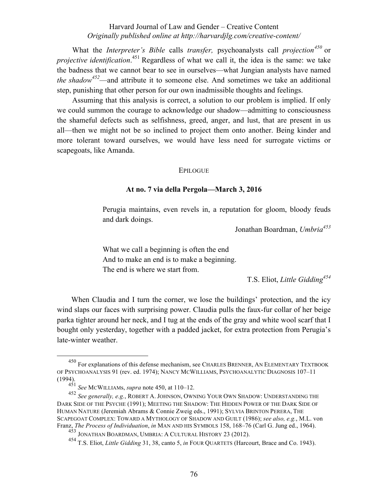What the *Interpreter's Bible* calls *transfer,* psychoanalysts call *projection<sup>450</sup>* or *projective identification*. <sup>451</sup> Regardless of what we call it, the idea is the same: we take the badness that we cannot bear to see in ourselves—what Jungian analysts have named *the shadow<sup>452</sup>*—and attribute it to someone else. And sometimes we take an additional step, punishing that other person for our own inadmissible thoughts and feelings.

Assuming that this analysis is correct, a solution to our problem is implied. If only we could summon the courage to acknowledge our shadow—admitting to consciousness the shameful defects such as selfishness, greed, anger, and lust, that are present in us all—then we might not be so inclined to project them onto another. Being kinder and more tolerant toward ourselves, we would have less need for surrogate victims or scapegoats, like Amanda.

#### **EPILOGUE**

#### **At no. 7 via della Pergola—March 3, 2016**

Perugia maintains, even revels in, a reputation for gloom, bloody feuds and dark doings.

Jonathan Boardman, *Umbria453*

What we call a beginning is often the end And to make an end is to make a beginning. The end is where we start from.

T.S. Eliot, *Little Gidding<sup>454</sup>*

When Claudia and I turn the corner, we lose the buildings' protection, and the icy wind slaps our faces with surprising power. Claudia pulls the faux-fur collar of her beige parka tighter around her neck, and I tug at the ends of the gray and white wool scarf that I bought only yesterday, together with a padded jacket, for extra protection from Perugia's late-winter weather.

 <sup>450</sup> For explanations of this defense mechanism, see CHARLES BRENNER, AN ELEMENTARY TEXTBOOK OF PSYCHOANALYSIS 91 (rev. ed. 1974); NANCY MCWILLIAMS, PSYCHOANALYTIC DIAGNOSIS 107–11 (1994).

<sup>451</sup> *See* MCWILLIAMs, *supra* note 450, at 110‒12.

<sup>452</sup> See generally, e.g., ROBERT A. JOHNSON, OWNING YOUR OWN SHADOW: UNDERSTANDING THE DARK SIDE OF THE PSYCHE (1991); MEETING THE SHADOW: THE HIDDEN POWER OF THE DARK SIDE OF HUMAN NATURE (Jeremiah Abrams & Connie Zweig eds., 1991); SYLVIA BRINTON PERERA, THE SCAPEGOAT COMPLEX: TOWARD A MYTHOLOGY OF SHADOW AND GUILT (1986); *see also, e.g.*, M.L. von Franz, *The Process of Individuation*, *in* MAN AND HIS SYMBOLS 158, 168–76 (Carl G. Jung ed., 1964).

<sup>&</sup>lt;sup>453</sup> JONATHAN BOARDMAN, UMBRIA: A CULTURAL HISTORY 23 (2012).

<sup>454</sup> T.S. Eliot, *Little Gidding* 31, 38, canto 5, *in* FOUR QUARTETS (Harcourt, Brace and Co. 1943).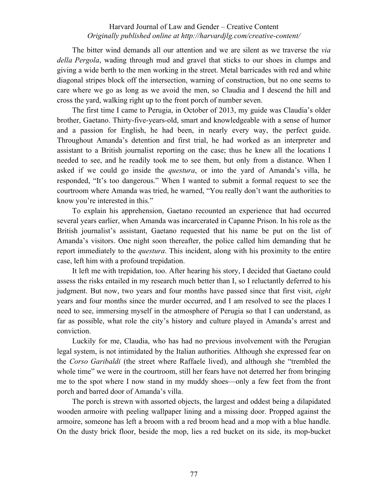The bitter wind demands all our attention and we are silent as we traverse the *via della Pergola*, wading through mud and gravel that sticks to our shoes in clumps and giving a wide berth to the men working in the street. Metal barricades with red and white diagonal stripes block off the intersection, warning of construction, but no one seems to care where we go as long as we avoid the men, so Claudia and I descend the hill and cross the yard, walking right up to the front porch of number seven.

The first time I came to Perugia, in October of 2013, my guide was Claudia's older brother, Gaetano. Thirty-five-years-old, smart and knowledgeable with a sense of humor and a passion for English, he had been, in nearly every way, the perfect guide. Throughout Amanda's detention and first trial, he had worked as an interpreter and assistant to a British journalist reporting on the case; thus he knew all the locations I needed to see, and he readily took me to see them, but only from a distance. When I asked if we could go inside the *questura*, or into the yard of Amanda's villa, he responded, "It's too dangerous." When I wanted to submit a formal request to see the courtroom where Amanda was tried, he warned, "You really don't want the authorities to know you're interested in this."

To explain his apprehension, Gaetano recounted an experience that had occurred several years earlier, when Amanda was incarcerated in Capanne Prison. In his role as the British journalist's assistant, Gaetano requested that his name be put on the list of Amanda's visitors. One night soon thereafter, the police called him demanding that he report immediately to the *questura*. This incident, along with his proximity to the entire case, left him with a profound trepidation.

It left me with trepidation, too. After hearing his story, I decided that Gaetano could assess the risks entailed in my research much better than I, so I reluctantly deferred to his judgment. But now, two years and four months have passed since that first visit, *eight* years and four months since the murder occurred, and I am resolved to see the places I need to see, immersing myself in the atmosphere of Perugia so that I can understand, as far as possible, what role the city's history and culture played in Amanda's arrest and conviction.

Luckily for me, Claudia, who has had no previous involvement with the Perugian legal system, is not intimidated by the Italian authorities. Although she expressed fear on the *Corso Garibaldi* (the street where Raffaele lived), and although she "trembled the whole time" we were in the courtroom, still her fears have not deterred her from bringing me to the spot where I now stand in my muddy shoes—only a few feet from the front porch and barred door of Amanda's villa.

The porch is strewn with assorted objects, the largest and oddest being a dilapidated wooden armoire with peeling wallpaper lining and a missing door. Propped against the armoire, someone has left a broom with a red broom head and a mop with a blue handle. On the dusty brick floor, beside the mop, lies a red bucket on its side, its mop-bucket